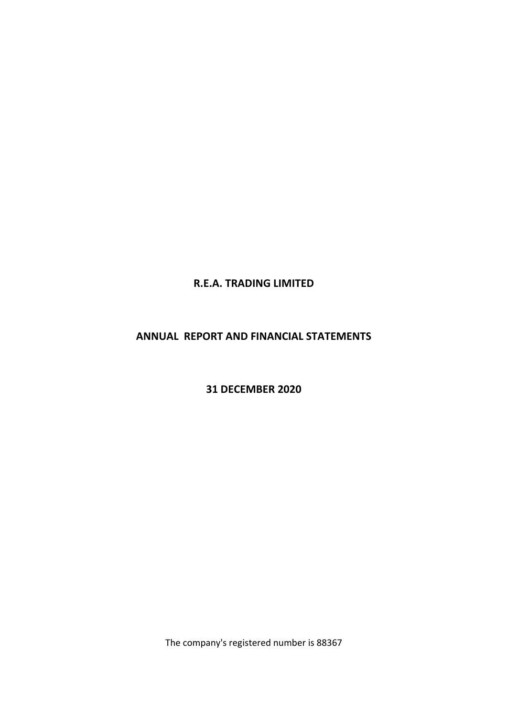# **R.E.A. TRADING LIMITED**

## **ANNUAL REPORT AND FINANCIAL STATEMENTS**

# **31 DECEMBER 2020**

The company's registered number is 88367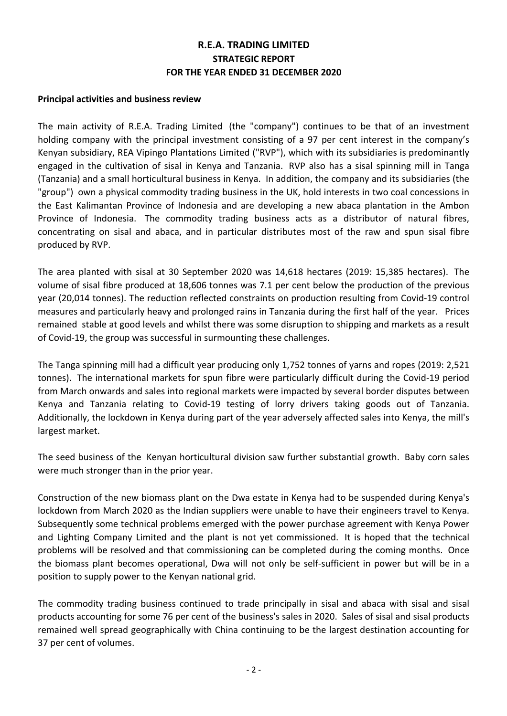# **R.E.A. TRADING LIMITED STRATEGIC REPORT FOR THE YEAR ENDED 31 DECEMBER 2020**

## **Principal activities and business review**

The main activity of R.E.A. Trading Limited (the "company") continues to be that of an investment holding company with the principal investment consisting of a 97 per cent interest in the company's Kenyan subsidiary, REA Vipingo Plantations Limited ("RVP"), which with its subsidiaries is predominantly engaged in the cultivation of sisal in Kenya and Tanzania. RVP also has a sisal spinning mill in Tanga (Tanzania) and a small horticultural business in Kenya. In addition, the company and its subsidiaries (the "group") own a physical commodity trading business in the UK, hold interests in two coal concessions in the East Kalimantan Province of Indonesia and are developing a new abaca plantation in the Ambon Province of Indonesia. The commodity trading business acts as a distributor of natural fibres, concentrating on sisal and abaca, and in particular distributes most of the raw and spun sisal fibre produced by RVP.

The area planted with sisal at 30 September 2020 was 14,618 hectares (2019: 15,385 hectares). The volume of sisal fibre produced at 18,606 tonnes was 7.1 per cent below the production of the previous year (20,014 tonnes). The reduction reflected constraints on production resulting from Covid-19 control measures and particularly heavy and prolonged rains in Tanzania during the first half of the year. Prices remained stable at good levels and whilst there was some disruption to shipping and markets as a result of Covid-19, the group was successful in surmounting these challenges.

The Tanga spinning mill had a difficult year producing only 1,752 tonnes of yarns and ropes (2019: 2,521 tonnes). The international markets for spun fibre were particularly difficult during the Covid-19 period from March onwards and sales into regional markets were impacted by several border disputes between Kenya and Tanzania relating to Covid-19 testing of lorry drivers taking goods out of Tanzania. Additionally, the lockdown in Kenya during part of the year adversely affected sales into Kenya, the mill's largest market.

The seed business of the Kenyan horticultural division saw further substantial growth. Baby corn sales were much stronger than in the prior year.

Construction of the new biomass plant on the Dwa estate in Kenya had to be suspended during Kenya's lockdown from March 2020 as the Indian suppliers were unable to have their engineers travel to Kenya. Subsequently some technical problems emerged with the power purchase agreement with Kenya Power and Lighting Company Limited and the plant is not yet commissioned. It is hoped that the technical problems will be resolved and that commissioning can be completed during the coming months. Once the biomass plant becomes operational, Dwa will not only be self-sufficient in power but will be in a position to supply power to the Kenyan national grid.

The commodity trading business continued to trade principally in sisal and abaca with sisal and sisal products accounting for some 76 per cent of the business's sales in 2020. Sales of sisal and sisal products remained well spread geographically with China continuing to be the largest destination accounting for 37 per cent of volumes.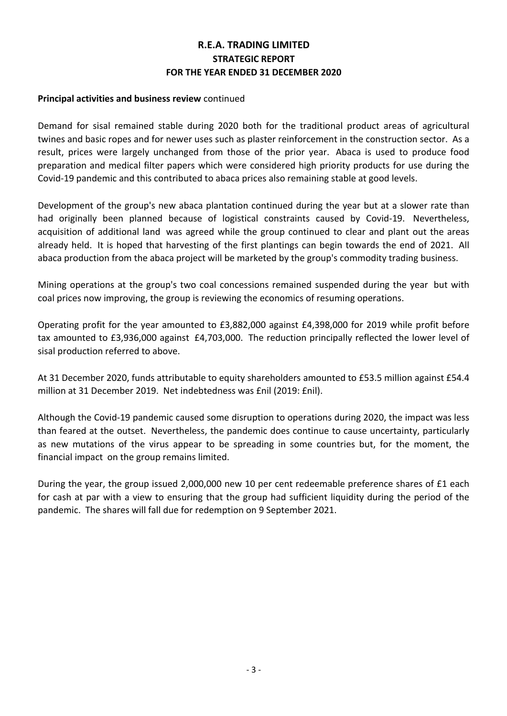# **STRATEGIC REPORT FOR THE YEAR ENDED 31 DECEMBER 2020 R.E.A. TRADING LIMITED**

## **Principal activities and business review** continued

Demand for sisal remained stable during 2020 both for the traditional product areas of agricultural twines and basic ropes and for newer uses such as plaster reinforcement in the construction sector. As a result, prices were largely unchanged from those of the prior year. Abaca is used to produce food preparation and medical filter papers which were considered high priority products for use during the Covid-19 pandemic and this contributed to abaca prices also remaining stable at good levels.

Development of the group's new abaca plantation continued during the year but at a slower rate than had originally been planned because of logistical constraints caused by Covid-19. Nevertheless, acquisition of additional land was agreed while the group continued to clear and plant out the areas already held. It is hoped that harvesting of the first plantings can begin towards the end of 2021. All abaca production from the abaca project will be marketed by the group's commodity trading business.

Mining operations at the group's two coal concessions remained suspended during the year but with coal prices now improving, the group is reviewing the economics of resuming operations.

Operating profit for the year amounted to £3,882,000 against £4,398,000 for 2019 while profit before tax amounted to £3,936,000 against £4,703,000. The reduction principally reflected the lower level of sisal production referred to above.

At 31 December 2020, funds attributable to equity shareholders amounted to £53.5 million against £54.4 million at 31 December 2019. Net indebtedness was £nil (2019: £nil).

Although the Covid-19 pandemic caused some disruption to operations during 2020, the impact was less than feared at the outset. Nevertheless, the pandemic does continue to cause uncertainty, particularly as new mutations of the virus appear to be spreading in some countries but, for the moment, the financial impact on the group remains limited.

During the year, the group issued 2,000,000 new 10 per cent redeemable preference shares of £1 each for cash at par with a view to ensuring that the group had sufficient liquidity during the period of the pandemic. The shares will fall due for redemption on 9 September 2021.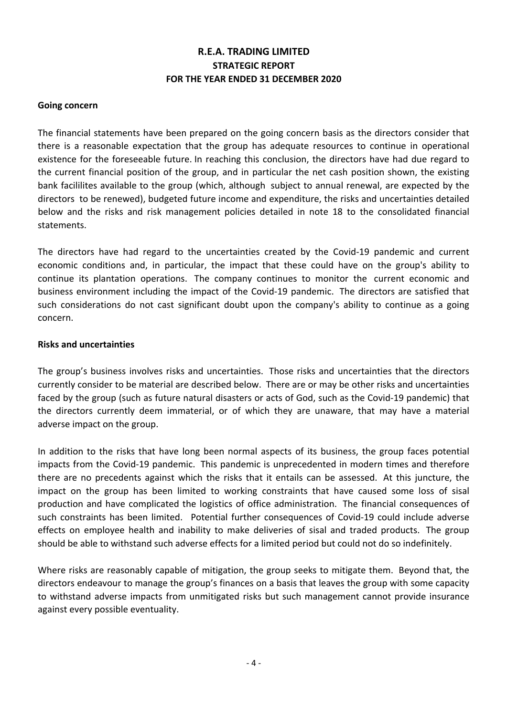# **FOR THE YEAR ENDED 31 DECEMBER 2020 STRATEGIC REPORT R.E.A. TRADING LIMITED**

## **Going concern**

The financial statements have been prepared on the going concern basis as the directors consider that there is a reasonable expectation that the group has adequate resources to continue in operational existence for the foreseeable future. In reaching this conclusion, the directors have had due regard to the current financial position of the group, and in particular the net cash position shown, the existing bank facililites available to the group (which, although subject to annual renewal, are expected by the directors to be renewed), budgeted future income and expenditure, the risks and uncertainties detailed below and the risks and risk management policies detailed in note 18 to the consolidated financial statements.

The directors have had regard to the uncertainties created by the Covid-19 pandemic and current economic conditions and, in particular, the impact that these could have on the group's ability to continue its plantation operations. The company continues to monitor the current economic and business environment including the impact of the Covid-19 pandemic. The directors are satisfied that such considerations do not cast significant doubt upon the company's ability to continue as a going concern.

### **Risks and uncertainties**

The group's business involves risks and uncertainties. Those risks and uncertainties that the directors currently consider to be material are described below. There are or may be other risks and uncertainties faced by the group (such as future natural disasters or acts of God, such as the Covid-19 pandemic) that the directors currently deem immaterial, or of which they are unaware, that may have a material adverse impact on the group.

In addition to the risks that have long been normal aspects of its business, the group faces potential impacts from the Covid-19 pandemic. This pandemic is unprecedented in modern times and therefore there are no precedents against which the risks that it entails can be assessed. At this juncture, the impact on the group has been limited to working constraints that have caused some loss of sisal production and have complicated the logistics of office administration. The financial consequences of such constraints has been limited. Potential further consequences of Covid-19 could include adverse effects on employee health and inability to make deliveries of sisal and traded products. The group should be able to withstand such adverse effects for a limited period but could not do so indefinitely.

Where risks are reasonably capable of mitigation, the group seeks to mitigate them. Beyond that, the directors endeavour to manage the group's finances on a basis that leaves the group with some capacity to withstand adverse impacts from unmitigated risks but such management cannot provide insurance against every possible eventuality.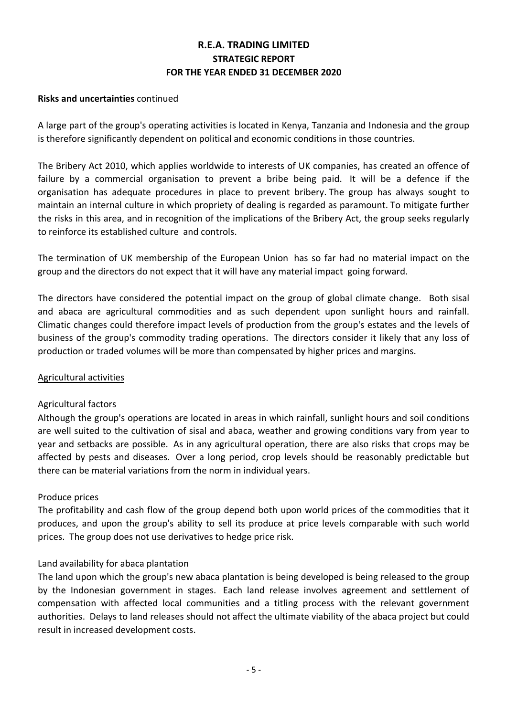# **FOR THE YEAR ENDED 31 DECEMBER 2020 R.E.A. TRADING LIMITED STRATEGIC REPORT**

## **Risks and uncertainties** continued

A large part of the group's operating activities is located in Kenya, Tanzania and Indonesia and the group is therefore significantly dependent on political and economic conditions in those countries.

The Bribery Act 2010, which applies worldwide to interests of UK companies, has created an offence of failure by a commercial organisation to prevent a bribe being paid. It will be a defence if the organisation has adequate procedures in place to prevent bribery. The group has always sought to maintain an internal culture in which propriety of dealing is regarded as paramount. To mitigate further the risks in this area, and in recognition of the implications of the Bribery Act, the group seeks regularly to reinforce its established culture and controls.

The termination of UK membership of the European Union has so far had no material impact on the group and the directors do not expect that it will have any material impact going forward.

The directors have considered the potential impact on the group of global climate change. Both sisal and abaca are agricultural commodities and as such dependent upon sunlight hours and rainfall. Climatic changes could therefore impact levels of production from the group's estates and the levels of business of the group's commodity trading operations. The directors consider it likely that any loss of production or traded volumes will be more than compensated by higher prices and margins.

## Agricultural activities

## Agricultural factors

Although the group's operations are located in areas in which rainfall, sunlight hours and soil conditions are well suited to the cultivation of sisal and abaca, weather and growing conditions vary from year to year and setbacks are possible. As in any agricultural operation, there are also risks that crops may be affected by pests and diseases. Over a long period, crop levels should be reasonably predictable but there can be material variations from the norm in individual years.

## Produce prices

The profitability and cash flow of the group depend both upon world prices of the commodities that it produces, and upon the group's ability to sell its produce at price levels comparable with such world prices. The group does not use derivatives to hedge price risk.

## Land availability for abaca plantation

The land upon which the group's new abaca plantation is being developed is being released to the group by the Indonesian government in stages. Each land release involves agreement and settlement of compensation with affected local communities and a titling process with the relevant government authorities. Delays to land releases should not affect the ultimate viability of the abaca project but could result in increased development costs.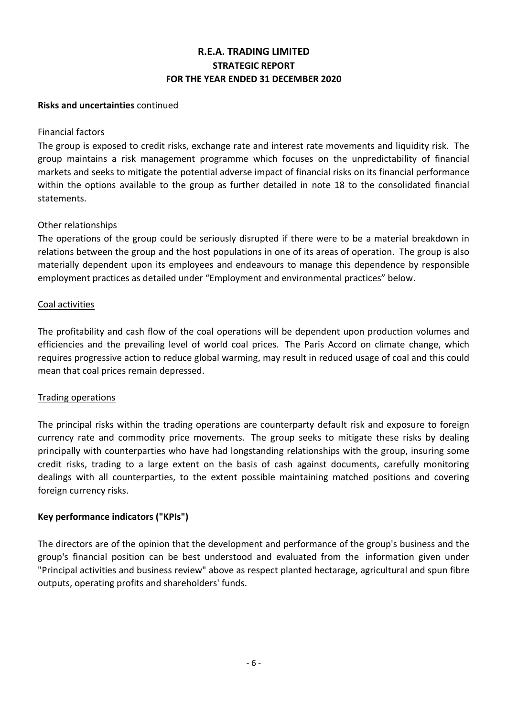# **FOR THE YEAR ENDED 31 DECEMBER 2020 R.E.A. TRADING LIMITED STRATEGIC REPORT**

## **Risks and uncertainties** continued

## Financial factors

The group is exposed to credit risks, exchange rate and interest rate movements and liquidity risk. The group maintains a risk management programme which focuses on the unpredictability of financial markets and seeks to mitigate the potential adverse impact of financial risks on its financial performance within the options available to the group as further detailed in note 18 to the consolidated financial statements.

## Other relationships

The operations of the group could be seriously disrupted if there were to be a material breakdown in relations between the group and the host populations in one of its areas of operation. The group is also materially dependent upon its employees and endeavours to manage this dependence by responsible employment practices as detailed under "Employment and environmental practices" below.

## Coal activities

The profitability and cash flow of the coal operations will be dependent upon production volumes and efficiencies and the prevailing level of world coal prices. The Paris Accord on climate change, which requires progressive action to reduce global warming, may result in reduced usage of coal and this could mean that coal prices remain depressed.

## Trading operations

The principal risks within the trading operations are counterparty default risk and exposure to foreign currency rate and commodity price movements. The group seeks to mitigate these risks by dealing principally with counterparties who have had longstanding relationships with the group, insuring some credit risks, trading to a large extent on the basis of cash against documents, carefully monitoring dealings with all counterparties, to the extent possible maintaining matched positions and covering foreign currency risks.

## **Key performance indicators ("KPIs")**

The directors are of the opinion that the development and performance of the group's business and the group's financial position can be best understood and evaluated from the information given under "Principal activities and business review" above as respect planted hectarage, agricultural and spun fibre outputs, operating profits and shareholders' funds.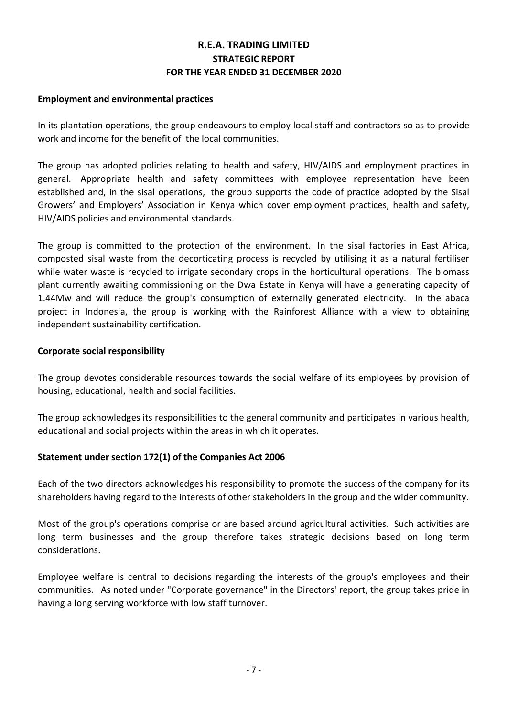# **R.E.A. TRADING LIMITED STRATEGIC REPORT FOR THE YEAR ENDED 31 DECEMBER 2020**

## **Employment and environmental practices**

In its plantation operations, the group endeavours to employ local staff and contractors so as to provide work and income for the benefit of the local communities.

The group has adopted policies relating to health and safety, HIV/AIDS and employment practices in general. Appropriate health and safety committees with employee representation have been established and, in the sisal operations, the group supports the code of practice adopted by the Sisal Growers' and Employers' Association in Kenya which cover employment practices, health and safety, HIV/AIDS policies and environmental standards.

The group is committed to the protection of the environment. In the sisal factories in East Africa, composted sisal waste from the decorticating process is recycled by utilising it as a natural fertiliser while water waste is recycled to irrigate secondary crops in the horticultural operations. The biomass plant currently awaiting commissioning on the Dwa Estate in Kenya will have a generating capacity of 1.44Mw and will reduce the group's consumption of externally generated electricity. In the abaca project in Indonesia, the group is working with the Rainforest Alliance with a view to obtaining independent sustainability certification.

## **Corporate social responsibility**

The group devotes considerable resources towards the social welfare of its employees by provision of housing, educational, health and social facilities.

The group acknowledges its responsibilities to the general community and participates in various health, educational and social projects within the areas in which it operates.

## **Statement under section 172(1) of the Companies Act 2006**

Each of the two directors acknowledges his responsibility to promote the success of the company for its shareholders having regard to the interests of other stakeholders in the group and the wider community.

Most of the group's operations comprise or are based around agricultural activities. Such activities are long term businesses and the group therefore takes strategic decisions based on long term considerations.

Employee welfare is central to decisions regarding the interests of the group's employees and their communities. As noted under "Corporate governance" in the Directors' report, the group takes pride in having a long serving workforce with low staff turnover.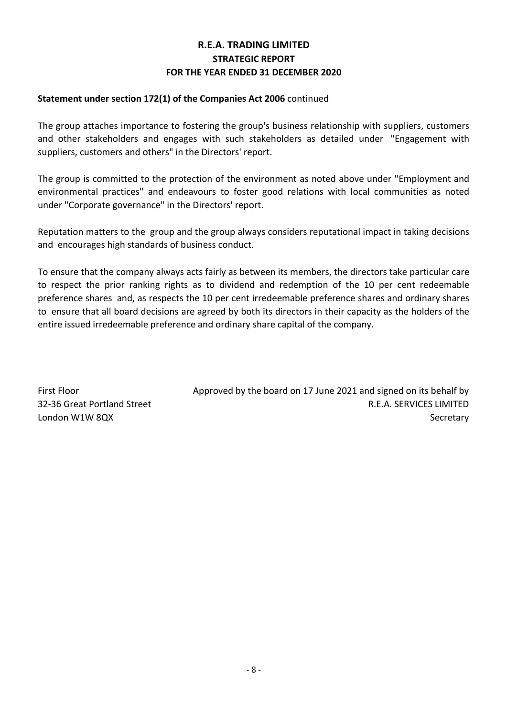# **R.E.A. TRADING LIMITED STRATEGIC REPORT FOR THE YEAR ENDED 31 DECEMBER 2020**

## **Statement under section 172(1) of the Companies Act 2006** continued

The group attaches importance to fostering the group's business relationship with suppliers, customers and other stakeholders and engages with such stakeholders as detailed under "Engagement with suppliers, customers and others" in the Directors' report.

The group is committed to the protection of the environment as noted above under "Employment and environmental practices" and endeavours to foster good relations with local communities as noted under "Corporate governance" in the Directors' report.

Reputation matters to the group and the group always considers reputational impact in taking decisions and encourages high standards of business conduct.

To ensure that the company always acts fairly as between its members, the directors take particular care to respect the prior ranking rights as to dividend and redemption of the 10 per cent redeemable preference shares and, as respects the 10 per cent irredeemable preference shares and ordinary shares to ensure that all board decisions are agreed by both its directors in their capacity as the holders of the entire issued irredeemable preference and ordinary share capital of the company.

First Floor Approved by the board on 17 June 2021 and signed on its behalf by 32-36 Great Portland Street R.E.A. SERVICES LIMITED London W1W 8QX Secretary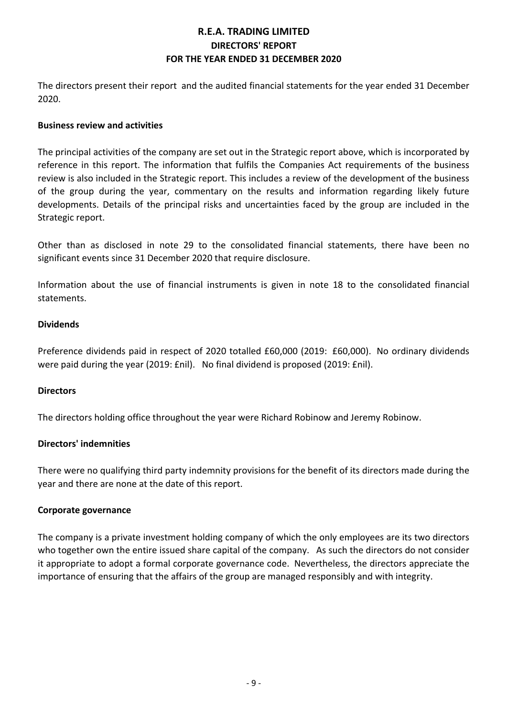# **FOR THE YEAR ENDED 31 DECEMBER 2020 R.E.A. TRADING LIMITED DIRECTORS' REPORT**

The directors present their report and the audited financial statements for the year ended 31 December 2020.

## **Business review and activities**

The principal activities of the company are set out in the Strategic report above, which is incorporated by reference in this report. The information that fulfils the Companies Act requirements of the business review is also included in the Strategic report. This includes a review of the development of the business of the group during the year, commentary on the results and information regarding likely future developments. Details of the principal risks and uncertainties faced by the group are included in the Strategic report.

Other than as disclosed in note 29 to the consolidated financial statements, there have been no significant events since 31 December 2020 that require disclosure.

Information about the use of financial instruments is given in note 18 to the consolidated financial statements.

## **Dividends**

Preference dividends paid in respect of 2020 totalled £60,000 (2019: £60,000). No ordinary dividends were paid during the year (2019: £nil). No final dividend is proposed (2019: £nil).

## **Directors**

The directors holding office throughout the year were Richard Robinow and Jeremy Robinow.

## **Directors' indemnities**

There were no qualifying third party indemnity provisions for the benefit of its directors made during the year and there are none at the date of this report.

## **Corporate governance**

The company is a private investment holding company of which the only employees are its two directors who together own the entire issued share capital of the company. As such the directors do not consider it appropriate to adopt a formal corporate governance code. Nevertheless, the directors appreciate the importance of ensuring that the affairs of the group are managed responsibly and with integrity.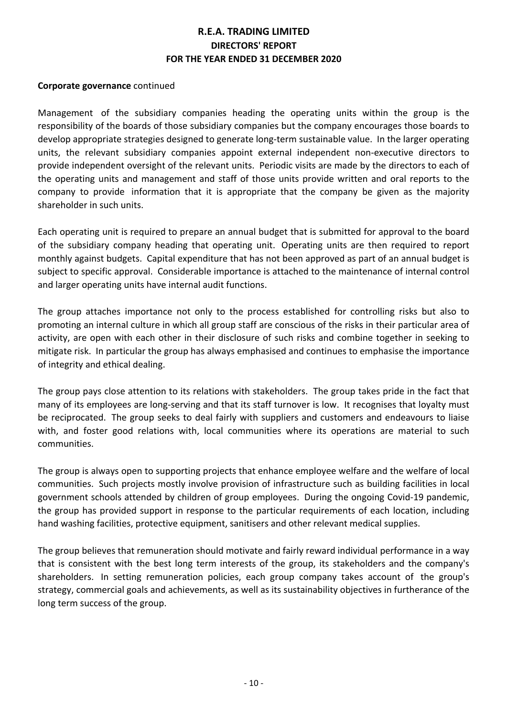## **R.E.A. TRADING LIMITED DIRECTORS' REPORT FOR THE YEAR ENDED 31 DECEMBER 2020**

## **Corporate governance** continued

Management of the subsidiary companies heading the operating units within the group is the responsibility of the boards of those subsidiary companies but the company encourages those boards to develop appropriate strategies designed to generate long-term sustainable value. In the larger operating units, the relevant subsidiary companies appoint external independent non-executive directors to provide independent oversight of the relevant units. Periodic visits are made by the directors to each of the operating units and management and staff of those units provide written and oral reports to the company to provide information that it is appropriate that the company be given as the majority shareholder in such units.

Each operating unit is required to prepare an annual budget that is submitted for approval to the board of the subsidiary company heading that operating unit. Operating units are then required to report monthly against budgets. Capital expenditure that has not been approved as part of an annual budget is subject to specific approval. Considerable importance is attached to the maintenance of internal control and larger operating units have internal audit functions.

The group attaches importance not only to the process established for controlling risks but also to promoting an internal culture in which all group staff are conscious of the risks in their particular area of activity, are open with each other in their disclosure of such risks and combine together in seeking to mitigate risk. In particular the group has always emphasised and continues to emphasise the importance of integrity and ethical dealing.

The group pays close attention to its relations with stakeholders. The group takes pride in the fact that many of its employees are long-serving and that its staff turnover is low. It recognises that loyalty must be reciprocated. The group seeks to deal fairly with suppliers and customers and endeavours to liaise with, and foster good relations with, local communities where its operations are material to such communities.

The group is always open to supporting projects that enhance employee welfare and the welfare of local communities. Such projects mostly involve provision of infrastructure such as building facilities in local government schools attended by children of group employees. During the ongoing Covid-19 pandemic, the group has provided support in response to the particular requirements of each location, including hand washing facilities, protective equipment, sanitisers and other relevant medical supplies.

The group believes that remuneration should motivate and fairly reward individual performance in a way that is consistent with the best long term interests of the group, its stakeholders and the company's shareholders. In setting remuneration policies, each group company takes account of the group's strategy, commercial goals and achievements, as well as its sustainability objectives in furtherance of the long term success of the group.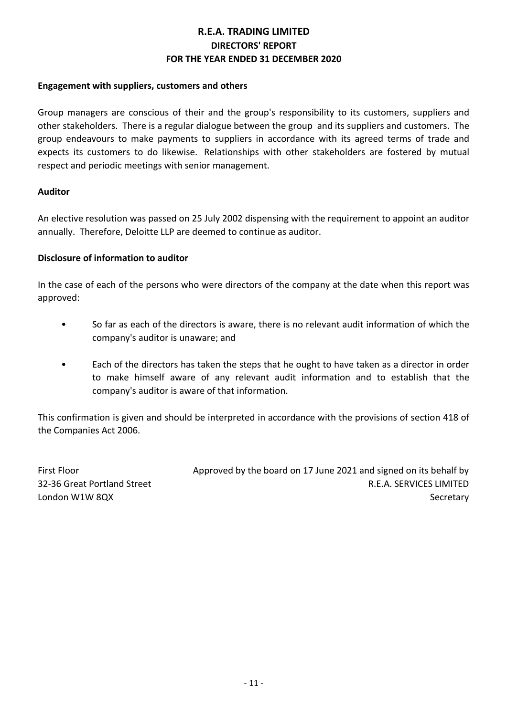## **R.E.A. TRADING LIMITED DIRECTORS' REPORT FOR THE YEAR ENDED 31 DECEMBER 2020**

## **Engagement with suppliers, customers and others**

Group managers are conscious of their and the group's responsibility to its customers, suppliers and other stakeholders. There is a regular dialogue between the group and its suppliers and customers. The group endeavours to make payments to suppliers in accordance with its agreed terms of trade and expects its customers to do likewise. Relationships with other stakeholders are fostered by mutual respect and periodic meetings with senior management.

### **Auditor**

An elective resolution was passed on 25 July 2002 dispensing with the requirement to appoint an auditor annually. Therefore, Deloitte LLP are deemed to continue as auditor.

### **Disclosure of information to auditor**

In the case of each of the persons who were directors of the company at the date when this report was approved:

- So far as each of the directors is aware, there is no relevant audit information of which the company's auditor is unaware; and
- Each of the directors has taken the steps that he ought to have taken as a director in order to make himself aware of any relevant audit information and to establish that the company's auditor is aware of that information.

This confirmation is given and should be interpreted in accordance with the provisions of section 418 of the Companies Act 2006.

First Floor Approved by the board on 17 June 2021 and signed on its behalf by 32-36 Great Portland Street **R.E.A. SERVICES LIMITED** London W1W 8QX Secretary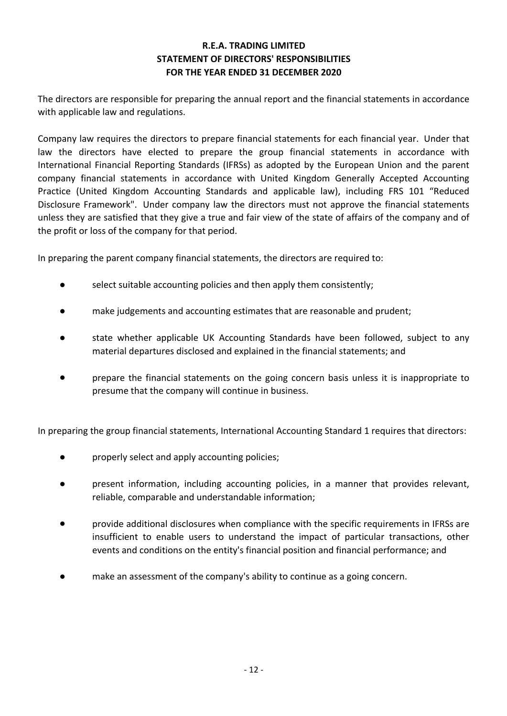## **R.E.A. TRADING LIMITED STATEMENT OF DIRECTORS' RESPONSIBILITIES FOR THE YEAR ENDED 31 DECEMBER 2020**

The directors are responsible for preparing the annual report and the financial statements in accordance with applicable law and regulations.

Company law requires the directors to prepare financial statements for each financial year. Under that law the directors have elected to prepare the group financial statements in accordance with International Financial Reporting Standards (IFRSs) as adopted by the European Union and the parent company financial statements in accordance with United Kingdom Generally Accepted Accounting Practice (United Kingdom Accounting Standards and applicable law), including FRS 101 "Reduced Disclosure Framework". Under company law the directors must not approve the financial statements unless they are satisfied that they give a true and fair view of the state of affairs of the company and of the profit or loss of the company for that period.

In preparing the parent company financial statements, the directors are required to:

- select suitable accounting policies and then apply them consistently;
- make judgements and accounting estimates that are reasonable and prudent;
- state whether applicable UK Accounting Standards have been followed, subject to any material departures disclosed and explained in the financial statements; and
- prepare the financial statements on the going concern basis unless it is inappropriate to presume that the company will continue in business.

In preparing the group financial statements, International Accounting Standard 1 requires that directors:

- properly select and apply accounting policies;
- present information, including accounting policies, in a manner that provides relevant, reliable, comparable and understandable information;
- provide additional disclosures when compliance with the specific requirements in IFRSs are insufficient to enable users to understand the impact of particular transactions, other events and conditions on the entity's financial position and financial performance; and
- make an assessment of the company's ability to continue as a going concern.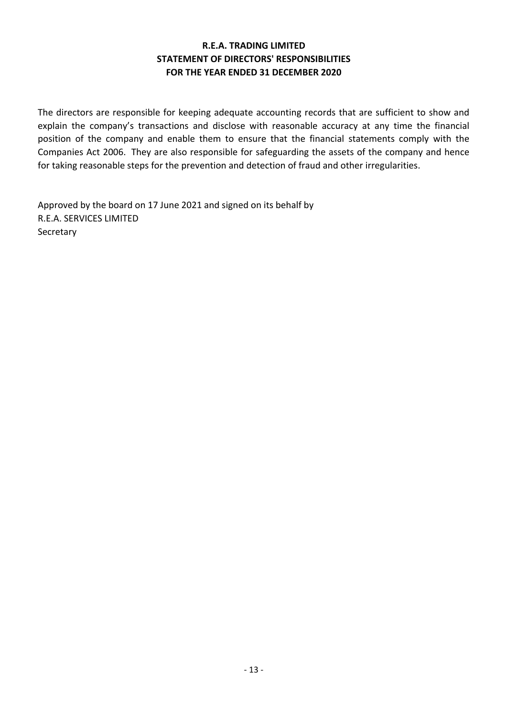## **R.E.A. TRADING LIMITED STATEMENT OF DIRECTORS' RESPONSIBILITIES FOR THE YEAR ENDED 31 DECEMBER 2020**

The directors are responsible for keeping adequate accounting records that are sufficient to show and explain the company's transactions and disclose with reasonable accuracy at any time the financial position of the company and enable them to ensure that the financial statements comply with the Companies Act 2006. They are also responsible for safeguarding the assets of the company and hence for taking reasonable steps for the prevention and detection of fraud and other irregularities.

Approved by the board on 17 June 2021 and signed on its behalf by R.E.A. SERVICES LIMITED **Secretary**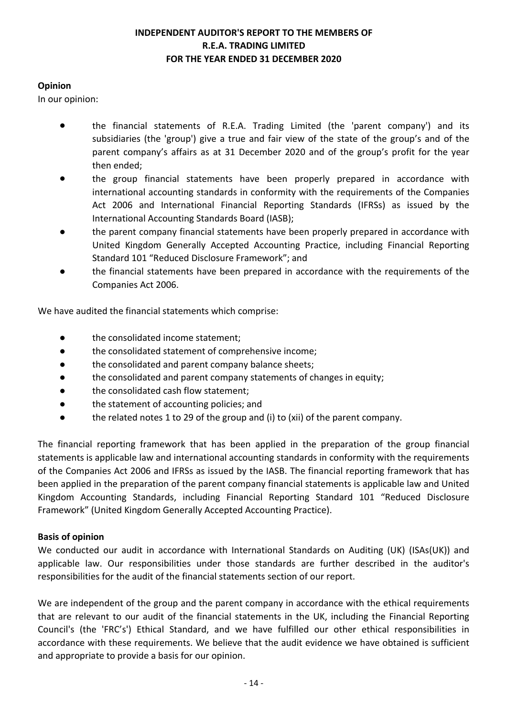## **INDEPENDENT AUDITOR'S REPORT TO THE MEMBERS OF FOR THE YEAR ENDED 31 DECEMBER 2020 R.E.A. TRADING LIMITED**

## **Opinion**

In our opinion:

- $\bullet$ the financial statements of R.E.A. Trading Limited (the 'parent company') and its subsidiaries (the 'group') give a true and fair view of the state of the group's and of the parent company's affairs as at 31 December 2020 and of the group's profit for the year then ended;
- the group financial statements have been properly prepared in accordance with international accounting standards in conformity with the requirements of the Companies Act 2006 and International Financial Reporting Standards (IFRSs) as issued by the International Accounting Standards Board (IASB);
- the parent company financial statements have been properly prepared in accordance with United Kingdom Generally Accepted Accounting Practice, including Financial Reporting Standard 101 "Reduced Disclosure Framework"; and
- the financial statements have been prepared in accordance with the requirements of the Companies Act 2006.

We have audited the financial statements which comprise:

- the consolidated income statement;
- the consolidated statement of comprehensive income;
- the consolidated and parent company balance sheets;
- the consolidated and parent company statements of changes in equity;
- the consolidated cash flow statement;
- the statement of accounting policies; and
- $\bullet$  the related notes 1 to 29 of the group and (i) to (xii) of the parent company.

The financial reporting framework that has been applied in the preparation of the group financial statements is applicable law and international accounting standards in conformity with the requirements of the Companies Act 2006 and IFRSs as issued by the IASB. The financial reporting framework that has been applied in the preparation of the parent company financial statements is applicable law and United Kingdom Accounting Standards, including Financial Reporting Standard 101 "Reduced Disclosure Framework" (United Kingdom Generally Accepted Accounting Practice).

## **Basis of opinion**

We conducted our audit in accordance with International Standards on Auditing (UK) (ISAs(UK)) and applicable law. Our responsibilities under those standards are further described in the auditor's responsibilities for the audit of the financial statements section of our report.

We are independent of the group and the parent company in accordance with the ethical requirements that are relevant to our audit of the financial statements in the UK, including the Financial Reporting Council's (the 'FRC's') Ethical Standard, and we have fulfilled our other ethical responsibilities in accordance with these requirements. We believe that the audit evidence we have obtained is sufficient and appropriate to provide a basis for our opinion.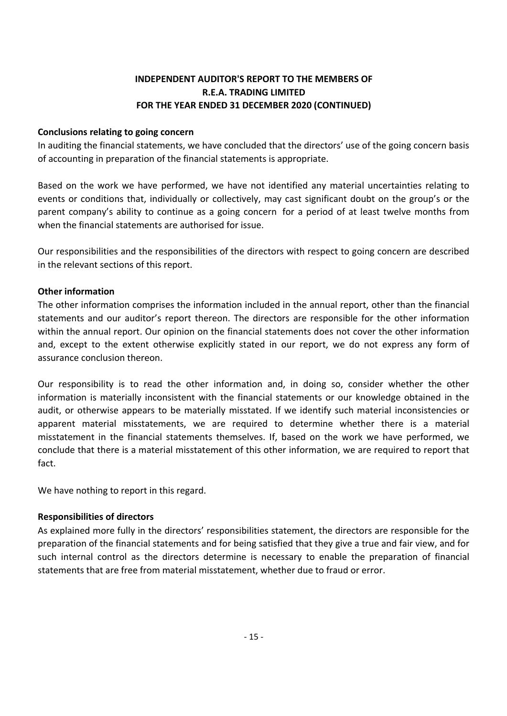## **INDEPENDENT AUDITOR'S REPORT TO THE MEMBERS OF R.E.A. TRADING LIMITED FOR THE YEAR ENDED 31 DECEMBER 2020 (CONTINUED)**

## **Conclusions relating to going concern**

In auditing the financial statements, we have concluded that the directors' use of the going concern basis of accounting in preparation of the financial statements is appropriate.

Based on the work we have performed, we have not identified any material uncertainties relating to events or conditions that, individually or collectively, may cast significant doubt on the group's or the parent company's ability to continue as a going concern for a period of at least twelve months from when the financial statements are authorised for issue.

Our responsibilities and the responsibilities of the directors with respect to going concern are described in the relevant sections of this report.

## **Other information**

The other information comprises the information included in the annual report, other than the financial statements and our auditor's report thereon. The directors are responsible for the other information within the annual report. Our opinion on the financial statements does not cover the other information and, except to the extent otherwise explicitly stated in our report, we do not express any form of assurance conclusion thereon.

Our responsibility is to read the other information and, in doing so, consider whether the other information is materially inconsistent with the financial statements or our knowledge obtained in the audit, or otherwise appears to be materially misstated. If we identify such material inconsistencies or apparent material misstatements, we are required to determine whether there is a material misstatement in the financial statements themselves. If, based on the work we have performed, we conclude that there is a material misstatement of this other information, we are required to report that fact.

We have nothing to report in this regard.

## **Responsibilities of directors**

As explained more fully in the directors' responsibilities statement, the directors are responsible for the preparation of the financial statements and for being satisfied that they give a true and fair view, and for such internal control as the directors determine is necessary to enable the preparation of financial statements that are free from material misstatement, whether due to fraud or error.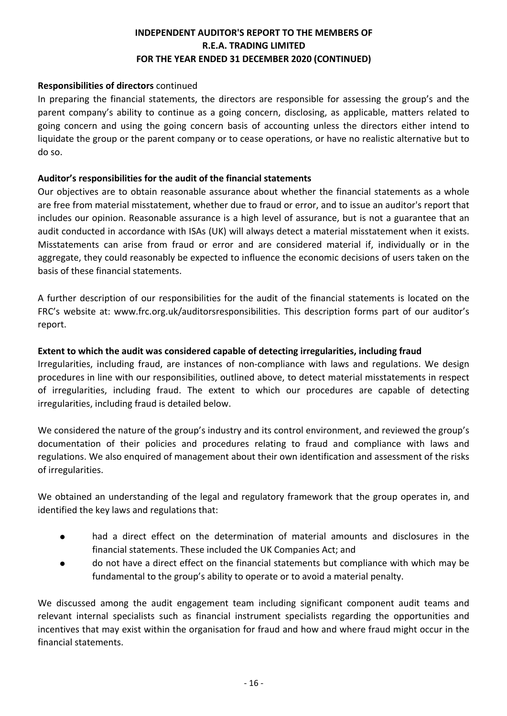## **R.E.A. TRADING LIMITED FOR THE YEAR ENDED 31 DECEMBER 2020 (CONTINUED) INDEPENDENT AUDITOR'S REPORT TO THE MEMBERS OF**

## **Responsibilities of directors** continued

In preparing the financial statements, the directors are responsible for assessing the group's and the parent company's ability to continue as a going concern, disclosing, as applicable, matters related to going concern and using the going concern basis of accounting unless the directors either intend to liquidate the group or the parent company or to cease operations, or have no realistic alternative but to do so.

## **Auditor's responsibilities for the audit of the financial statements**

Our objectives are to obtain reasonable assurance about whether the financial statements as a whole are free from material misstatement, whether due to fraud or error, and to issue an auditor's report that includes our opinion. Reasonable assurance is a high level of assurance, but is not a guarantee that an audit conducted in accordance with ISAs (UK) will always detect a material misstatement when it exists. Misstatements can arise from fraud or error and are considered material if, individually or in the aggregate, they could reasonably be expected to influence the economic decisions of users taken on the basis of these financial statements.

A further description of our responsibilities for the audit of the financial statements is located on the FRC's website at: www.frc.org.uk/auditorsresponsibilities. This description forms part of our auditor's report.

## **Extent to which the audit was considered capable of detecting irregularities, including fraud**

Irregularities, including fraud, are instances of non-compliance with laws and regulations. We design procedures in line with our responsibilities, outlined above, to detect material misstatements in respect of irregularities, including fraud. The extent to which our procedures are capable of detecting irregularities, including fraud is detailed below.

We considered the nature of the group's industry and its control environment, and reviewed the group's documentation of their policies and procedures relating to fraud and compliance with laws and regulations. We also enquired of management about their own identification and assessment of the risks of irregularities.

We obtained an understanding of the legal and regulatory framework that the group operates in, and identified the key laws and regulations that:

- had a direct effect on the determination of material amounts and disclosures in the financial statements. These included the UK Companies Act; and
- do not have a direct effect on the financial statements but compliance with which may be fundamental to the group's ability to operate or to avoid a material penalty.

We discussed among the audit engagement team including significant component audit teams and relevant internal specialists such as financial instrument specialists regarding the opportunities and incentives that may exist within the organisation for fraud and how and where fraud might occur in the financial statements.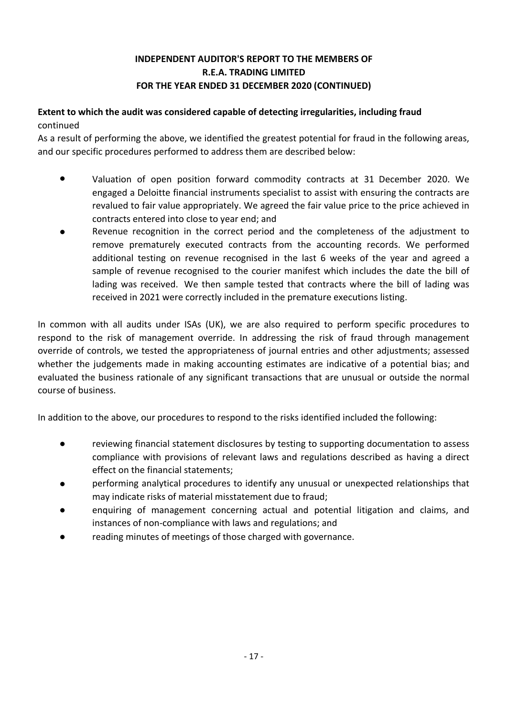## **R.E.A. TRADING LIMITED FOR THE YEAR ENDED 31 DECEMBER 2020 (CONTINUED) INDEPENDENT AUDITOR'S REPORT TO THE MEMBERS OF**

## **Extent to which the audit was considered capable of detecting irregularities, including fraud** continued

As a result of performing the above, we identified the greatest potential for fraud in the following areas, and our specific procedures performed to address them are described below:

- $\bullet$ Valuation of open position forward commodity contracts at 31 December 2020. We engaged a Deloitte financial instruments specialist to assist with ensuring the contracts are revalued to fair value appropriately. We agreed the fair value price to the price achieved in contracts entered into close to year end; and
- Revenue recognition in the correct period and the completeness of the adjustment to remove prematurely executed contracts from the accounting records. We performed additional testing on revenue recognised in the last 6 weeks of the year and agreed a sample of revenue recognised to the courier manifest which includes the date the bill of lading was received. We then sample tested that contracts where the bill of lading was received in 2021 were correctly included in the premature executions listing.

In common with all audits under ISAs (UK), we are also required to perform specific procedures to respond to the risk of management override. In addressing the risk of fraud through management override of controls, we tested the appropriateness of journal entries and other adjustments; assessed whether the judgements made in making accounting estimates are indicative of a potential bias; and evaluated the business rationale of any significant transactions that are unusual or outside the normal course of business.

In addition to the above, our procedures to respond to the risks identified included the following:

- reviewing financial statement disclosures by testing to supporting documentation to assess compliance with provisions of relevant laws and regulations described as having a direct effect on the financial statements;
- performing analytical procedures to identify any unusual or unexpected relationships that may indicate risks of material misstatement due to fraud;
- enquiring of management concerning actual and potential litigation and claims, and instances of non-compliance with laws and regulations; and
- reading minutes of meetings of those charged with governance.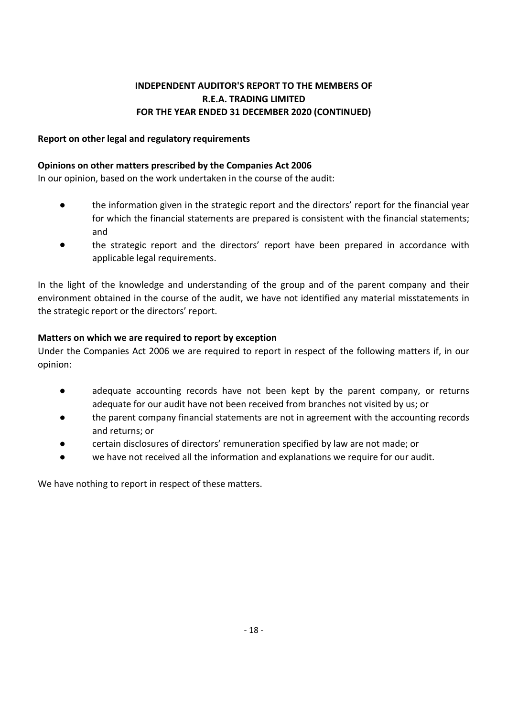## **FOR THE YEAR ENDED 31 DECEMBER 2020 (CONTINUED) INDEPENDENT AUDITOR'S REPORT TO THE MEMBERS OF R.E.A. TRADING LIMITED**

## **Report on other legal and regulatory requirements**

## **Opinions on other matters prescribed by the Companies Act 2006**

In our opinion, based on the work undertaken in the course of the audit:

- the information given in the strategic report and the directors' report for the financial year for which the financial statements are prepared is consistent with the financial statements; and
- the strategic report and the directors' report have been prepared in accordance with applicable legal requirements.

In the light of the knowledge and understanding of the group and of the parent company and their environment obtained in the course of the audit, we have not identified any material misstatements in the strategic report or the directors' report.

## **Matters on which we are required to report by exception**

Under the Companies Act 2006 we are required to report in respect of the following matters if, in our opinion:

- adequate accounting records have not been kept by the parent company, or returns adequate for our audit have not been received from branches not visited by us; or
- the parent company financial statements are not in agreement with the accounting records and returns; or
- certain disclosures of directors' remuneration specified by law are not made; or
- we have not received all the information and explanations we require for our audit.

We have nothing to report in respect of these matters.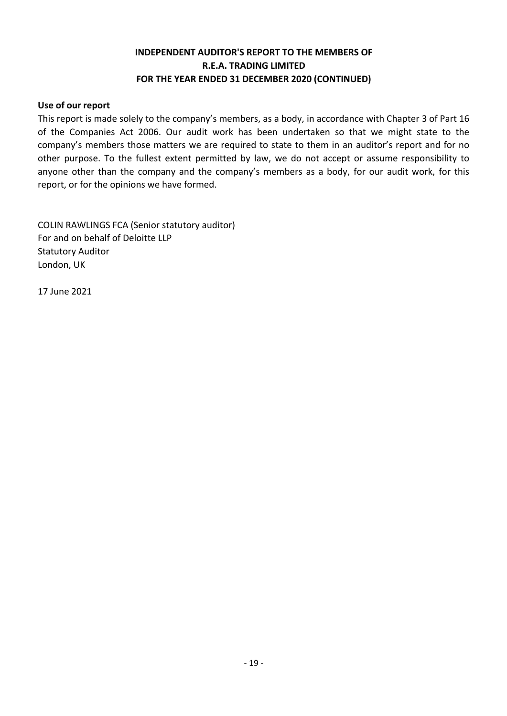## **INDEPENDENT AUDITOR'S REPORT TO THE MEMBERS OF R.E.A. TRADING LIMITED FOR THE YEAR ENDED 31 DECEMBER 2020 (CONTINUED)**

## **Use of our report**

This report is made solely to the company's members, as a body, in accordance with Chapter 3 of Part 16 of the Companies Act 2006. Our audit work has been undertaken so that we might state to the company's members those matters we are required to state to them in an auditor's report and for no other purpose. To the fullest extent permitted by law, we do not accept or assume responsibility to anyone other than the company and the company's members as a body, for our audit work, for this report, or for the opinions we have formed.

COLIN RAWLINGS FCA (Senior statutory auditor) For and on behalf of Deloitte LLP Statutory Auditor London, UK

17 June 2021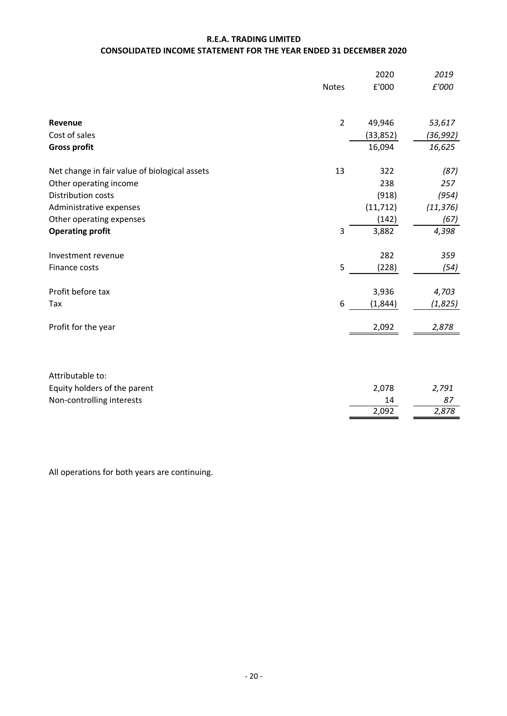## **R.E.A. TRADING LIMITED CONSOLIDATED INCOME STATEMENT FOR THE YEAR ENDED 31 DECEMBER 2020**

|                                               |                | 2020      | 2019      |
|-----------------------------------------------|----------------|-----------|-----------|
|                                               | <b>Notes</b>   | £'000     | £'000     |
|                                               | $\overline{2}$ |           |           |
| Revenue                                       |                | 49,946    | 53,617    |
| Cost of sales                                 |                | (33, 852) | (36, 992) |
| <b>Gross profit</b>                           |                | 16,094    | 16,625    |
| Net change in fair value of biological assets | 13             | 322       | (87)      |
| Other operating income                        |                | 238       | 257       |
| Distribution costs                            |                | (918)     | (954)     |
| Administrative expenses                       |                | (11, 712) | (11, 376) |
| Other operating expenses                      |                | (142)     | (67)      |
| <b>Operating profit</b>                       | 3              | 3,882     | 4,398     |
| Investment revenue                            |                | 282       | 359       |
| Finance costs                                 | 5              | (228)     | (54)      |
| Profit before tax                             |                | 3,936     | 4,703     |
| Tax                                           | 6              | (1, 844)  | (1, 825)  |
| Profit for the year                           |                | 2,092     | 2,878     |
|                                               |                |           |           |
| Attributable to:                              |                |           |           |

| Equity holders of the parent | 2.078 | 2.791 |
|------------------------------|-------|-------|
| Non-controlling interests    | 14    |       |
|                              | 2.092 | 2.878 |

All operations for both years are continuing.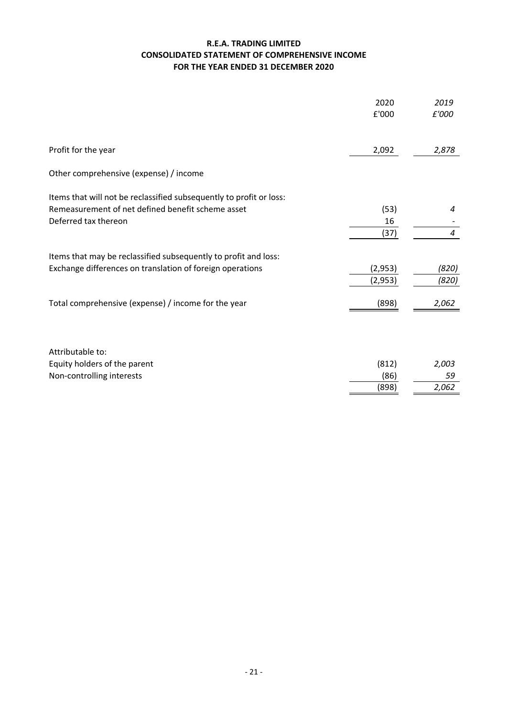## **CONSOLIDATED STATEMENT OF COMPREHENSIVE INCOME FOR THE YEAR ENDED 31 DECEMBER 2020 R.E.A. TRADING LIMITED**

| Profit for the year<br>2,092<br>2,878<br>Other comprehensive (expense) / income<br>Items that will not be reclassified subsequently to profit or loss:<br>Remeasurement of net defined benefit scheme asset<br>(53)<br>4<br>Deferred tax thereon<br>16<br>(37)<br>4<br>Items that may be reclassified subsequently to profit and loss:<br>Exchange differences on translation of foreign operations<br>(820)<br>(2,953)<br>(2,953)<br>(820)<br>Total comprehensive (expense) / income for the year<br>(898)<br>2,062<br>Attributable to:<br>(812)<br>2,003<br>Equity holders of the parent<br>Non-controlling interests<br>(86)<br>59<br>(898)<br>2,062 | 2020  | 2019  |
|---------------------------------------------------------------------------------------------------------------------------------------------------------------------------------------------------------------------------------------------------------------------------------------------------------------------------------------------------------------------------------------------------------------------------------------------------------------------------------------------------------------------------------------------------------------------------------------------------------------------------------------------------------|-------|-------|
|                                                                                                                                                                                                                                                                                                                                                                                                                                                                                                                                                                                                                                                         | £'000 | £'000 |
|                                                                                                                                                                                                                                                                                                                                                                                                                                                                                                                                                                                                                                                         |       |       |
|                                                                                                                                                                                                                                                                                                                                                                                                                                                                                                                                                                                                                                                         |       |       |
|                                                                                                                                                                                                                                                                                                                                                                                                                                                                                                                                                                                                                                                         |       |       |
|                                                                                                                                                                                                                                                                                                                                                                                                                                                                                                                                                                                                                                                         |       |       |
|                                                                                                                                                                                                                                                                                                                                                                                                                                                                                                                                                                                                                                                         |       |       |
|                                                                                                                                                                                                                                                                                                                                                                                                                                                                                                                                                                                                                                                         |       |       |
|                                                                                                                                                                                                                                                                                                                                                                                                                                                                                                                                                                                                                                                         |       |       |
|                                                                                                                                                                                                                                                                                                                                                                                                                                                                                                                                                                                                                                                         |       |       |
|                                                                                                                                                                                                                                                                                                                                                                                                                                                                                                                                                                                                                                                         |       |       |
|                                                                                                                                                                                                                                                                                                                                                                                                                                                                                                                                                                                                                                                         |       |       |
|                                                                                                                                                                                                                                                                                                                                                                                                                                                                                                                                                                                                                                                         |       |       |
|                                                                                                                                                                                                                                                                                                                                                                                                                                                                                                                                                                                                                                                         |       |       |
|                                                                                                                                                                                                                                                                                                                                                                                                                                                                                                                                                                                                                                                         |       |       |
|                                                                                                                                                                                                                                                                                                                                                                                                                                                                                                                                                                                                                                                         |       |       |
|                                                                                                                                                                                                                                                                                                                                                                                                                                                                                                                                                                                                                                                         |       |       |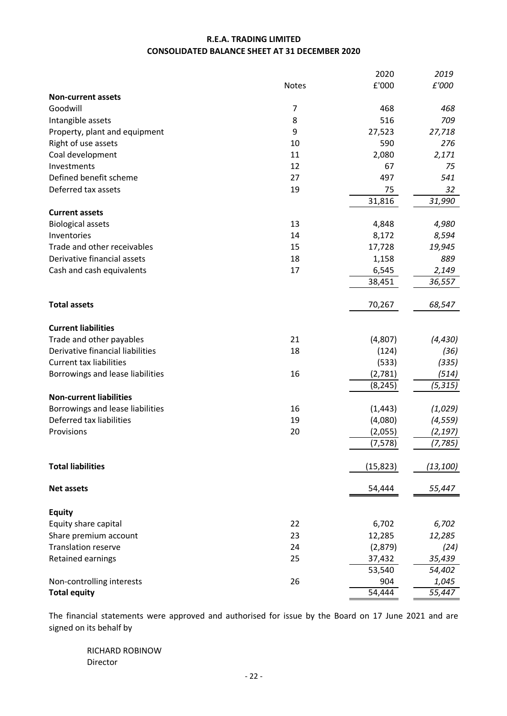## **CONSOLIDATED BALANCE SHEET AT 31 DECEMBER 2020 R.E.A. TRADING LIMITED**

| £'000<br>£'000<br><b>Notes</b><br><b>Non-current assets</b><br>Goodwill<br>7<br>468<br>468<br>516<br>8<br>709<br>Intangible assets<br>27,523<br>9<br>27,718<br>Property, plant and equipment<br>Right of use assets<br>590<br>276<br>10<br>2,080<br>2,171<br>Coal development<br>11<br>Investments<br>12<br>67<br>75<br>Defined benefit scheme<br>27<br>497<br>541<br>Deferred tax assets<br>19<br>75<br>32<br>31,816<br>31,990<br><b>Current assets</b><br><b>Biological assets</b><br>13<br>4,848<br>4,980<br>8,172<br>8,594<br>Inventories<br>14<br>Trade and other receivables<br>19,945<br>15<br>17,728<br>Derivative financial assets<br>889<br>18<br>1,158<br>Cash and cash equivalents<br>6,545<br>2,149<br>17<br>36,557<br>38,451<br><b>Total assets</b><br>70,267<br>68,547<br><b>Current liabilities</b><br>21<br>Trade and other payables<br>(4,807)<br>Derivative financial liabilities<br>18<br>(124)<br><b>Current tax liabilities</b><br>(533) |                                  |    | 2020    | 2019      |
|----------------------------------------------------------------------------------------------------------------------------------------------------------------------------------------------------------------------------------------------------------------------------------------------------------------------------------------------------------------------------------------------------------------------------------------------------------------------------------------------------------------------------------------------------------------------------------------------------------------------------------------------------------------------------------------------------------------------------------------------------------------------------------------------------------------------------------------------------------------------------------------------------------------------------------------------------------------|----------------------------------|----|---------|-----------|
|                                                                                                                                                                                                                                                                                                                                                                                                                                                                                                                                                                                                                                                                                                                                                                                                                                                                                                                                                                |                                  |    |         |           |
|                                                                                                                                                                                                                                                                                                                                                                                                                                                                                                                                                                                                                                                                                                                                                                                                                                                                                                                                                                |                                  |    |         |           |
|                                                                                                                                                                                                                                                                                                                                                                                                                                                                                                                                                                                                                                                                                                                                                                                                                                                                                                                                                                |                                  |    |         |           |
|                                                                                                                                                                                                                                                                                                                                                                                                                                                                                                                                                                                                                                                                                                                                                                                                                                                                                                                                                                |                                  |    |         |           |
|                                                                                                                                                                                                                                                                                                                                                                                                                                                                                                                                                                                                                                                                                                                                                                                                                                                                                                                                                                |                                  |    |         |           |
|                                                                                                                                                                                                                                                                                                                                                                                                                                                                                                                                                                                                                                                                                                                                                                                                                                                                                                                                                                |                                  |    |         |           |
|                                                                                                                                                                                                                                                                                                                                                                                                                                                                                                                                                                                                                                                                                                                                                                                                                                                                                                                                                                |                                  |    |         |           |
|                                                                                                                                                                                                                                                                                                                                                                                                                                                                                                                                                                                                                                                                                                                                                                                                                                                                                                                                                                |                                  |    |         |           |
|                                                                                                                                                                                                                                                                                                                                                                                                                                                                                                                                                                                                                                                                                                                                                                                                                                                                                                                                                                |                                  |    |         |           |
|                                                                                                                                                                                                                                                                                                                                                                                                                                                                                                                                                                                                                                                                                                                                                                                                                                                                                                                                                                |                                  |    |         |           |
|                                                                                                                                                                                                                                                                                                                                                                                                                                                                                                                                                                                                                                                                                                                                                                                                                                                                                                                                                                |                                  |    |         |           |
|                                                                                                                                                                                                                                                                                                                                                                                                                                                                                                                                                                                                                                                                                                                                                                                                                                                                                                                                                                |                                  |    |         |           |
|                                                                                                                                                                                                                                                                                                                                                                                                                                                                                                                                                                                                                                                                                                                                                                                                                                                                                                                                                                |                                  |    |         |           |
|                                                                                                                                                                                                                                                                                                                                                                                                                                                                                                                                                                                                                                                                                                                                                                                                                                                                                                                                                                |                                  |    |         |           |
|                                                                                                                                                                                                                                                                                                                                                                                                                                                                                                                                                                                                                                                                                                                                                                                                                                                                                                                                                                |                                  |    |         |           |
|                                                                                                                                                                                                                                                                                                                                                                                                                                                                                                                                                                                                                                                                                                                                                                                                                                                                                                                                                                |                                  |    |         |           |
|                                                                                                                                                                                                                                                                                                                                                                                                                                                                                                                                                                                                                                                                                                                                                                                                                                                                                                                                                                |                                  |    |         |           |
|                                                                                                                                                                                                                                                                                                                                                                                                                                                                                                                                                                                                                                                                                                                                                                                                                                                                                                                                                                |                                  |    |         |           |
|                                                                                                                                                                                                                                                                                                                                                                                                                                                                                                                                                                                                                                                                                                                                                                                                                                                                                                                                                                |                                  |    |         |           |
|                                                                                                                                                                                                                                                                                                                                                                                                                                                                                                                                                                                                                                                                                                                                                                                                                                                                                                                                                                |                                  |    |         |           |
|                                                                                                                                                                                                                                                                                                                                                                                                                                                                                                                                                                                                                                                                                                                                                                                                                                                                                                                                                                |                                  |    |         |           |
|                                                                                                                                                                                                                                                                                                                                                                                                                                                                                                                                                                                                                                                                                                                                                                                                                                                                                                                                                                |                                  |    |         | (4, 430)  |
|                                                                                                                                                                                                                                                                                                                                                                                                                                                                                                                                                                                                                                                                                                                                                                                                                                                                                                                                                                |                                  |    |         | (36)      |
|                                                                                                                                                                                                                                                                                                                                                                                                                                                                                                                                                                                                                                                                                                                                                                                                                                                                                                                                                                |                                  |    |         | (335)     |
|                                                                                                                                                                                                                                                                                                                                                                                                                                                                                                                                                                                                                                                                                                                                                                                                                                                                                                                                                                | Borrowings and lease liabilities | 16 | (2,781) | (514)     |
| (8, 245)                                                                                                                                                                                                                                                                                                                                                                                                                                                                                                                                                                                                                                                                                                                                                                                                                                                                                                                                                       |                                  |    |         | (5, 315)  |
| <b>Non-current liabilities</b>                                                                                                                                                                                                                                                                                                                                                                                                                                                                                                                                                                                                                                                                                                                                                                                                                                                                                                                                 |                                  |    |         |           |
| Borrowings and lease liabilities<br>16<br>(1, 443)                                                                                                                                                                                                                                                                                                                                                                                                                                                                                                                                                                                                                                                                                                                                                                                                                                                                                                             |                                  |    |         | (1,029)   |
| Deferred tax liabilities<br>19<br>(4,080)                                                                                                                                                                                                                                                                                                                                                                                                                                                                                                                                                                                                                                                                                                                                                                                                                                                                                                                      |                                  |    |         | (4, 559)  |
| 20<br>(2, 197)<br>Provisions<br>(2,055)                                                                                                                                                                                                                                                                                                                                                                                                                                                                                                                                                                                                                                                                                                                                                                                                                                                                                                                        |                                  |    |         |           |
| (7,785)<br>(7, 578)                                                                                                                                                                                                                                                                                                                                                                                                                                                                                                                                                                                                                                                                                                                                                                                                                                                                                                                                            |                                  |    |         |           |
| <b>Total liabilities</b><br>(15, 823)                                                                                                                                                                                                                                                                                                                                                                                                                                                                                                                                                                                                                                                                                                                                                                                                                                                                                                                          |                                  |    |         | (13, 100) |
| <b>Net assets</b><br>54,444<br>55,447                                                                                                                                                                                                                                                                                                                                                                                                                                                                                                                                                                                                                                                                                                                                                                                                                                                                                                                          |                                  |    |         |           |
| <b>Equity</b>                                                                                                                                                                                                                                                                                                                                                                                                                                                                                                                                                                                                                                                                                                                                                                                                                                                                                                                                                  |                                  |    |         |           |
| 22<br>Equity share capital<br>6,702<br>6,702                                                                                                                                                                                                                                                                                                                                                                                                                                                                                                                                                                                                                                                                                                                                                                                                                                                                                                                   |                                  |    |         |           |
| Share premium account<br>23<br>12,285<br>12,285                                                                                                                                                                                                                                                                                                                                                                                                                                                                                                                                                                                                                                                                                                                                                                                                                                                                                                                |                                  |    |         |           |
| <b>Translation reserve</b><br>(2,879)<br>24                                                                                                                                                                                                                                                                                                                                                                                                                                                                                                                                                                                                                                                                                                                                                                                                                                                                                                                    |                                  |    |         | (24)      |
| 25<br>35,439<br>Retained earnings<br>37,432                                                                                                                                                                                                                                                                                                                                                                                                                                                                                                                                                                                                                                                                                                                                                                                                                                                                                                                    |                                  |    |         |           |
| 53,540<br>54,402                                                                                                                                                                                                                                                                                                                                                                                                                                                                                                                                                                                                                                                                                                                                                                                                                                                                                                                                               |                                  |    |         |           |
| 26<br>904<br>1,045<br>Non-controlling interests                                                                                                                                                                                                                                                                                                                                                                                                                                                                                                                                                                                                                                                                                                                                                                                                                                                                                                                |                                  |    |         |           |
| <b>Total equity</b><br>55,447<br>54,444                                                                                                                                                                                                                                                                                                                                                                                                                                                                                                                                                                                                                                                                                                                                                                                                                                                                                                                        |                                  |    |         |           |

The financial statements were approved and authorised for issue by the Board on 17 June 2021 and are signed on its behalf by

RICHARD ROBINOW Director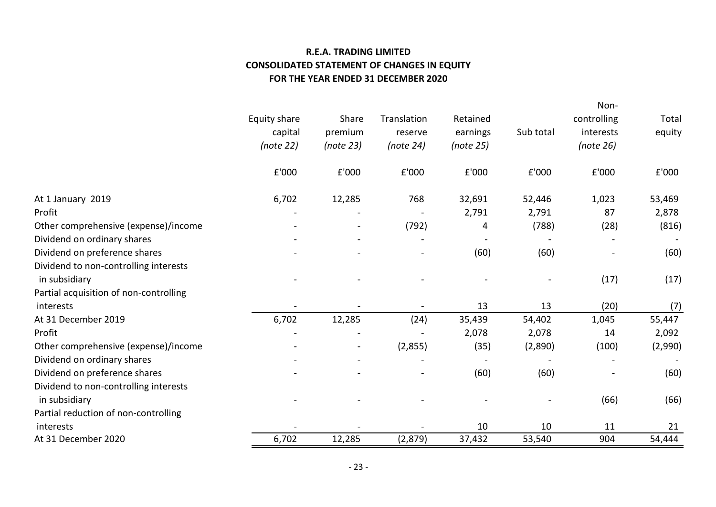## **R.E.A. TRADING LIMITED CONSOLIDATED STATEMENT OF CHANGES IN EQUITY FOR THE YEAR ENDED 31 DECEMBER 2020**

|                                        |              |           |             |           |           | Non-        |         |
|----------------------------------------|--------------|-----------|-------------|-----------|-----------|-------------|---------|
|                                        | Equity share | Share     | Translation | Retained  |           | controlling | Total   |
|                                        | capital      | premium   | reserve     | earnings  | Sub total | interests   | equity  |
|                                        | (note 22)    | (note 23) | (note 24)   | (note 25) |           | (note 26)   |         |
|                                        | £'000        | £'000     | £'000       | £'000     | £'000     | £'000       | E'000   |
| At 1 January 2019                      | 6,702        | 12,285    | 768         | 32,691    | 52,446    | 1,023       | 53,469  |
| Profit                                 |              |           |             | 2,791     | 2,791     | 87          | 2,878   |
| Other comprehensive (expense)/income   |              |           | (792)       | 4         | (788)     | (28)        | (816)   |
| Dividend on ordinary shares            |              |           |             |           |           |             |         |
| Dividend on preference shares          |              |           |             | (60)      | (60)      |             | (60)    |
| Dividend to non-controlling interests  |              |           |             |           |           |             |         |
| in subsidiary                          |              |           |             |           |           | (17)        | (17)    |
| Partial acquisition of non-controlling |              |           |             |           |           |             |         |
| interests                              |              |           |             | 13        | 13        | (20)        | (7)     |
| At 31 December 2019                    | 6,702        | 12,285    | (24)        | 35,439    | 54,402    | 1,045       | 55,447  |
| Profit                                 |              |           |             | 2,078     | 2,078     | 14          | 2,092   |
| Other comprehensive (expense)/income   |              |           | (2,855)     | (35)      | (2,890)   | (100)       | (2,990) |
| Dividend on ordinary shares            |              |           |             |           |           |             |         |
| Dividend on preference shares          |              |           |             | (60)      | (60)      |             | (60)    |
| Dividend to non-controlling interests  |              |           |             |           |           |             |         |
| in subsidiary                          |              |           |             |           |           | (66)        | (66)    |
| Partial reduction of non-controlling   |              |           |             |           |           |             |         |
| interests                              |              |           |             | 10        | 10        | 11          | 21      |
| At 31 December 2020                    | 6,702        | 12,285    | (2,879)     | 37,432    | 53,540    | 904         | 54,444  |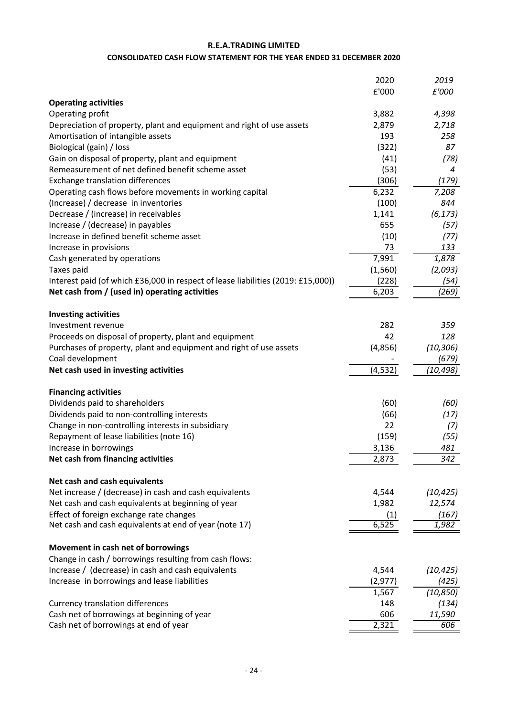## **R.E.A.TRADING LIMITED**

#### **CONSOLIDATED CASH FLOW STATEMENT FOR THE YEAR ENDED 31 DECEMBER 2020**

|                                                                                  | 2020     | 2019             |
|----------------------------------------------------------------------------------|----------|------------------|
|                                                                                  | £'000    | £'000            |
| <b>Operating activities</b>                                                      |          |                  |
| Operating profit                                                                 | 3,882    | 4,398            |
| Depreciation of property, plant and equipment and right of use assets            | 2,879    | 2,718            |
| Amortisation of intangible assets                                                | 193      | 258              |
| Biological (gain) / loss                                                         | (322)    | 87               |
| Gain on disposal of property, plant and equipment                                | (41)     | (78)             |
| Remeasurement of net defined benefit scheme asset                                | (53)     | 4                |
| <b>Exchange translation differences</b>                                          | (306)    | (179)            |
| Operating cash flows before movements in working capital                         | 6,232    | 7,208            |
| (Increase) / decrease in inventories                                             | (100)    | 844              |
| Decrease / (increase) in receivables                                             | 1,141    | (6, 173)         |
| Increase / (decrease) in payables                                                | 655      | (57)             |
| Increase in defined benefit scheme asset                                         | (10)     | (77)             |
| Increase in provisions                                                           | 73       | 133              |
| Cash generated by operations                                                     | 7,991    | 1,878            |
| Taxes paid                                                                       | (1, 560) | (2,093)          |
| Interest paid (of which £36,000 in respect of lease liabilities (2019: £15,000)) | (228)    | (54)             |
| Net cash from / (used in) operating activities                                   | 6,203    | (269)            |
|                                                                                  |          |                  |
| <b>Investing activities</b>                                                      |          |                  |
| Investment revenue                                                               | 282      | 359              |
| Proceeds on disposal of property, plant and equipment                            | 42       | 128              |
| Purchases of property, plant and equipment and right of use assets               | (4, 856) | (10, 306)        |
| Coal development                                                                 |          | (679)            |
| Net cash used in investing activities                                            | (4, 532) | (10, 498)        |
|                                                                                  |          |                  |
| <b>Financing activities</b>                                                      |          |                  |
| Dividends paid to shareholders                                                   | (60)     | (60)             |
| Dividends paid to non-controlling interests                                      | (66)     | (17)             |
| Change in non-controlling interests in subsidiary                                | 22       | (7)              |
| Repayment of lease liabilities (note 16)                                         | (159)    | (55)             |
| Increase in borrowings                                                           | 3,136    | 481              |
| Net cash from financing activities                                               | 2,873    | $\overline{342}$ |
|                                                                                  |          |                  |
| Net cash and cash equivalents                                                    |          |                  |
| Net increase / (decrease) in cash and cash equivalents                           | 4,544    | (10, 425)        |
| Net cash and cash equivalents at beginning of year                               | 1,982    | 12,574           |
| Effect of foreign exchange rate changes                                          | (1)      | (167)            |
| Net cash and cash equivalents at end of year (note 17)                           | 6,525    | 1,982            |
|                                                                                  |          |                  |
| Movement in cash net of borrowings                                               |          |                  |
| Change in cash / borrowings resulting from cash flows:                           |          |                  |
| Increase / (decrease) in cash and cash equivalents                               | 4,544    | (10, 425)        |
| Increase in borrowings and lease liabilities                                     | (2, 977) | (425)            |
|                                                                                  | 1,567    | (10, 850)        |
| <b>Currency translation differences</b>                                          | 148      | (134)            |
| Cash net of borrowings at beginning of year                                      | 606      | 11,590           |
| Cash net of borrowings at end of year                                            | 2,321    | 606              |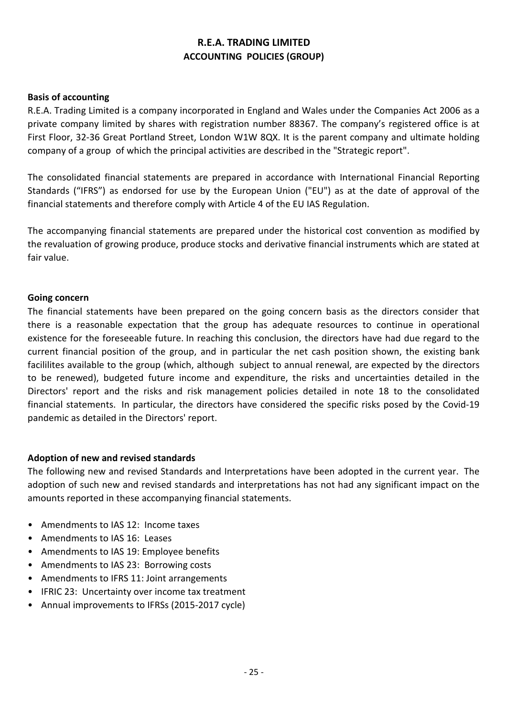## **Basis of accounting**

R.E.A. Trading Limited is a company incorporated in England and Wales under the Companies Act 2006 as a private company limited by shares with registration number 88367. The company's registered office is at First Floor, 32-36 Great Portland Street, London W1W 8QX. It is the parent company and ultimate holding company of a group of which the principal activities are described in the "Strategic report".

The consolidated financial statements are prepared in accordance with International Financial Reporting Standards ("IFRS") as endorsed for use by the European Union ("EU") as at the date of approval of the financial statements and therefore comply with Article 4 of the EU IAS Regulation.

The accompanying financial statements are prepared under the historical cost convention as modified by the revaluation of growing produce, produce stocks and derivative financial instruments which are stated at fair value.

## **Going concern**

The financial statements have been prepared on the going concern basis as the directors consider that there is a reasonable expectation that the group has adequate resources to continue in operational existence for the foreseeable future. In reaching this conclusion, the directors have had due regard to the current financial position of the group, and in particular the net cash position shown, the existing bank facililites available to the group (which, although subject to annual renewal, are expected by the directors to be renewed), budgeted future income and expenditure, the risks and uncertainties detailed in the Directors' report and the risks and risk management policies detailed in note 18 to the consolidated financial statements. In particular, the directors have considered the specific risks posed by the Covid-19 pandemic as detailed in the Directors' report.

## **Adoption of new and revised standards**

The following new and revised Standards and Interpretations have been adopted in the current year. The adoption of such new and revised standards and interpretations has not had any significant impact on the amounts reported in these accompanying financial statements.

- Amendments to IAS 12: Income taxes
- Amendments to IAS 16: Leases
- Amendments to IAS 19: Employee benefits
- Amendments to IAS 23: Borrowing costs
- Amendments to IFRS 11: Joint arrangements
- IFRIC 23: Uncertainty over income tax treatment
- Annual improvements to IFRSs (2015-2017 cycle)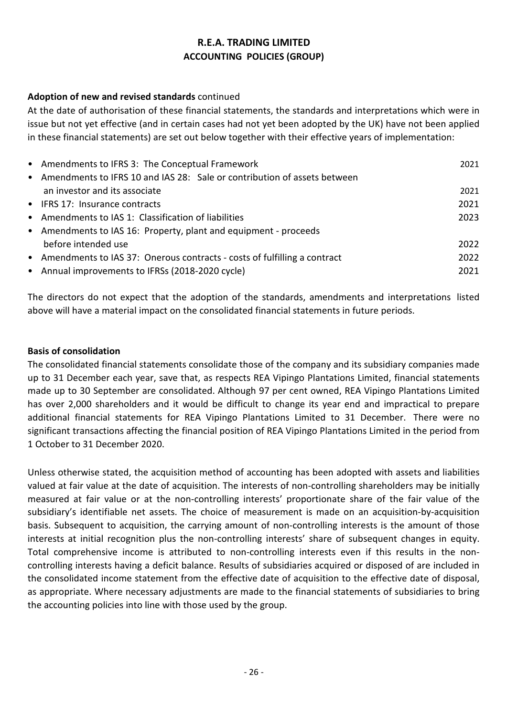## **Adoption of new and revised standards** continued

At the date of authorisation of these financial statements, the standards and interpretations which were in issue but not yet effective (and in certain cases had not yet been adopted by the UK) have not been applied in these financial statements) are set out below together with their effective years of implementation:

| • Amendments to IFRS 3: The Conceptual Framework                           | 2021 |
|----------------------------------------------------------------------------|------|
| • Amendments to IFRS 10 and IAS 28: Sale or contribution of assets between |      |
| an investor and its associate                                              | 2021 |
| • IFRS 17: Insurance contracts                                             | 2021 |
| • Amendments to IAS 1: Classification of liabilities                       | 2023 |
| • Amendments to IAS 16: Property, plant and equipment - proceeds           |      |
| before intended use                                                        | 2022 |
| • Amendments to IAS 37: Onerous contracts - costs of fulfilling a contract | 2022 |
| • Annual improvements to IFRSs (2018-2020 cycle)                           | 2021 |

The directors do not expect that the adoption of the standards, amendments and interpretations listed above will have a material impact on the consolidated financial statements in future periods.

## **Basis of consolidation**

The consolidated financial statements consolidate those of the company and its subsidiary companies made up to 31 December each year, save that, as respects REA Vipingo Plantations Limited, financial statements made up to 30 September are consolidated. Although 97 per cent owned, REA Vipingo Plantations Limited has over 2,000 shareholders and it would be difficult to change its year end and impractical to prepare additional financial statements for REA Vipingo Plantations Limited to 31 December. There were no significant transactions affecting the financial position of REA Vipingo Plantations Limited in the period from 1 October to 31 December 2020.

Unless otherwise stated, the acquisition method of accounting has been adopted with assets and liabilities valued at fair value at the date of acquisition. The interests of non-controlling shareholders may be initially measured at fair value or at the non-controlling interests' proportionate share of the fair value of the subsidiary's identifiable net assets. The choice of measurement is made on an acquisition-by-acquisition basis. Subsequent to acquisition, the carrying amount of non-controlling interests is the amount of those interests at initial recognition plus the non-controlling interests' share of subsequent changes in equity. Total comprehensive income is attributed to non-controlling interests even if this results in the noncontrolling interests having a deficit balance. Results of subsidiaries acquired or disposed of are included in the consolidated income statement from the effective date of acquisition to the effective date of disposal, as appropriate. Where necessary adjustments are made to the financial statements of subsidiaries to bring the accounting policies into line with those used by the group.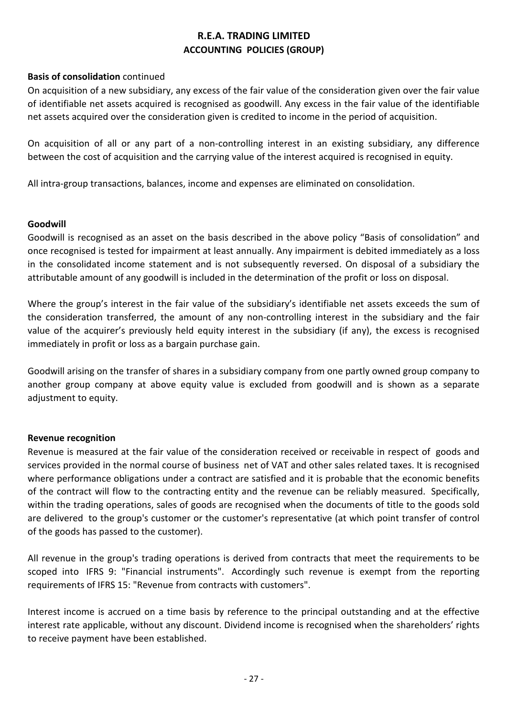## **Basis of consolidation** continued

On acquisition of a new subsidiary, any excess of the fair value of the consideration given over the fair value of identifiable net assets acquired is recognised as goodwill. Any excess in the fair value of the identifiable net assets acquired over the consideration given is credited to income in the period of acquisition.

On acquisition of all or any part of a non-controlling interest in an existing subsidiary, any difference between the cost of acquisition and the carrying value of the interest acquired is recognised in equity.

All intra-group transactions, balances, income and expenses are eliminated on consolidation.

## **Goodwill**

Goodwill is recognised as an asset on the basis described in the above policy "Basis of consolidation" and once recognised is tested for impairment at least annually. Any impairment is debited immediately as a loss in the consolidated income statement and is not subsequently reversed. On disposal of a subsidiary the attributable amount of any goodwill is included in the determination of the profit or loss on disposal.

Where the group's interest in the fair value of the subsidiary's identifiable net assets exceeds the sum of the consideration transferred, the amount of any non-controlling interest in the subsidiary and the fair value of the acquirer's previously held equity interest in the subsidiary (if any), the excess is recognised immediately in profit or loss as a bargain purchase gain.

Goodwill arising on the transfer of shares in a subsidiary company from one partly owned group company to another group company at above equity value is excluded from goodwill and is shown as a separate adjustment to equity.

## **Revenue recognition**

Revenue is measured at the fair value of the consideration received or receivable in respect of goods and services provided in the normal course of business net of VAT and other sales related taxes. It is recognised where performance obligations under a contract are satisfied and it is probable that the economic benefits of the contract will flow to the contracting entity and the revenue can be reliably measured. Specifically, within the trading operations, sales of goods are recognised when the documents of title to the goods sold are delivered to the group's customer or the customer's representative (at which point transfer of control of the goods has passed to the customer).

All revenue in the group's trading operations is derived from contracts that meet the requirements to be scoped into IFRS 9: "Financial instruments". Accordingly such revenue is exempt from the reporting requirements of IFRS 15: "Revenue from contracts with customers".

Interest income is accrued on a time basis by reference to the principal outstanding and at the effective interest rate applicable, without any discount. Dividend income is recognised when the shareholders' rights to receive payment have been established.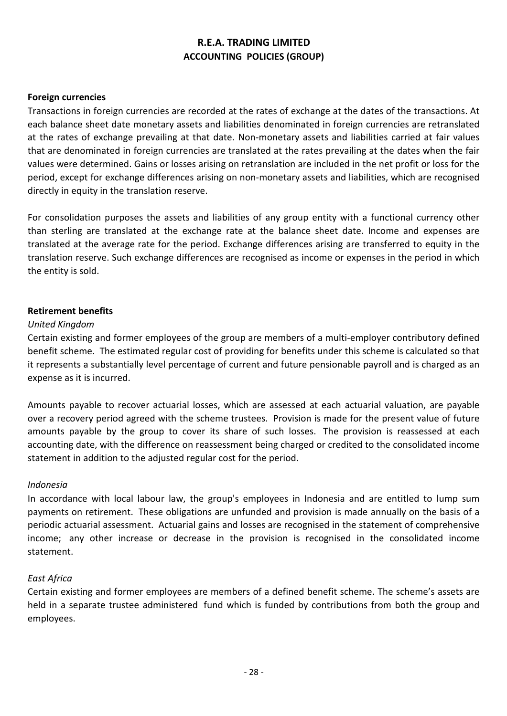## **Foreign currencies**

Transactions in foreign currencies are recorded at the rates of exchange at the dates of the transactions. At each balance sheet date monetary assets and liabilities denominated in foreign currencies are retranslated at the rates of exchange prevailing at that date. Non-monetary assets and liabilities carried at fair values that are denominated in foreign currencies are translated at the rates prevailing at the dates when the fair values were determined. Gains or losses arising on retranslation are included in the net profit or loss for the period, except for exchange differences arising on non-monetary assets and liabilities, which are recognised directly in equity in the translation reserve.

For consolidation purposes the assets and liabilities of any group entity with a functional currency other than sterling are translated at the exchange rate at the balance sheet date. Income and expenses are translated at the average rate for the period. Exchange differences arising are transferred to equity in the translation reserve. Such exchange differences are recognised as income or expenses in the period in which the entity is sold.

## **Retirement benefits**

### *United Kingdom*

Certain existing and former employees of the group are members of a multi-employer contributory defined benefit scheme. The estimated regular cost of providing for benefits under this scheme is calculated so that it represents a substantially level percentage of current and future pensionable payroll and is charged as an expense as it is incurred.

Amounts payable to recover actuarial losses, which are assessed at each actuarial valuation, are payable over a recovery period agreed with the scheme trustees. Provision is made for the present value of future amounts payable by the group to cover its share of such losses. The provision is reassessed at each accounting date, with the difference on reassessment being charged or credited to the consolidated income statement in addition to the adjusted regular cost for the period.

## *Indonesia*

In accordance with local labour law, the group's employees in Indonesia and are entitled to lump sum payments on retirement. These obligations are unfunded and provision is made annually on the basis of a periodic actuarial assessment. Actuarial gains and losses are recognised in the statement of comprehensive income; any other increase or decrease in the provision is recognised in the consolidated income statement.

## *East Africa*

Certain existing and former employees are members of a defined benefit scheme. The scheme's assets are held in a separate trustee administered fund which is funded by contributions from both the group and employees.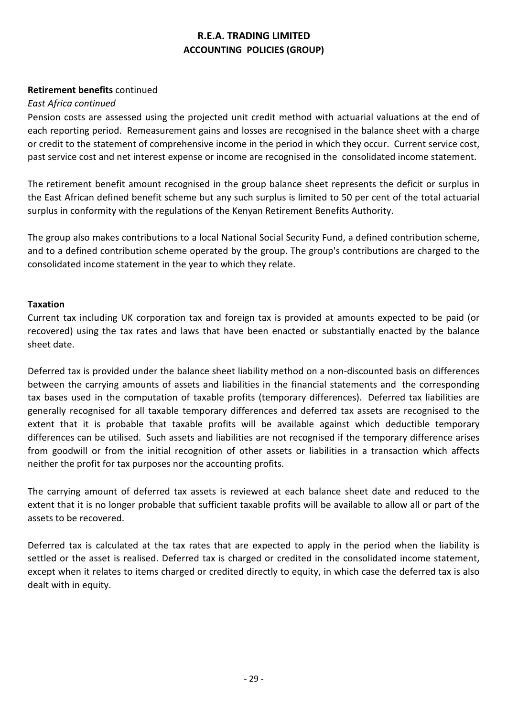## **Retirement benefits** continued

## *East Africa continued*

Pension costs are assessed using the projected unit credit method with actuarial valuations at the end of each reporting period. Remeasurement gains and losses are recognised in the balance sheet with a charge or credit to the statement of comprehensive income in the period in which they occur. Current service cost, past service cost and net interest expense or income are recognised in the consolidated income statement.

The retirement benefit amount recognised in the group balance sheet represents the deficit or surplus in the East African defined benefit scheme but any such surplus is limited to 50 per cent of the total actuarial surplus in conformity with the regulations of the Kenyan Retirement Benefits Authority.

The group also makes contributions to a local National Social Security Fund, a defined contribution scheme, and to a defined contribution scheme operated by the group. The group's contributions are charged to the consolidated income statement in the year to which they relate.

## **Taxation**

Current tax including UK corporation tax and foreign tax is provided at amounts expected to be paid (or recovered) using the tax rates and laws that have been enacted or substantially enacted by the balance sheet date.

Deferred tax is provided under the balance sheet liability method on a non-discounted basis on differences between the carrying amounts of assets and liabilities in the financial statements and the corresponding tax bases used in the computation of taxable profits (temporary differences). Deferred tax liabilities are generally recognised for all taxable temporary differences and deferred tax assets are recognised to the extent that it is probable that taxable profits will be available against which deductible temporary differences can be utilised. Such assets and liabilities are not recognised if the temporary difference arises from goodwill or from the initial recognition of other assets or liabilities in a transaction which affects neither the profit for tax purposes nor the accounting profits.

The carrying amount of deferred tax assets is reviewed at each balance sheet date and reduced to the extent that it is no longer probable that sufficient taxable profits will be available to allow all or part of the assets to be recovered.

Deferred tax is calculated at the tax rates that are expected to apply in the period when the liability is settled or the asset is realised. Deferred tax is charged or credited in the consolidated income statement, except when it relates to items charged or credited directly to equity, in which case the deferred tax is also dealt with in equity.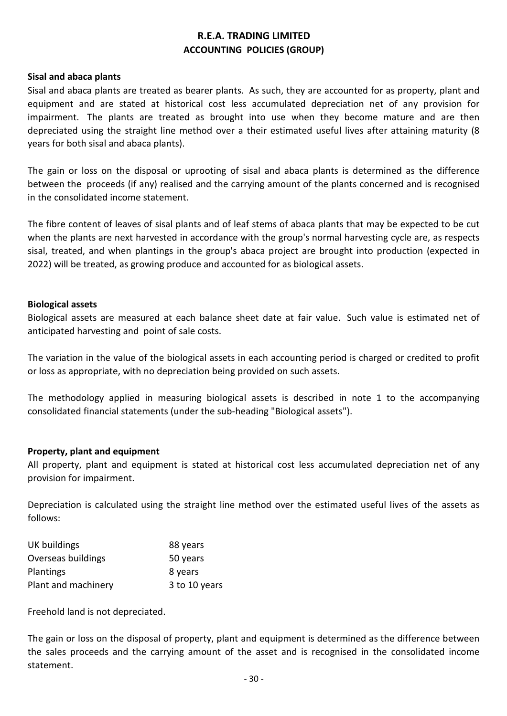# **ACCOUNTING POLICIES (GROUP) R.E.A. TRADING LIMITED**

## **Sisal and abaca plants**

Sisal and abaca plants are treated as bearer plants. As such, they are accounted for as property, plant and equipment and are stated at historical cost less accumulated depreciation net of any provision for impairment. The plants are treated as brought into use when they become mature and are then depreciated using the straight line method over a their estimated useful lives after attaining maturity (8 years for both sisal and abaca plants).

The gain or loss on the disposal or uprooting of sisal and abaca plants is determined as the difference between the proceeds (if any) realised and the carrying amount of the plants concerned and is recognised in the consolidated income statement.

The fibre content of leaves of sisal plants and of leaf stems of abaca plants that may be expected to be cut when the plants are next harvested in accordance with the group's normal harvesting cycle are, as respects sisal, treated, and when plantings in the group's abaca project are brought into production (expected in 2022) will be treated, as growing produce and accounted for as biological assets.

### **Biological assets**

Biological assets are measured at each balance sheet date at fair value. Such value is estimated net of anticipated harvesting and point of sale costs.

The variation in the value of the biological assets in each accounting period is charged or credited to profit or loss as appropriate, with no depreciation being provided on such assets.

The methodology applied in measuring biological assets is described in note 1 to the accompanying consolidated financial statements (under the sub-heading "Biological assets").

## **Property, plant and equipment**

All property, plant and equipment is stated at historical cost less accumulated depreciation net of any provision for impairment.

Depreciation is calculated using the straight line method over the estimated useful lives of the assets as follows:

| UK buildings        | 88 years      |
|---------------------|---------------|
| Overseas buildings  | 50 years      |
| <b>Plantings</b>    | 8 years       |
| Plant and machinery | 3 to 10 years |

Freehold land is not depreciated.

The gain or loss on the disposal of property, plant and equipment is determined as the difference between the sales proceeds and the carrying amount of the asset and is recognised in the consolidated income statement.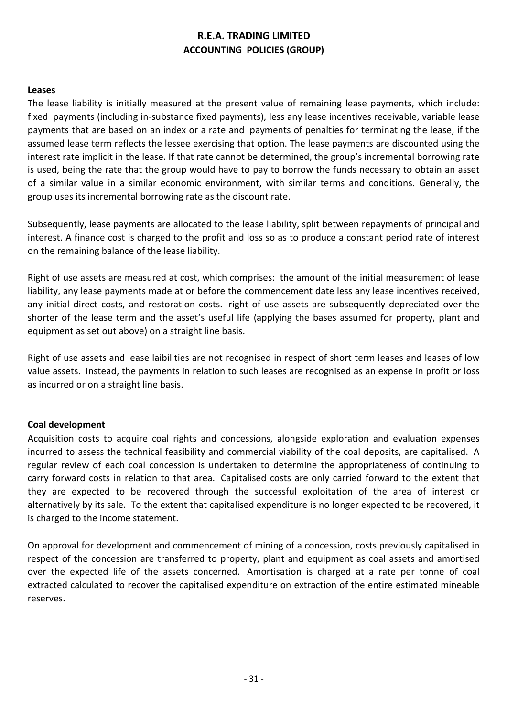# **ACCOUNTING POLICIES (GROUP) R.E.A. TRADING LIMITED**

## **Leases**

The lease liability is initially measured at the present value of remaining lease payments, which include: fixed payments (including in-substance fixed payments), less any lease incentives receivable, variable lease payments that are based on an index or a rate and payments of penalties for terminating the lease, if the assumed lease term reflects the lessee exercising that option. The lease payments are discounted using the interest rate implicit in the lease. If that rate cannot be determined, the group's incremental borrowing rate is used, being the rate that the group would have to pay to borrow the funds necessary to obtain an asset of a similar value in a similar economic environment, with similar terms and conditions. Generally, the group uses its incremental borrowing rate as the discount rate.

Subsequently, lease payments are allocated to the lease liability, split between repayments of principal and interest. A finance cost is charged to the profit and loss so as to produce a constant period rate of interest on the remaining balance of the lease liability.

Right of use assets are measured at cost, which comprises: the amount of the initial measurement of lease liability, any lease payments made at or before the commencement date less any lease incentives received, any initial direct costs, and restoration costs. right of use assets are subsequently depreciated over the shorter of the lease term and the asset's useful life (applying the bases assumed for property, plant and equipment as set out above) on a straight line basis.

Right of use assets and lease laibilities are not recognised in respect of short term leases and leases of low value assets. Instead, the payments in relation to such leases are recognised as an expense in profit or loss as incurred or on a straight line basis.

## **Coal development**

Acquisition costs to acquire coal rights and concessions, alongside exploration and evaluation expenses incurred to assess the technical feasibility and commercial viability of the coal deposits, are capitalised. A regular review of each coal concession is undertaken to determine the appropriateness of continuing to carry forward costs in relation to that area. Capitalised costs are only carried forward to the extent that they are expected to be recovered through the successful exploitation of the area of interest or alternatively by its sale. To the extent that capitalised expenditure is no longer expected to be recovered, it is charged to the income statement.

On approval for development and commencement of mining of a concession, costs previously capitalised in respect of the concession are transferred to property, plant and equipment as coal assets and amortised over the expected life of the assets concerned. Amortisation is charged at a rate per tonne of coal extracted calculated to recover the capitalised expenditure on extraction of the entire estimated mineable reserves.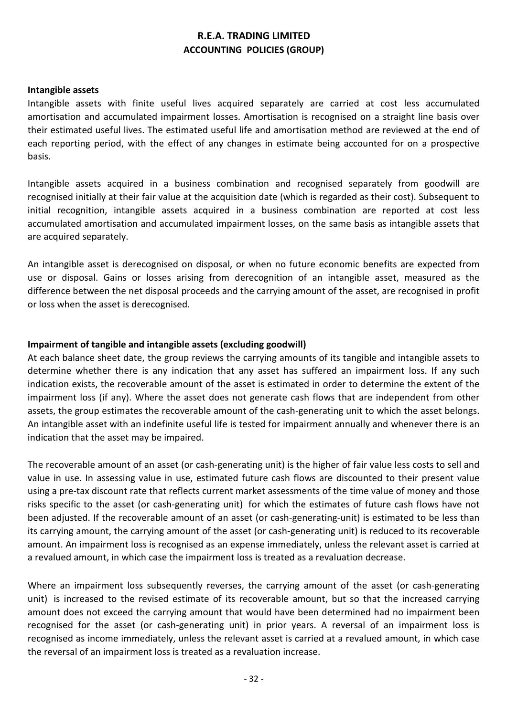### **Intangible assets**

Intangible assets with finite useful lives acquired separately are carried at cost less accumulated amortisation and accumulated impairment losses. Amortisation is recognised on a straight line basis over their estimated useful lives. The estimated useful life and amortisation method are reviewed at the end of each reporting period, with the effect of any changes in estimate being accounted for on a prospective basis.

Intangible assets acquired in a business combination and recognised separately from goodwill are recognised initially at their fair value at the acquisition date (which is regarded as their cost). Subsequent to initial recognition, intangible assets acquired in a business combination are reported at cost less accumulated amortisation and accumulated impairment losses, on the same basis as intangible assets that are acquired separately.

An intangible asset is derecognised on disposal, or when no future economic benefits are expected from use or disposal. Gains or losses arising from derecognition of an intangible asset, measured as the difference between the net disposal proceeds and the carrying amount of the asset, are recognised in profit or loss when the asset is derecognised.

## **Impairment of tangible and intangible assets (excluding goodwill)**

At each balance sheet date, the group reviews the carrying amounts of its tangible and intangible assets to determine whether there is any indication that any asset has suffered an impairment loss. If any such indication exists, the recoverable amount of the asset is estimated in order to determine the extent of the impairment loss (if any). Where the asset does not generate cash flows that are independent from other assets, the group estimates the recoverable amount of the cash-generating unit to which the asset belongs. An intangible asset with an indefinite useful life is tested for impairment annually and whenever there is an indication that the asset may be impaired.

The recoverable amount of an asset (or cash-generating unit) is the higher of fair value less costs to sell and value in use. In assessing value in use, estimated future cash flows are discounted to their present value using a pre-tax discount rate that reflects current market assessments of the time value of money and those risks specific to the asset (or cash-generating unit) for which the estimates of future cash flows have not been adjusted. If the recoverable amount of an asset (or cash-generating-unit) is estimated to be less than its carrying amount, the carrying amount of the asset (or cash-generating unit) is reduced to its recoverable amount. An impairment loss is recognised as an expense immediately, unless the relevant asset is carried at a revalued amount, in which case the impairment loss is treated as a revaluation decrease.

Where an impairment loss subsequently reverses, the carrying amount of the asset (or cash-generating unit) is increased to the revised estimate of its recoverable amount, but so that the increased carrying amount does not exceed the carrying amount that would have been determined had no impairment been recognised for the asset (or cash-generating unit) in prior years. A reversal of an impairment loss is recognised as income immediately, unless the relevant asset is carried at a revalued amount, in which case the reversal of an impairment loss is treated as a revaluation increase.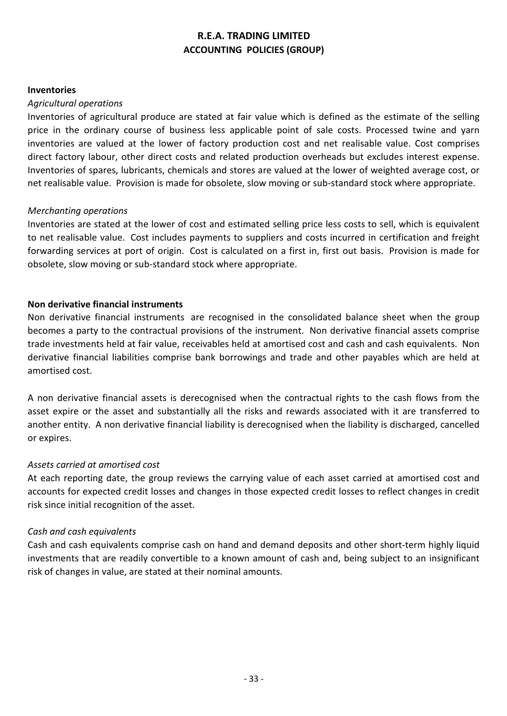### **Inventories**

### *Agricultural operations*

Inventories of agricultural produce are stated at fair value which is defined as the estimate of the selling price in the ordinary course of business less applicable point of sale costs. Processed twine and yarn inventories are valued at the lower of factory production cost and net realisable value. Cost comprises direct factory labour, other direct costs and related production overheads but excludes interest expense. Inventories of spares, lubricants, chemicals and stores are valued at the lower of weighted average cost, or net realisable value. Provision is made for obsolete, slow moving or sub-standard stock where appropriate.

## *Merchanting operations*

Inventories are stated at the lower of cost and estimated selling price less costs to sell, which is equivalent to net realisable value. Cost includes payments to suppliers and costs incurred in certification and freight forwarding services at port of origin. Cost is calculated on a first in, first out basis. Provision is made for obsolete, slow moving or sub-standard stock where appropriate.

## **Non derivative financial instruments**

Non derivative financial instruments are recognised in the consolidated balance sheet when the group becomes a party to the contractual provisions of the instrument. Non derivative financial assets comprise trade investments held at fair value, receivables held at amortised cost and cash and cash equivalents. Non derivative financial liabilities comprise bank borrowings and trade and other payables which are held at amortised cost.

A non derivative financial assets is derecognised when the contractual rights to the cash flows from the asset expire or the asset and substantially all the risks and rewards associated with it are transferred to another entity. A non derivative financial liability is derecognised when the liability is discharged, cancelled or expires.

## *Assets carried at amortised cost*

At each reporting date, the group reviews the carrying value of each asset carried at amortised cost and accounts for expected credit losses and changes in those expected credit losses to reflect changes in credit risk since initial recognition of the asset.

## *Cash and cash equivalents*

Cash and cash equivalents comprise cash on hand and demand deposits and other short-term highly liquid investments that are readily convertible to a known amount of cash and, being subject to an insignificant risk of changes in value, are stated at their nominal amounts.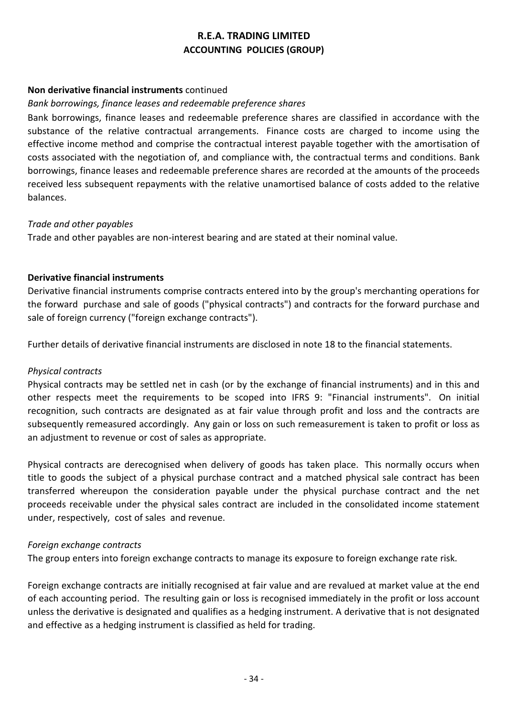## **Non derivative financial instruments** continued

## *Bank borrowings, finance leases and redeemable preference shares*

Bank borrowings, finance leases and redeemable preference shares are classified in accordance with the substance of the relative contractual arrangements. Finance costs are charged to income using the effective income method and comprise the contractual interest payable together with the amortisation of costs associated with the negotiation of, and compliance with, the contractual terms and conditions. Bank borrowings, finance leases and redeemable preference shares are recorded at the amounts of the proceeds received less subsequent repayments with the relative unamortised balance of costs added to the relative balances.

## *Trade and other payables*

Trade and other payables are non-interest bearing and are stated at their nominal value.

## **Derivative financial instruments**

Derivative financial instruments comprise contracts entered into by the group's merchanting operations for the forward purchase and sale of goods ("physical contracts") and contracts for the forward purchase and sale of foreign currency ("foreign exchange contracts").

Further details of derivative financial instruments are disclosed in note 18 to the financial statements.

## *Physical contracts*

Physical contracts may be settled net in cash (or by the exchange of financial instruments) and in this and other respects meet the requirements to be scoped into IFRS 9: "Financial instruments". On initial recognition, such contracts are designated as at fair value through profit and loss and the contracts are subsequently remeasured accordingly. Any gain or loss on such remeasurement is taken to profit or loss as an adjustment to revenue or cost of sales as appropriate.

Physical contracts are derecognised when delivery of goods has taken place. This normally occurs when title to goods the subject of a physical purchase contract and a matched physical sale contract has been transferred whereupon the consideration payable under the physical purchase contract and the net proceeds receivable under the physical sales contract are included in the consolidated income statement under, respectively, cost of sales and revenue.

## *Foreign exchange contracts*

The group enters into foreign exchange contracts to manage its exposure to foreign exchange rate risk.

Foreign exchange contracts are initially recognised at fair value and are revalued at market value at the end of each accounting period. The resulting gain or loss is recognised immediately in the profit or loss account unless the derivative is designated and qualifies as a hedging instrument. A derivative that is not designated and effective as a hedging instrument is classified as held for trading.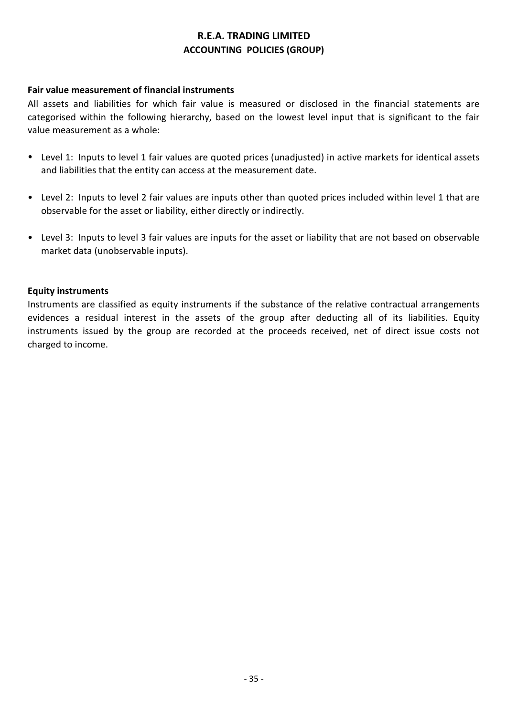# **ACCOUNTING POLICIES (GROUP) R.E.A. TRADING LIMITED**

## **Fair value measurement of financial instruments**

All assets and liabilities for which fair value is measured or disclosed in the financial statements are categorised within the following hierarchy, based on the lowest level input that is significant to the fair value measurement as a whole:

- Level 1: Inputs to level 1 fair values are quoted prices (unadjusted) in active markets for identical assets and liabilities that the entity can access at the measurement date.
- Level 2: Inputs to level 2 fair values are inputs other than quoted prices included within level 1 that are observable for the asset or liability, either directly or indirectly.
- Level 3: Inputs to level 3 fair values are inputs for the asset or liability that are not based on observable market data (unobservable inputs).

## **Equity instruments**

Instruments are classified as equity instruments if the substance of the relative contractual arrangements evidences a residual interest in the assets of the group after deducting all of its liabilities. Equity instruments issued by the group are recorded at the proceeds received, net of direct issue costs not charged to income.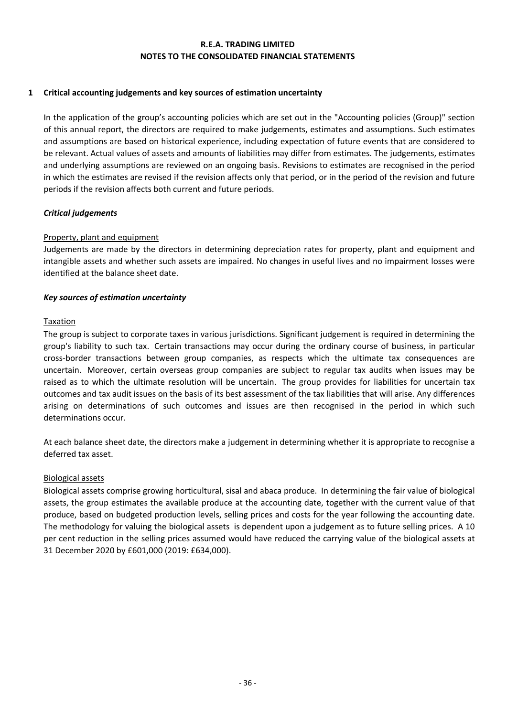### **1 Critical accounting judgements and key sources of estimation uncertainty**

In the application of the group's accounting policies which are set out in the "Accounting policies (Group)" section of this annual report, the directors are required to make judgements, estimates and assumptions. Such estimates and assumptions are based on historical experience, including expectation of future events that are considered to be relevant. Actual values of assets and amounts of liabilities may differ from estimates. The judgements, estimates and underlying assumptions are reviewed on an ongoing basis. Revisions to estimates are recognised in the period in which the estimates are revised if the revision affects only that period, or in the period of the revision and future periods if the revision affects both current and future periods.

### *Critical judgements*

### Property, plant and equipment

Judgements are made by the directors in determining depreciation rates for property, plant and equipment and intangible assets and whether such assets are impaired. No changes in useful lives and no impairment losses were identified at the balance sheet date.

### *Key sources of estimation uncertainty*

### Taxation

The group is subject to corporate taxes in various jurisdictions. Significant judgement is required in determining the group's liability to such tax. Certain transactions may occur during the ordinary course of business, in particular cross-border transactions between group companies, as respects which the ultimate tax consequences are uncertain. Moreover, certain overseas group companies are subject to regular tax audits when issues may be raised as to which the ultimate resolution will be uncertain. The group provides for liabilities for uncertain tax outcomes and tax audit issues on the basis of its best assessment of the tax liabilities that will arise. Any differences arising on determinations of such outcomes and issues are then recognised in the period in which such determinations occur.

At each balance sheet date, the directors make a judgement in determining whether it is appropriate to recognise a deferred tax asset.

#### Biological assets

Biological assets comprise growing horticultural, sisal and abaca produce. In determining the fair value of biological assets, the group estimates the available produce at the accounting date, together with the current value of that produce, based on budgeted production levels, selling prices and costs for the year following the accounting date. The methodology for valuing the biological assets is dependent upon a judgement as to future selling prices. A 10 per cent reduction in the selling prices assumed would have reduced the carrying value of the biological assets at 31 December 2020 by £601,000 (2019: £634,000).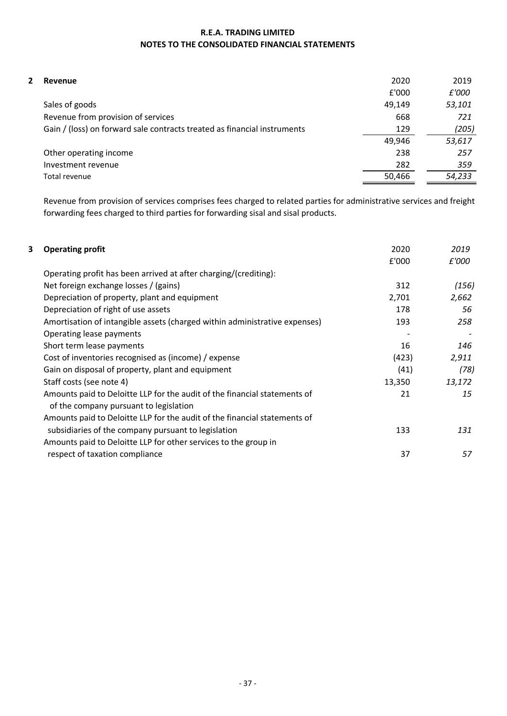| 2020<br>2<br>Revenue<br>£'000<br>Sales of goods<br>49.149<br>Revenue from provision of services<br>668<br>Gain / (loss) on forward sale contracts treated as financial instruments<br>129<br>49,946<br>238<br>Other operating income<br>282<br>Investment revenue |               |        |        |
|-------------------------------------------------------------------------------------------------------------------------------------------------------------------------------------------------------------------------------------------------------------------|---------------|--------|--------|
|                                                                                                                                                                                                                                                                   |               |        | 2019   |
|                                                                                                                                                                                                                                                                   |               |        | £'000  |
|                                                                                                                                                                                                                                                                   |               |        | 53,101 |
|                                                                                                                                                                                                                                                                   |               |        | 721    |
|                                                                                                                                                                                                                                                                   |               |        | (205)  |
|                                                                                                                                                                                                                                                                   |               |        | 53,617 |
|                                                                                                                                                                                                                                                                   |               |        | 257    |
|                                                                                                                                                                                                                                                                   |               |        | 359    |
|                                                                                                                                                                                                                                                                   | Total revenue | 50,466 | 54,233 |

Revenue from provision of services comprises fees charged to related parties for administrative services and freight forwarding fees charged to third parties for forwarding sisal and sisal products.

| 3 | <b>Operating profit</b>                                                                                                          | 2020   | 2019   |
|---|----------------------------------------------------------------------------------------------------------------------------------|--------|--------|
|   |                                                                                                                                  | £'000  | £'000  |
|   | Operating profit has been arrived at after charging/(crediting):                                                                 |        |        |
|   | Net foreign exchange losses / (gains)                                                                                            | 312    | (156)  |
|   | Depreciation of property, plant and equipment                                                                                    | 2,701  | 2,662  |
|   | Depreciation of right of use assets                                                                                              | 178    | 56     |
|   | Amortisation of intangible assets (charged within administrative expenses)                                                       | 193    | 258    |
|   | Operating lease payments                                                                                                         |        |        |
|   | Short term lease payments                                                                                                        | 16     | 146    |
|   | Cost of inventories recognised as (income) / expense                                                                             | (423)  | 2,911  |
|   | Gain on disposal of property, plant and equipment                                                                                | (41)   | (78)   |
|   | Staff costs (see note 4)                                                                                                         | 13,350 | 13,172 |
|   | Amounts paid to Deloitte LLP for the audit of the financial statements of                                                        | 21     | 15     |
|   | of the company pursuant to legislation                                                                                           |        |        |
|   | Amounts paid to Deloitte LLP for the audit of the financial statements of<br>subsidiaries of the company pursuant to legislation | 133    | 131    |
|   | Amounts paid to Deloitte LLP for other services to the group in                                                                  |        |        |
|   | respect of taxation compliance                                                                                                   | 37     | 57     |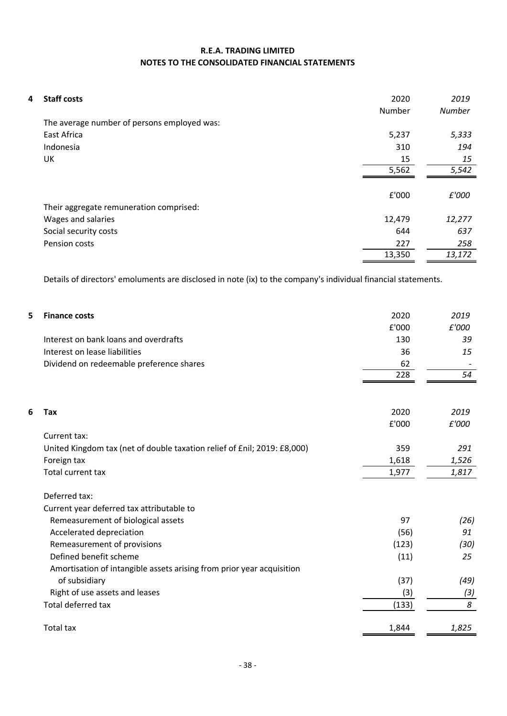| 4 | <b>Staff costs</b>                          | 2020   | 2019          |
|---|---------------------------------------------|--------|---------------|
|   |                                             | Number | <b>Number</b> |
|   | The average number of persons employed was: |        |               |
|   | East Africa                                 | 5,237  | 5,333         |
|   | Indonesia                                   | 310    | 194           |
|   | <b>UK</b>                                   | 15     | 15            |
|   |                                             | 5,562  | 5,542         |
|   |                                             |        |               |
|   |                                             | £'000  | £'000         |
|   | Their aggregate remuneration comprised:     |        |               |
|   | Wages and salaries                          | 12,479 | 12,277        |
|   | Social security costs                       | 644    | 637           |
|   | Pension costs                               | 227    | 258           |
|   |                                             | 13,350 | 13,172        |

Details of directors' emoluments are disclosed in note (ix) to the company's individual financial statements.

| 5 | <b>Finance costs</b>                                                     | 2020  | 2019  |
|---|--------------------------------------------------------------------------|-------|-------|
|   |                                                                          | £'000 | £'000 |
|   | Interest on bank loans and overdrafts                                    | 130   | 39    |
|   | Interest on lease liabilities                                            | 36    | 15    |
|   | Dividend on redeemable preference shares                                 | 62    |       |
|   |                                                                          | 228   | 54    |
|   |                                                                          |       |       |
| 6 | Tax                                                                      | 2020  | 2019  |
|   |                                                                          | £'000 | £'000 |
|   | Current tax:                                                             |       |       |
|   | United Kingdom tax (net of double taxation relief of £nil; 2019: £8,000) | 359   | 291   |
|   | Foreign tax                                                              | 1,618 | 1,526 |
|   | Total current tax                                                        | 1,977 | 1,817 |
|   | Deferred tax:                                                            |       |       |
|   | Current year deferred tax attributable to                                |       |       |
|   | Remeasurement of biological assets                                       | 97    | (26)  |
|   | Accelerated depreciation                                                 | (56)  | 91    |
|   | Remeasurement of provisions                                              | (123) | (30)  |
|   | Defined benefit scheme                                                   | (11)  | 25    |
|   | Amortisation of intangible assets arising from prior year acquisition    |       |       |
|   | of subsidiary                                                            | (37)  | (49)  |
|   | Right of use assets and leases                                           | (3)   | (3)   |
|   | Total deferred tax                                                       | (133) | 8     |
|   | <b>Total tax</b>                                                         | 1,844 | 1,825 |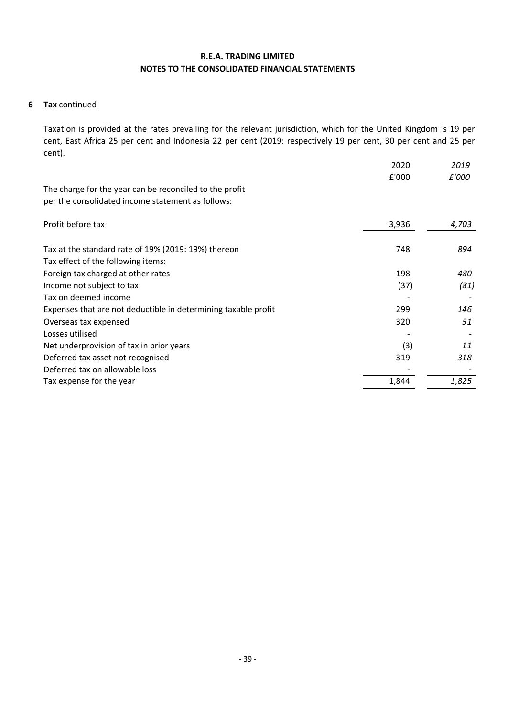## **NOTES TO THE CONSOLIDATED FINANCIAL STATEMENTS R.E.A. TRADING LIMITED**

### **6 Tax** continued

Taxation is provided at the rates prevailing for the relevant jurisdiction, which for the United Kingdom is 19 per cent, East Africa 25 per cent and Indonesia 22 per cent (2019: respectively 19 per cent, 30 per cent and 25 per cent).

|                                                                | 2020  | 2019  |
|----------------------------------------------------------------|-------|-------|
|                                                                | £'000 | £'000 |
| The charge for the year can be reconciled to the profit        |       |       |
| per the consolidated income statement as follows:              |       |       |
| Profit before tax                                              | 3,936 | 4,703 |
| Tax at the standard rate of 19% (2019: 19%) thereon            | 748   | 894   |
| Tax effect of the following items:                             |       |       |
| Foreign tax charged at other rates                             | 198   | 480   |
| Income not subject to tax                                      | (37)  | (81)  |
| Tax on deemed income                                           |       |       |
| Expenses that are not deductible in determining taxable profit | 299   | 146   |
| Overseas tax expensed                                          | 320   | 51    |
| Losses utilised                                                |       |       |
| Net underprovision of tax in prior years                       | (3)   | 11    |
| Deferred tax asset not recognised                              | 319   | 318   |
| Deferred tax on allowable loss                                 |       |       |
| Tax expense for the year                                       | 1,844 | 1,825 |
|                                                                |       |       |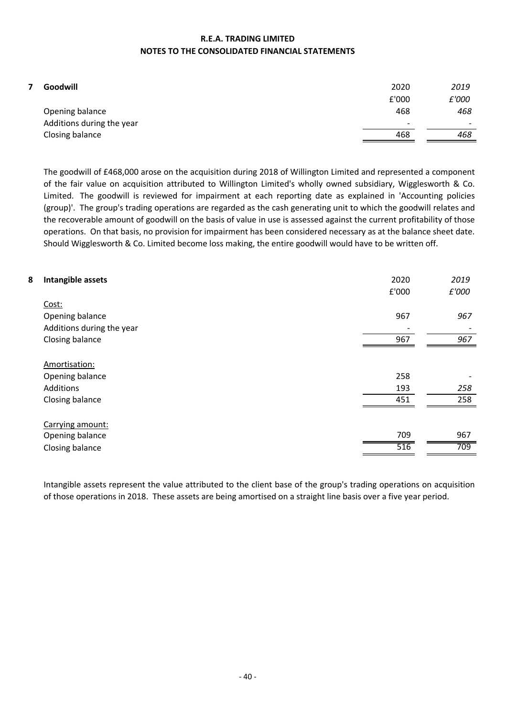| Goodwill                  | 2020                     | 2019                     |
|---------------------------|--------------------------|--------------------------|
|                           | £'000                    | £'000                    |
| Opening balance           | 468                      | 468                      |
| Additions during the year | $\overline{\phantom{a}}$ | $\overline{\phantom{0}}$ |
| Closing balance           | 468                      | 468                      |

The goodwill of £468,000 arose on the acquisition during 2018 of Willington Limited and represented a component of the fair value on acquisition attributed to Willington Limited's wholly owned subsidiary, Wigglesworth & Co. Limited. The goodwill is reviewed for impairment at each reporting date as explained in 'Accounting policies (group)'. The group's trading operations are regarded as the cash generating unit to which the goodwill relates and the recoverable amount of goodwill on the basis of value in use is assessed against the current profitability of those operations. On that basis, no provision for impairment has been considered necessary as at the balance sheet date. Should Wigglesworth & Co. Limited become loss making, the entire goodwill would have to be written off.

| 8 | Intangible assets         | 2020  | 2019  |
|---|---------------------------|-------|-------|
|   |                           | £'000 | £'000 |
|   | Cost:                     |       |       |
|   | Opening balance           | 967   | 967   |
|   | Additions during the year |       |       |
|   | Closing balance           | 967   | 967   |
|   |                           |       |       |
|   | Amortisation:             |       |       |
|   | Opening balance           | 258   |       |
|   | Additions                 | 193   | 258   |
|   | Closing balance           | 451   | 258   |
|   |                           |       |       |
|   | Carrying amount:          | 709   | 967   |
|   | Opening balance           |       |       |
|   | Closing balance           | 516   | 709   |
|   |                           |       |       |

Intangible assets represent the value attributed to the client base of the group's trading operations on acquisition of those operations in 2018. These assets are being amortised on a straight line basis over a five year period.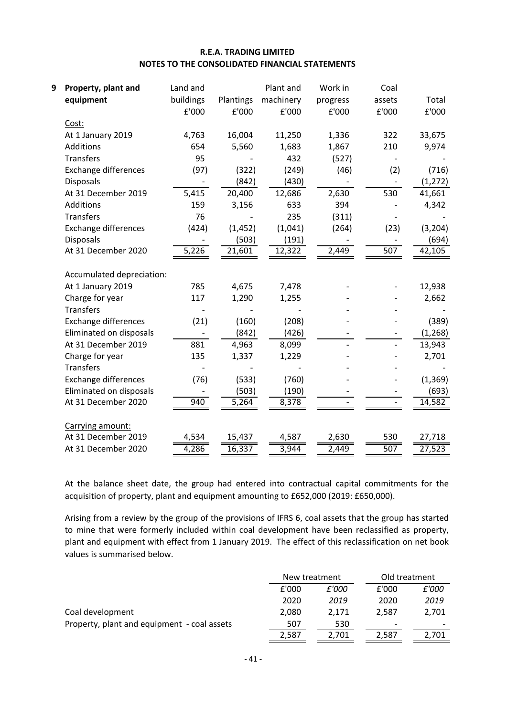| 9 | Property, plant and              | Land and  |           | Plant and | Work in  | Coal   |          |
|---|----------------------------------|-----------|-----------|-----------|----------|--------|----------|
|   | equipment                        | buildings | Plantings | machinery | progress | assets | Total    |
|   |                                  | £'000     | £'000     | £'000     | £'000    | £'000  | £'000    |
|   | Cost:                            |           |           |           |          |        |          |
|   | At 1 January 2019                | 4,763     | 16,004    | 11,250    | 1,336    | 322    | 33,675   |
|   | <b>Additions</b>                 | 654       | 5,560     | 1,683     | 1,867    | 210    | 9,974    |
|   | <b>Transfers</b>                 | 95        |           | 432       | (527)    |        |          |
|   | <b>Exchange differences</b>      | (97)      | (322)     | (249)     | (46)     | (2)    | (716)    |
|   | Disposals                        |           | (842)     | (430)     |          |        | (1, 272) |
|   | At 31 December 2019              | 5,415     | 20,400    | 12,686    | 2,630    | 530    | 41,661   |
|   | <b>Additions</b>                 | 159       | 3,156     | 633       | 394      |        | 4,342    |
|   | <b>Transfers</b>                 | 76        |           | 235       | (311)    |        |          |
|   | <b>Exchange differences</b>      | (424)     | (1, 452)  | (1,041)   | (264)    | (23)   | (3, 204) |
|   | <b>Disposals</b>                 |           | (503)     | (191)     |          |        | (694)    |
|   | At 31 December 2020              | 5,226     | 21,601    | 12,322    | 2,449    | 507    | 42,105   |
|   | <b>Accumulated depreciation:</b> |           |           |           |          |        |          |
|   | At 1 January 2019                | 785       | 4,675     | 7,478     |          |        | 12,938   |
|   | Charge for year                  | 117       | 1,290     | 1,255     |          |        | 2,662    |
|   | <b>Transfers</b>                 |           |           |           |          |        |          |
|   | <b>Exchange differences</b>      | (21)      | (160)     | (208)     |          |        | (389)    |
|   | Eliminated on disposals          |           | (842)     | (426)     |          |        | (1, 268) |
|   | At 31 December 2019              | 881       | 4,963     | 8,099     |          |        | 13,943   |
|   | Charge for year                  | 135       | 1,337     | 1,229     |          |        | 2,701    |
|   | <b>Transfers</b>                 |           |           |           |          |        |          |
|   | <b>Exchange differences</b>      | (76)      | (533)     | (760)     |          |        | (1, 369) |
|   | Eliminated on disposals          |           | (503)     | (190)     |          |        | (693)    |
|   | At 31 December 2020              | 940       | 5,264     | 8,378     |          |        | 14,582   |
|   | Carrying amount:                 |           |           |           |          |        |          |
|   | At 31 December 2019              | 4,534     | 15,437    | 4,587     | 2,630    | 530    | 27,718   |
|   | At 31 December 2020              | 4,286     | 16,337    | 3,944     | 2,449    | 507    | 27,523   |

At the balance sheet date, the group had entered into contractual capital commitments for the acquisition of property, plant and equipment amounting to £652,000 (2019: £650,000).

Arising from a review by the group of the provisions of IFRS 6, coal assets that the group has started to mine that were formerly included within coal development have been reclassified as property, plant and equipment with effect from 1 January 2019. The effect of this reclassification on net book values is summarised below.

|                                             |       | New treatment |                          | Old treatment |  |
|---------------------------------------------|-------|---------------|--------------------------|---------------|--|
|                                             | £'000 | £'000         | £'000                    | £'000         |  |
|                                             | 2020  | 2019          | 2020                     | 2019          |  |
| Coal development                            | 2.080 | 2.171         | 2.587                    | 2,701         |  |
| Property, plant and equipment - coal assets | 507   | 530           | $\overline{\phantom{0}}$ |               |  |
|                                             | 2.587 | 2.701         | 2,587                    | 2.701         |  |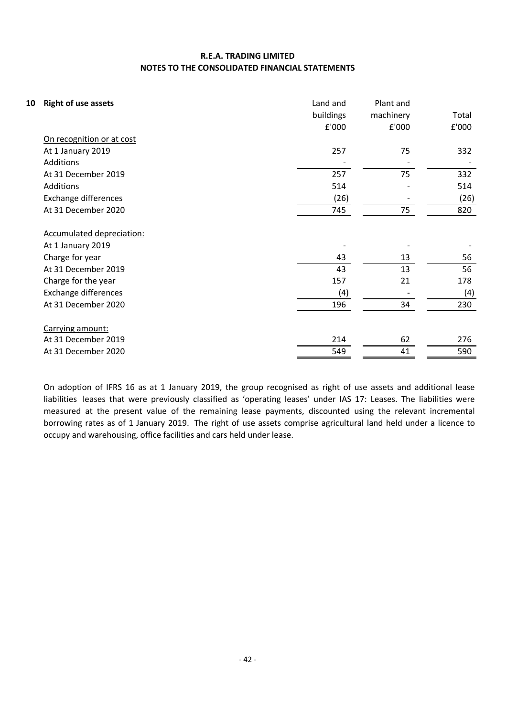### **NOTES TO THE CONSOLIDATED FINANCIAL STATEMENTS R.E.A. TRADING LIMITED**

| 10 | <b>Right of use assets</b>       | Land and  | Plant and       |       |
|----|----------------------------------|-----------|-----------------|-------|
|    |                                  | buildings | machinery       | Total |
|    |                                  | £'000     | £'000           | £'000 |
|    | On recognition or at cost        |           |                 |       |
|    | At 1 January 2019                | 257       | 75              | 332   |
|    | <b>Additions</b>                 |           |                 |       |
|    | At 31 December 2019              | 257       | 75              | 332   |
|    | Additions                        | 514       |                 | 514   |
|    | Exchange differences             | (26)      |                 | (26)  |
|    | At 31 December 2020              | 745       | 75              | 820   |
|    | <b>Accumulated depreciation:</b> |           |                 |       |
|    | At 1 January 2019                |           |                 |       |
|    | Charge for year                  | 43        | 13              | 56    |
|    | At 31 December 2019              | 43        | 13              | 56    |
|    | Charge for the year              | 157       | 21              | 178   |
|    | <b>Exchange differences</b>      | (4)       |                 | (4)   |
|    | At 31 December 2020              | 196       | 34              | 230   |
|    | Carrying amount:                 |           |                 |       |
|    | At 31 December 2019              | 214       | 62              | 276   |
|    | At 31 December 2020              | 549       | $\overline{41}$ | 590   |
|    |                                  |           |                 |       |

On adoption of IFRS 16 as at 1 January 2019, the group recognised as right of use assets and additional lease liabilities leases that were previously classified as 'operating leases' under IAS 17: Leases. The liabilities were measured at the present value of the remaining lease payments, discounted using the relevant incremental borrowing rates as of 1 January 2019. The right of use assets comprise agricultural land held under a licence to occupy and warehousing, office facilities and cars held under lease.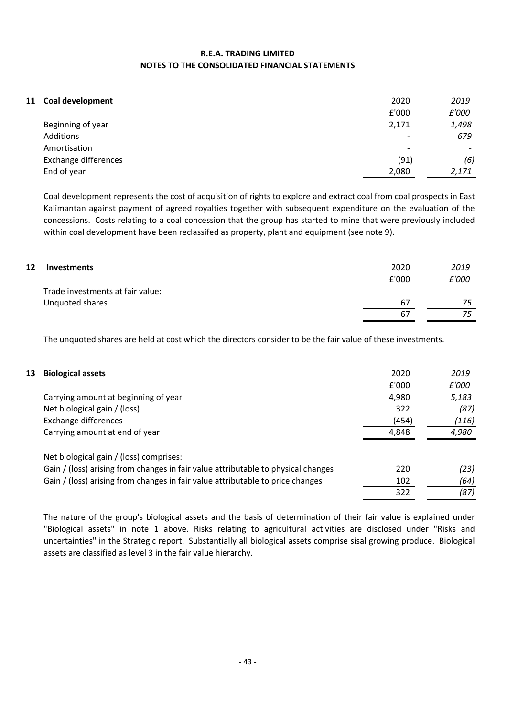#### **NOTES TO THE CONSOLIDATED FINANCIAL STATEMENTS R.E.A. TRADING LIMITED**

| 11 | Coal development     | 2020                     | 2019  |
|----|----------------------|--------------------------|-------|
|    |                      | £'000                    | £'000 |
|    | Beginning of year    | 2,171                    | 1,498 |
|    | Additions            | $\overline{\phantom{0}}$ | 679   |
|    | Amortisation         | $\overline{\phantom{0}}$ |       |
|    | Exchange differences | (91)                     | (6)   |
|    | End of year          | 2,080                    | 2,171 |

Coal development represents the cost of acquisition of rights to explore and extract coal from coal prospects in East Kalimantan against payment of agreed royalties together with subsequent expenditure on the evaluation of the concessions. Costs relating to a coal concession that the group has started to mine that were previously included within coal development have been reclassifed as property, plant and equipment (see note 9).

| 12 | <b>Investments</b>               | 2020<br>£'000 | 2019<br>£'000 |
|----|----------------------------------|---------------|---------------|
|    | Trade investments at fair value: |               |               |
|    | Unquoted shares                  | 67            | 75            |
|    |                                  | 67            | 75            |
|    |                                  |               |               |

The unquoted shares are held at cost which the directors consider to be the fair value of these investments.

| 13 | <b>Biological assets</b>                                                          | 2020  | 2019  |
|----|-----------------------------------------------------------------------------------|-------|-------|
|    |                                                                                   | £'000 | £'000 |
|    | Carrying amount at beginning of year                                              | 4,980 | 5,183 |
|    | Net biological gain / (loss)                                                      | 322   | (87)  |
|    | Exchange differences                                                              | (454) | (116) |
|    | Carrying amount at end of year                                                    | 4,848 | 4,980 |
|    | Net biological gain / (loss) comprises:                                           |       |       |
|    | Gain / (loss) arising from changes in fair value attributable to physical changes | 220   | (23)  |
|    | Gain / (loss) arising from changes in fair value attributable to price changes    | 102   | (64)  |
|    |                                                                                   | 322   | (87)  |

The nature of the group's biological assets and the basis of determination of their fair value is explained under "Biological assets" in note 1 above. Risks relating to agricultural activities are disclosed under "Risks and uncertainties" in the Strategic report. Substantially all biological assets comprise sisal growing produce. Biological assets are classified as level 3 in the fair value hierarchy.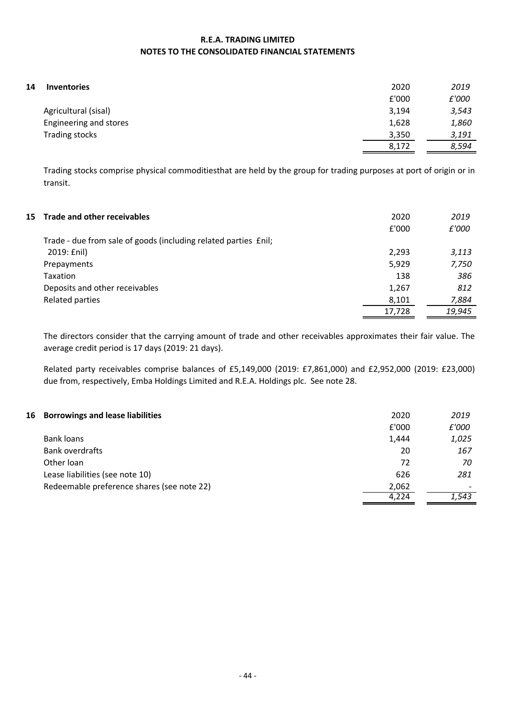| 14 | <b>Inventories</b>     | 2020  | 2019  |
|----|------------------------|-------|-------|
|    |                        | £'000 | £'000 |
|    | Agricultural (sisal)   | 3,194 | 3,543 |
|    | Engineering and stores | 1,628 | 1,860 |
|    | Trading stocks         | 3,350 | 3,191 |
|    |                        | 8,172 | 8,594 |

Trading stocks comprise physical commoditiesthat are held by the group for trading purposes at port of origin or in transit.

| 15 | Trade and other receivables                                     | 2020   | 2019   |
|----|-----------------------------------------------------------------|--------|--------|
|    |                                                                 | £'000  | £'000  |
|    | Trade - due from sale of goods (including related parties £nil; |        |        |
|    | 2019: £nil)                                                     | 2,293  | 3,113  |
|    | Prepayments                                                     | 5,929  | 7,750  |
|    | <b>Taxation</b>                                                 | 138    | 386    |
|    | Deposits and other receivables                                  | 1,267  | 812    |
|    | Related parties                                                 | 8,101  | 7,884  |
|    |                                                                 | 17,728 | 19,945 |

The directors consider that the carrying amount of trade and other receivables approximates their fair value. The average credit period is 17 days (2019: 21 days).

Related party receivables comprise balances of £5,149,000 (2019: £7,861,000) and £2,952,000 (2019: £23,000) due from, respectively, Emba Holdings Limited and R.E.A. Holdings plc. See note 28.

| 16 Borrowings and lease liabilities        | 2020  | 2019  |
|--------------------------------------------|-------|-------|
|                                            | £'000 | £'000 |
| Bank loans                                 | 1,444 | 1,025 |
| Bank overdrafts                            | 20    | 167   |
| Other Ioan                                 | 72    | 70    |
| Lease liabilities (see note 10)            | 626   | 281   |
| Redeemable preference shares (see note 22) | 2,062 |       |
|                                            | 4.224 | 1,543 |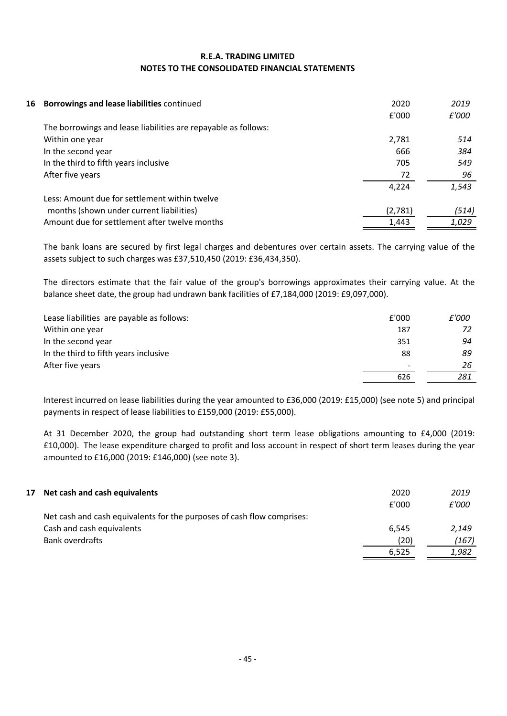### **NOTES TO THE CONSOLIDATED FINANCIAL STATEMENTS R.E.A. TRADING LIMITED**

| 16 Borrowings and lease liabilities continued                  | 2020    | 2019  |
|----------------------------------------------------------------|---------|-------|
|                                                                | £'000   | £'000 |
| The borrowings and lease liabilities are repayable as follows: |         |       |
| Within one year                                                | 2,781   | 514   |
| In the second year                                             | 666     | 384   |
| In the third to fifth years inclusive                          | 705     | 549   |
| After five years                                               | 72      | 96    |
|                                                                | 4,224   | 1,543 |
| Less: Amount due for settlement within twelve                  |         |       |
| months (shown under current liabilities)                       | (2,781) | (514) |
| Amount due for settlement after twelve months                  | 1,443   | 1,029 |

The bank loans are secured by first legal charges and debentures over certain assets. The carrying value of the assets subject to such charges was £37,510,450 (2019: £36,434,350).

The directors estimate that the fair value of the group's borrowings approximates their carrying value. At the balance sheet date, the group had undrawn bank facilities of £7,184,000 (2019: £9,097,000).

| Lease liabilities are payable as follows: | £'000                    | £'000 |
|-------------------------------------------|--------------------------|-------|
| Within one year                           | 187                      | 72    |
| In the second year                        | 351                      | 94    |
| In the third to fifth years inclusive     | 88                       | 89    |
| After five years                          | $\overline{\phantom{a}}$ | 26    |
|                                           | 626                      | 281   |

Interest incurred on lease liabilities during the year amounted to £36,000 (2019: £15,000) (see note 5) and principal payments in respect of lease liabilities to £159,000 (2019: £55,000).

At 31 December 2020, the group had outstanding short term lease obligations amounting to £4,000 (2019: £10,000). The lease expenditure charged to profit and loss account in respect of short term leases during the year amounted to £16,000 (2019: £146,000) (see note 3).

| 17 | Net cash and cash equivalents                                          | 2020  | 2019  |
|----|------------------------------------------------------------------------|-------|-------|
|    |                                                                        | £'000 | £'000 |
|    | Net cash and cash equivalents for the purposes of cash flow comprises: |       |       |
|    | Cash and cash equivalents                                              | 6.545 | 2.149 |
|    | Bank overdrafts                                                        | (20)  | (167) |
|    |                                                                        | 6,525 | 1,982 |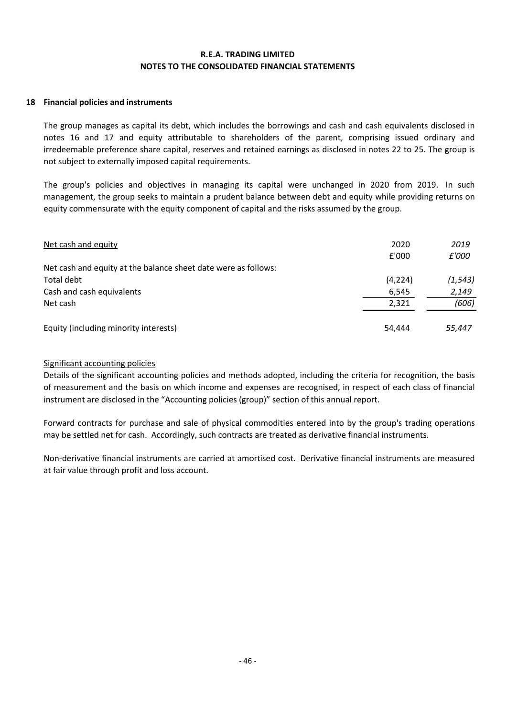#### **18 Financial policies and instruments**

The group manages as capital its debt, which includes the borrowings and cash and cash equivalents disclosed in notes 16 and 17 and equity attributable to shareholders of the parent, comprising issued ordinary and irredeemable preference share capital, reserves and retained earnings as disclosed in notes 22 to 25. The group is not subject to externally imposed capital requirements.

The group's policies and objectives in managing its capital were unchanged in 2020 from 2019. In such management, the group seeks to maintain a prudent balance between debt and equity while providing returns on equity commensurate with the equity component of capital and the risks assumed by the group.

| Net cash and equity                                            | 2020     | 2019     |
|----------------------------------------------------------------|----------|----------|
|                                                                | £'000    | £'000    |
| Net cash and equity at the balance sheet date were as follows: |          |          |
| Total debt                                                     | (4, 224) | (1, 543) |
| Cash and cash equivalents                                      | 6,545    | 2,149    |
| Net cash                                                       | 2,321    | (606)    |
| Equity (including minority interests)                          | 54,444   | 55,447   |

#### Significant accounting policies

Details of the significant accounting policies and methods adopted, including the criteria for recognition, the basis of measurement and the basis on which income and expenses are recognised, in respect of each class of financial instrument are disclosed in the "Accounting policies (group)" section of this annual report.

Forward contracts for purchase and sale of physical commodities entered into by the group's trading operations may be settled net for cash. Accordingly, such contracts are treated as derivative financial instruments.

Non-derivative financial instruments are carried at amortised cost. Derivative financial instruments are measured at fair value through profit and loss account.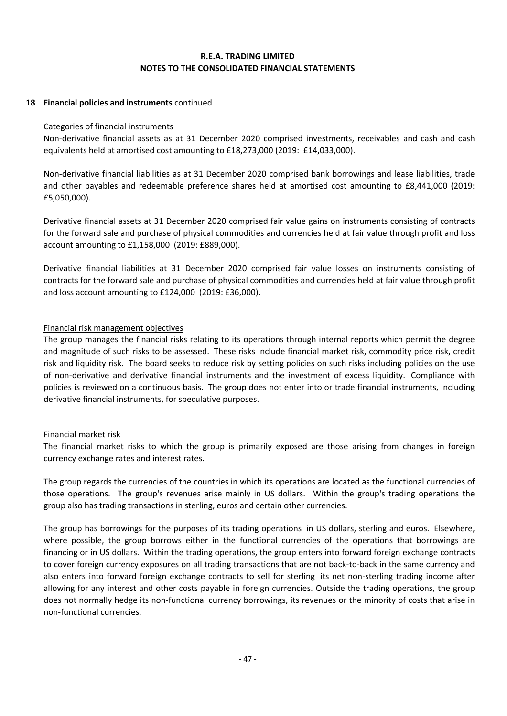## **NOTES TO THE CONSOLIDATED FINANCIAL STATEMENTS R.E.A. TRADING LIMITED**

#### **18 Financial policies and instruments** continued

#### Categories of financial instruments

Non-derivative financial assets as at 31 December 2020 comprised investments, receivables and cash and cash equivalents held at amortised cost amounting to £18,273,000 (2019: £14,033,000).

Non-derivative financial liabilities as at 31 December 2020 comprised bank borrowings and lease liabilities, trade and other payables and redeemable preference shares held at amortised cost amounting to £8,441,000 (2019: £5,050,000).

Derivative financial assets at 31 December 2020 comprised fair value gains on instruments consisting of contracts for the forward sale and purchase of physical commodities and currencies held at fair value through profit and loss account amounting to £1,158,000 (2019: £889,000).

Derivative financial liabilities at 31 December 2020 comprised fair value losses on instruments consisting of contracts for the forward sale and purchase of physical commodities and currencies held at fair value through profit and loss account amounting to £124,000 (2019: £36,000).

## Financial risk management objectives

The group manages the financial risks relating to its operations through internal reports which permit the degree and magnitude of such risks to be assessed. These risks include financial market risk, commodity price risk, credit risk and liquidity risk. The board seeks to reduce risk by setting policies on such risks including policies on the use of non-derivative and derivative financial instruments and the investment of excess liquidity. Compliance with policies is reviewed on a continuous basis. The group does not enter into or trade financial instruments, including derivative financial instruments, for speculative purposes.

## Financial market risk

The financial market risks to which the group is primarily exposed are those arising from changes in foreign currency exchange rates and interest rates.

The group regards the currencies of the countries in which its operations are located as the functional currencies of those operations. The group's revenues arise mainly in US dollars. Within the group's trading operations the group also has trading transactions in sterling, euros and certain other currencies.

The group has borrowings for the purposes of its trading operations in US dollars, sterling and euros. Elsewhere, where possible, the group borrows either in the functional currencies of the operations that borrowings are financing or in US dollars. Within the trading operations, the group enters into forward foreign exchange contracts to cover foreign currency exposures on all trading transactions that are not back-to-back in the same currency and also enters into forward foreign exchange contracts to sell for sterling its net non-sterling trading income after allowing for any interest and other costs payable in foreign currencies. Outside the trading operations, the group does not normally hedge its non-functional currency borrowings, its revenues or the minority of costs that arise in non-functional currencies.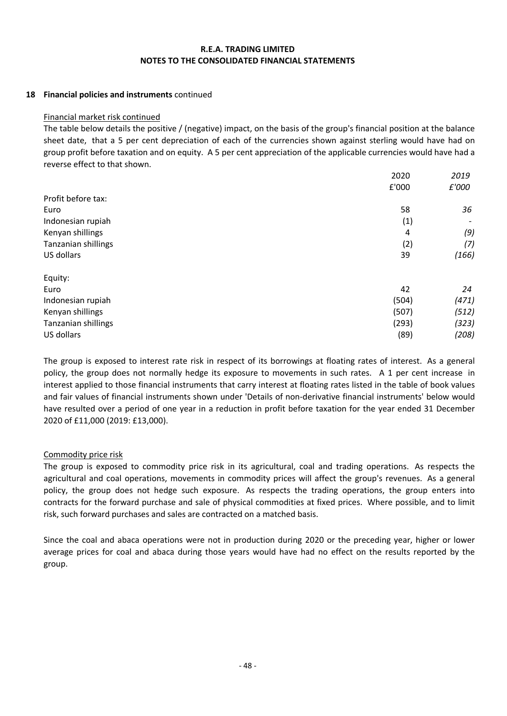#### **NOTES TO THE CONSOLIDATED FINANCIAL STATEMENTS R.E.A. TRADING LIMITED**

### **18 Financial policies and instruments** continued

#### Financial market risk continued

The table below details the positive / (negative) impact, on the basis of the group's financial position at the balance sheet date, that a 5 per cent depreciation of each of the currencies shown against sterling would have had on group profit before taxation and on equity. A 5 per cent appreciation of the applicable currencies would have had a reverse effect to that shown.

|                            | 2020  | 2019  |
|----------------------------|-------|-------|
|                            | £'000 | £'000 |
| Profit before tax:         |       |       |
| Euro                       | 58    | 36    |
| Indonesian rupiah          | (1)   |       |
| Kenyan shillings           | 4     | (9)   |
| <b>Tanzanian shillings</b> | (2)   | (7)   |
| US dollars                 | 39    | (166) |
| Equity:                    |       |       |
| Euro                       | 42    | 24    |
| Indonesian rupiah          | (504) | (471) |
| Kenyan shillings           | (507) | (512) |
| <b>Tanzanian shillings</b> | (293) | (323) |
| US dollars                 | (89)  | (208) |

The group is exposed to interest rate risk in respect of its borrowings at floating rates of interest. As a general policy, the group does not normally hedge its exposure to movements in such rates. A 1 per cent increase in interest applied to those financial instruments that carry interest at floating rates listed in the table of book values and fair values of financial instruments shown under 'Details of non-derivative financial instruments' below would have resulted over a period of one year in a reduction in profit before taxation for the year ended 31 December 2020 of £11,000 (2019: £13,000).

#### Commodity price risk

The group is exposed to commodity price risk in its agricultural, coal and trading operations. As respects the agricultural and coal operations, movements in commodity prices will affect the group's revenues. As a general policy, the group does not hedge such exposure. As respects the trading operations, the group enters into contracts for the forward purchase and sale of physical commodities at fixed prices. Where possible, and to limit risk, such forward purchases and sales are contracted on a matched basis.

Since the coal and abaca operations were not in production during 2020 or the preceding year, higher or lower average prices for coal and abaca during those years would have had no effect on the results reported by the group.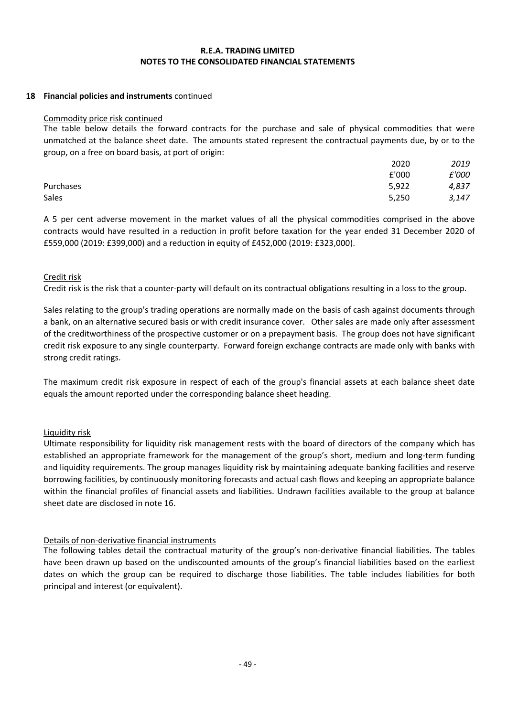#### **18 Financial policies and instruments** continued

#### Commodity price risk continued

The table below details the forward contracts for the purchase and sale of physical commodities that were unmatched at the balance sheet date. The amounts stated represent the contractual payments due, by or to the group, on a free on board basis, at port of origin:

|           | 2020  | 2019  |
|-----------|-------|-------|
|           | £'000 | £'000 |
| Purchases | 5,922 | 4,837 |
| Sales     | 5,250 | 3,147 |

A 5 per cent adverse movement in the market values of all the physical commodities comprised in the above contracts would have resulted in a reduction in profit before taxation for the year ended 31 December 2020 of £559,000 (2019: £399,000) and a reduction in equity of £452,000 (2019: £323,000).

#### Credit risk

Credit risk is the risk that a counter-party will default on its contractual obligations resulting in a loss to the group.

Sales relating to the group's trading operations are normally made on the basis of cash against documents through a bank, on an alternative secured basis or with credit insurance cover. Other sales are made only after assessment of the creditworthiness of the prospective customer or on a prepayment basis. The group does not have significant credit risk exposure to any single counterparty. Forward foreign exchange contracts are made only with banks with strong credit ratings.

The maximum credit risk exposure in respect of each of the group's financial assets at each balance sheet date equals the amount reported under the corresponding balance sheet heading.

#### Liquidity risk

Ultimate responsibility for liquidity risk management rests with the board of directors of the company which has established an appropriate framework for the management of the group's short, medium and long-term funding and liquidity requirements. The group manages liquidity risk by maintaining adequate banking facilities and reserve borrowing facilities, by continuously monitoring forecasts and actual cash flows and keeping an appropriate balance within the financial profiles of financial assets and liabilities. Undrawn facilities available to the group at balance sheet date are disclosed in note 16.

#### Details of non-derivative financial instruments

The following tables detail the contractual maturity of the group's non-derivative financial liabilities. The tables have been drawn up based on the undiscounted amounts of the group's financial liabilities based on the earliest dates on which the group can be required to discharge those liabilities. The table includes liabilities for both principal and interest (or equivalent).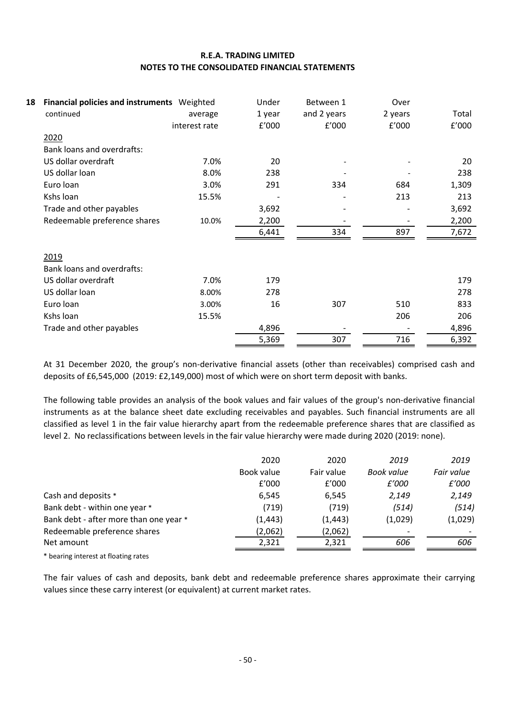| 18 | Financial policies and instruments Weighted |               | Under  | Between 1   | Over    |       |
|----|---------------------------------------------|---------------|--------|-------------|---------|-------|
|    | continued                                   | average       | 1 year | and 2 years | 2 years | Total |
|    |                                             | interest rate | f'000  | f'000       | £'000   | £'000 |
|    | 2020                                        |               |        |             |         |       |
|    | <b>Bank loans and overdrafts:</b>           |               |        |             |         |       |
|    | US dollar overdraft                         | 7.0%          | 20     |             |         | 20    |
|    | US dollar loan                              | 8.0%          | 238    |             |         | 238   |
|    | Euro loan                                   | 3.0%          | 291    | 334         | 684     | 1,309 |
|    | Kshs loan                                   | 15.5%         |        |             | 213     | 213   |
|    | Trade and other payables                    |               | 3,692  |             |         | 3,692 |
|    | Redeemable preference shares                | 10.0%         | 2,200  |             |         | 2,200 |
|    |                                             |               | 6,441  | 334         | 897     | 7,672 |
|    | 2019                                        |               |        |             |         |       |
|    | <b>Bank loans and overdrafts:</b>           |               |        |             |         |       |
|    | US dollar overdraft                         | 7.0%          | 179    |             |         | 179   |
|    | US dollar loan                              | 8.00%         | 278    |             |         | 278   |
|    | Euro loan                                   | 3.00%         | 16     | 307         | 510     | 833   |
|    | Kshs loan                                   | 15.5%         |        |             | 206     | 206   |
|    | Trade and other payables                    |               | 4,896  |             |         | 4,896 |
|    |                                             |               | 5,369  | 307         | 716     | 6,392 |

At 31 December 2020, the group's non-derivative financial assets (other than receivables) comprised cash and deposits of £6,545,000 (2019: £2,149,000) most of which were on short term deposit with banks.

The following table provides an analysis of the book values and fair values of the group's non-derivative financial instruments as at the balance sheet date excluding receivables and payables. Such financial instruments are all classified as level 1 in the fair value hierarchy apart from the redeemable preference shares that are classified as level 2. No reclassifications between levels in the fair value hierarchy were made during 2020 (2019: none).

|                                        | 2020       | 2020       | 2019                     | 2019       |
|----------------------------------------|------------|------------|--------------------------|------------|
|                                        | Book value | Fair value | <b>Book value</b>        | Fair value |
|                                        | f'000      | f'000      | <i>£'000</i>             | £'000      |
| Cash and deposits *                    | 6,545      | 6,545      | 2,149                    | 2,149      |
| Bank debt - within one year *          | (719)      | (719)      | (514)                    | (514)      |
| Bank debt - after more than one year * | (1, 443)   | (1, 443)   | (1,029)                  | (1,029)    |
| Redeemable preference shares           | (2,062)    | (2,062)    | $\overline{\phantom{0}}$ |            |
| Net amount                             | 2,321      | 2,321      | 606                      | 606        |
|                                        |            |            |                          |            |

\* bearing interest at floating rates

The fair values of cash and deposits, bank debt and redeemable preference shares approximate their carrying values since these carry interest (or equivalent) at current market rates.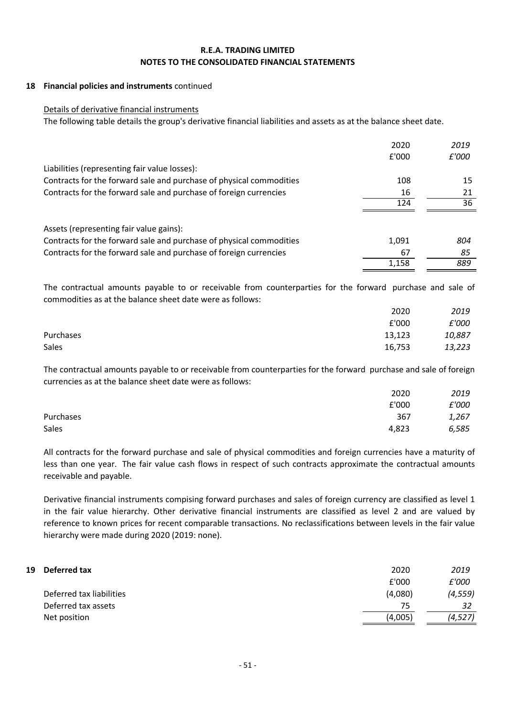### **18 Financial policies and instruments** continued

#### Details of derivative financial instruments

The following table details the group's derivative financial liabilities and assets as at the balance sheet date.

|                                                                     | 2020  | 2019  |
|---------------------------------------------------------------------|-------|-------|
|                                                                     | £'000 | £'000 |
| Liabilities (representing fair value losses):                       |       |       |
| Contracts for the forward sale and purchase of physical commodities | 108   | 15    |
| Contracts for the forward sale and purchase of foreign currencies   | 16    | 21    |
|                                                                     | 124   | 36    |
| Assets (representing fair value gains):                             |       |       |
| Contracts for the forward sale and purchase of physical commodities | 1,091 | 804   |
| Contracts for the forward sale and purchase of foreign currencies   | 67    | 85    |
|                                                                     | 1,158 | 889   |

The contractual amounts payable to or receivable from counterparties for the forward purchase and sale of commodities as at the balance sheet date were as follows:

|           | 2020   | 2019   |
|-----------|--------|--------|
|           | £'000  | £'000  |
| Purchases | 13,123 | 10,887 |
| Sales     | 16,753 | 13,223 |

The contractual amounts payable to or receivable from counterparties for the forward purchase and sale of foreign currencies as at the balance sheet date were as follows:

|           | 2020  | 2019  |
|-----------|-------|-------|
|           | £'000 | £'000 |
| Purchases | 367   | 1,267 |
| Sales     | 4,823 | 6,585 |

All contracts for the forward purchase and sale of physical commodities and foreign currencies have a maturity of less than one year. The fair value cash flows in respect of such contracts approximate the contractual amounts receivable and payable.

Derivative financial instruments compising forward purchases and sales of foreign currency are classified as level 1 in the fair value hierarchy. Other derivative financial instruments are classified as level 2 and are valued by reference to known prices for recent comparable transactions. No reclassifications between levels in the fair value hierarchy were made during 2020 (2019: none).

| 19 Deferred tax          | 2020    | 2019     |
|--------------------------|---------|----------|
|                          | £'000   | £'000    |
| Deferred tax liabilities | (4,080) | (4, 559) |
| Deferred tax assets      | 75      | 32       |
| Net position             | (4,005) | (4,527)  |
|                          |         |          |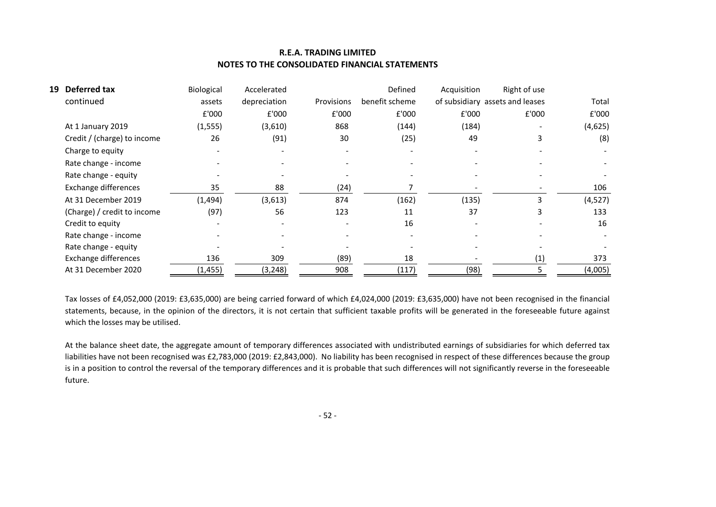| 19 | <b>Deferred tax</b>         | Biological | Accelerated  |            | Defined        | Acquisition | Right of use                    |         |
|----|-----------------------------|------------|--------------|------------|----------------|-------------|---------------------------------|---------|
|    | continued                   | assets     | depreciation | Provisions | benefit scheme |             | of subsidiary assets and leases | Total   |
|    |                             | £'000      | £'000        | £'000      | £'000          | £'000       | £'000                           | £'000   |
|    | At 1 January 2019           | (1, 555)   | (3,610)      | 868        | (144)          | (184)       |                                 | (4,625) |
|    | Credit / (charge) to income | 26         | (91)         | 30         | (25)           | 49          | 3                               | (8)     |
|    | Charge to equity            |            |              |            |                |             |                                 |         |
|    | Rate change - income        |            |              |            |                |             |                                 |         |
|    | Rate change - equity        |            |              |            |                |             |                                 |         |
|    | <b>Exchange differences</b> | 35         | 88           | (24)       |                |             |                                 | 106     |
|    | At 31 December 2019         | (1, 494)   | (3,613)      | 874        | (162)          | (135)       | 3                               | (4,527) |
|    | (Charge) / credit to income | (97)       | 56           | 123        | 11             | 37          | 3                               | 133     |
|    | Credit to equity            |            |              |            | 16             |             |                                 | 16      |
|    | Rate change - income        |            |              |            |                |             |                                 |         |
|    | Rate change - equity        |            |              |            |                |             |                                 |         |
|    | Exchange differences        | 136        | 309          | (89)       | 18             |             | $\scriptstyle{(1)}$             | 373     |
|    | At 31 December 2020         | (1, 455)   | (3, 248)     | 908        | (117)          | (98)        |                                 | (4,005) |

Tax losses of £4,052,000 (2019: £3,635,000) are being carried forward of which £4,024,000 (2019: £3,635,000) have not been recognised in the financial statements, because, in the opinion of the directors, it is not certain that sufficient taxable profits will be generated in the foreseeable future against which the losses may be utilised.

At the balance sheet date, the aggregate amount of temporary differences associated with undistributed earnings of subsidiaries for which deferred tax liabilities have not been recognised was £2,783,000 (2019: £2,843,000). No liability has been recognised in respect of these differences because the group is in a position to control the reversal of the temporary differences and it is probable that such differences will not significantly reverse in the foreseeable future.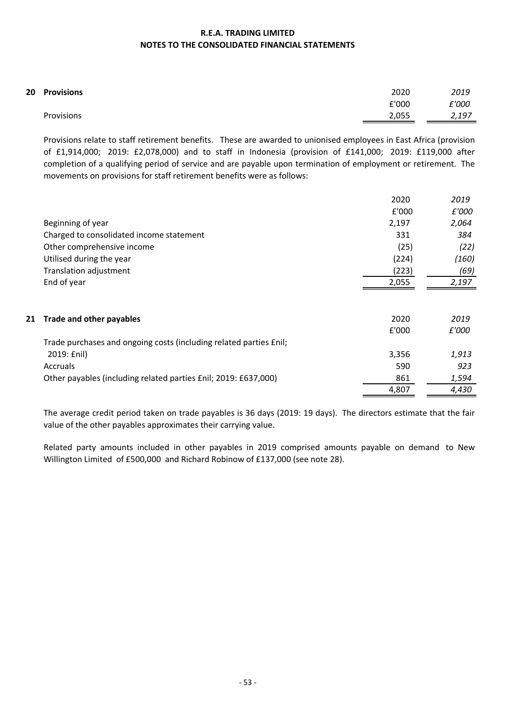| 20 Provisions | 2020  | 2019  |
|---------------|-------|-------|
|               | £'000 | £'000 |
| Provisions    | 2,055 | 2,197 |

Provisions relate to staff retirement benefits. These are awarded to unionised employees in East Africa (provision of £1,914,000; 2019: £2,078,000) and to staff in Indonesia (provision of £141,000; 2019: £119,000 after completion of a qualifying period of service and are payable upon termination of employment or retirement. The movements on provisions for staff retirement benefits were as follows:

|    |                                                                    | 2020  | 2019  |
|----|--------------------------------------------------------------------|-------|-------|
|    |                                                                    | £'000 | £'000 |
|    | Beginning of year                                                  | 2,197 | 2,064 |
|    | Charged to consolidated income statement                           | 331   | 384   |
|    | Other comprehensive income                                         | (25)  | (22)  |
|    | Utilised during the year                                           | (224) | (160) |
|    | Translation adjustment                                             | (223) | (69)  |
|    | End of year                                                        | 2,055 | 2,197 |
|    |                                                                    |       |       |
| 21 | Trade and other payables                                           | 2020  | 2019  |
|    |                                                                    | £'000 | £'000 |
|    | Trade purchases and ongoing costs (including related parties Enil; |       |       |
|    | 2019: £nil)                                                        | 3,356 | 1,913 |
|    | Accruals                                                           | 590   | 923   |
|    | Other payables (including related parties £nil; 2019: £637,000)    | 861   | 1,594 |
|    |                                                                    | 4,807 | 4,430 |

The average credit period taken on trade payables is 36 days (2019: 19 days). The directors estimate that the fair value of the other payables approximates their carrying value.

Related party amounts included in other payables in 2019 comprised amounts payable on demand to New Willington Limited of £500,000 and Richard Robinow of £137,000 (see note 28).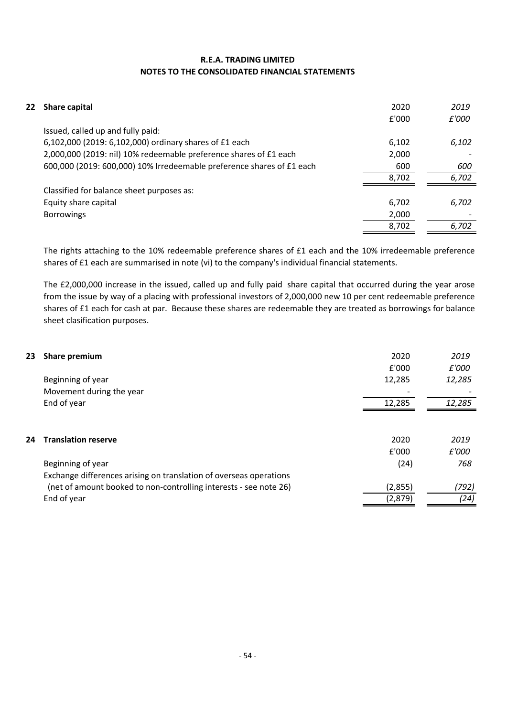| 22 - | Share capital                                                         | 2020  | 2019  |
|------|-----------------------------------------------------------------------|-------|-------|
|      |                                                                       | £'000 | £'000 |
|      | Issued, called up and fully paid:                                     |       |       |
|      | 6,102,000 (2019: 6,102,000) ordinary shares of £1 each                | 6,102 | 6,102 |
|      | 2,000,000 (2019: nil) 10% redeemable preference shares of £1 each     | 2,000 |       |
|      | 600,000 (2019: 600,000) 10% Irredeemable preference shares of £1 each | 600   | 600   |
|      |                                                                       | 8,702 | 6,702 |
|      | Classified for balance sheet purposes as:                             |       |       |
|      | Equity share capital                                                  | 6,702 | 6,702 |
|      | <b>Borrowings</b>                                                     | 2,000 |       |
|      |                                                                       | 8,702 | 6,702 |

The rights attaching to the 10% redeemable preference shares of £1 each and the 10% irredeemable preference shares of £1 each are summarised in note (vi) to the company's individual financial statements.

The £2,000,000 increase in the issued, called up and fully paid share capital that occurred during the year arose from the issue by way of a placing with professional investors of 2,000,000 new 10 per cent redeemable preference shares of £1 each for cash at par. Because these shares are redeemable they are treated as borrowings for balance sheet clasification purposes.

| 23 | Share premium                                                      | 2020    | 2019   |
|----|--------------------------------------------------------------------|---------|--------|
|    |                                                                    | £'000   | £'000  |
|    | Beginning of year                                                  | 12,285  | 12,285 |
|    | Movement during the year                                           |         |        |
|    | End of year                                                        | 12,285  | 12,285 |
| 24 | <b>Translation reserve</b>                                         | 2020    | 2019   |
|    |                                                                    | £'000   | £'000  |
|    | Beginning of year                                                  | (24)    | 768    |
|    | Exchange differences arising on translation of overseas operations |         |        |
|    | (net of amount booked to non-controlling interests - see note 26)  | (2,855) | (792)  |
|    | End of year                                                        | (2,879) | (24)   |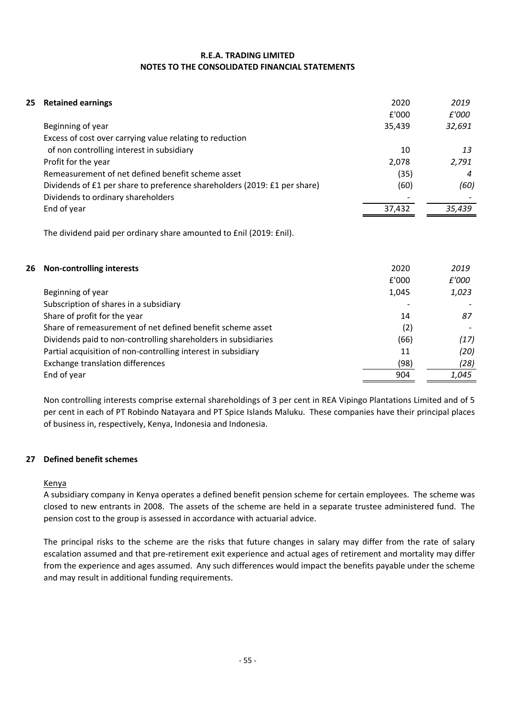### **NOTES TO THE CONSOLIDATED FINANCIAL STATEMENTS R.E.A. TRADING LIMITED**

| 25 | <b>Retained earnings</b>                                                  | 2020   | 2019   |
|----|---------------------------------------------------------------------------|--------|--------|
|    |                                                                           | £'000  | £'000  |
|    | Beginning of year                                                         | 35,439 | 32,691 |
|    | Excess of cost over carrying value relating to reduction                  |        |        |
|    | of non controlling interest in subsidiary                                 | 10     | 13     |
|    | Profit for the year                                                       | 2,078  | 2,791  |
|    | Remeasurement of net defined benefit scheme asset                         | (35)   | 4      |
|    | Dividends of £1 per share to preference shareholders (2019: £1 per share) | (60)   | (60)   |
|    | Dividends to ordinary shareholders                                        |        |        |
|    | End of year                                                               | 37,432 | 35,439 |
|    | The dividend paid per ordinary share amounted to £nil (2019: £nil).       |        |        |
| 26 | <b>Non-controlling interests</b>                                          | 2020   | 2019   |
|    |                                                                           | £'000  | £'000  |
|    | Beginning of year                                                         | 1,045  | 1,023  |
|    | Subscription of shares in a subsidiary                                    |        |        |
|    | Share of profit for the year                                              | 14     | 87     |
|    | Share of remeasurement of net defined benefit scheme asset                | (2)    |        |
|    | Dividends paid to non-controlling shareholders in subsidiaries            | (66)   | (17)   |
|    | Partial acquisition of non-controlling interest in subsidiary             | 11     | (20)   |
|    | <b>Exchange translation differences</b>                                   | (98)   | (28)   |
|    | End of year                                                               | 904    | 1,045  |

Non controlling interests comprise external shareholdings of 3 per cent in REA Vipingo Plantations Limited and of 5 per cent in each of PT Robindo Natayara and PT Spice Islands Maluku. These companies have their principal places of business in, respectively, Kenya, Indonesia and Indonesia.

## **27 Defined benefit schemes**

## Kenya

A subsidiary company in Kenya operates a defined benefit pension scheme for certain employees. The scheme was closed to new entrants in 2008. The assets of the scheme are held in a separate trustee administered fund. The pension cost to the group is assessed in accordance with actuarial advice.

The principal risks to the scheme are the risks that future changes in salary may differ from the rate of salary escalation assumed and that pre-retirement exit experience and actual ages of retirement and mortality may differ from the experience and ages assumed. Any such differences would impact the benefits payable under the scheme and may result in additional funding requirements.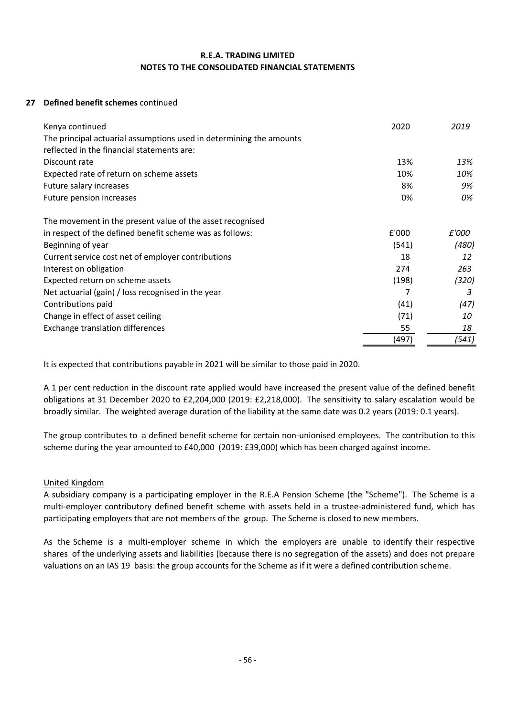#### **NOTES TO THE CONSOLIDATED FINANCIAL STATEMENTS R.E.A. TRADING LIMITED**

## **27 Defined benefit schemes** continued

| Kenya continued                                                     | 2020  | 2019  |
|---------------------------------------------------------------------|-------|-------|
| The principal actuarial assumptions used in determining the amounts |       |       |
| reflected in the financial statements are:                          |       |       |
| Discount rate                                                       | 13%   | 13%   |
| Expected rate of return on scheme assets                            | 10%   | 10%   |
| Future salary increases                                             | 8%    | 9%    |
| Future pension increases                                            | 0%    | 0%    |
| The movement in the present value of the asset recognised           |       |       |
| in respect of the defined benefit scheme was as follows:            | £'000 | £'000 |
| Beginning of year                                                   | (541) | (480) |
| Current service cost net of employer contributions                  | 18    | 12    |
| Interest on obligation                                              | 274   | 263   |
| Expected return on scheme assets                                    | (198) | (320) |
| Net actuarial (gain) / loss recognised in the year                  |       | 3     |
| Contributions paid                                                  | (41)  | (47)  |
| Change in effect of asset ceiling                                   | (71)  | 10    |
| Exchange translation differences                                    | 55    | 18    |
|                                                                     | (497) | (541) |

It is expected that contributions payable in 2021 will be similar to those paid in 2020.

A 1 per cent reduction in the discount rate applied would have increased the present value of the defined benefit obligations at 31 December 2020 to £2,204,000 (2019: £2,218,000). The sensitivity to salary escalation would be broadly similar. The weighted average duration of the liability at the same date was 0.2 years (2019: 0.1 years).

The group contributes to a defined benefit scheme for certain non-unionised employees. The contribution to this scheme during the year amounted to £40,000 (2019: £39,000) which has been charged against income.

## United Kingdom

A subsidiary company is a participating employer in the R.E.A Pension Scheme (the "Scheme"). The Scheme is a multi-employer contributory defined benefit scheme with assets held in a trustee-administered fund, which has participating employers that are not members of the group. The Scheme is closed to new members.

As the Scheme is a multi-employer scheme in which the employers are unable to identify their respective shares of the underlying assets and liabilities (because there is no segregation of the assets) and does not prepare valuations on an IAS 19 basis: the group accounts for the Scheme as if it were a defined contribution scheme.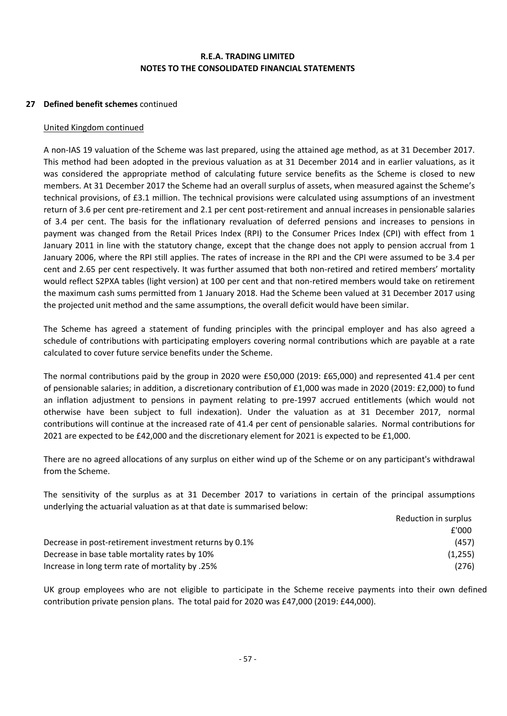#### **27 Defined benefit schemes** continued

#### United Kingdom continued

A non-IAS 19 valuation of the Scheme was last prepared, using the attained age method, as at 31 December 2017. This method had been adopted in the previous valuation as at 31 December 2014 and in earlier valuations, as it was considered the appropriate method of calculating future service benefits as the Scheme is closed to new members. At 31 December 2017 the Scheme had an overall surplus of assets, when measured against the Scheme's technical provisions, of £3.1 million. The technical provisions were calculated using assumptions of an investment return of 3.6 per cent pre-retirement and 2.1 per cent post-retirement and annual increases in pensionable salaries of 3.4 per cent. The basis for the inflationary revaluation of deferred pensions and increases to pensions in payment was changed from the Retail Prices Index (RPI) to the Consumer Prices Index (CPI) with effect from 1 January 2011 in line with the statutory change, except that the change does not apply to pension accrual from 1 January 2006, where the RPI still applies. The rates of increase in the RPI and the CPI were assumed to be 3.4 per cent and 2.65 per cent respectively. It was further assumed that both non-retired and retired members' mortality would reflect S2PXA tables (light version) at 100 per cent and that non-retired members would take on retirement the maximum cash sums permitted from 1 January 2018. Had the Scheme been valued at 31 December 2017 using the projected unit method and the same assumptions, the overall deficit would have been similar.

The Scheme has agreed a statement of funding principles with the principal employer and has also agreed a schedule of contributions with participating employers covering normal contributions which are payable at a rate calculated to cover future service benefits under the Scheme.

The normal contributions paid by the group in 2020 were £50,000 (2019: £65,000) and represented 41.4 per cent of pensionable salaries; in addition, a discretionary contribution of £1,000 was made in 2020 (2019: £2,000) to fund an inflation adjustment to pensions in payment relating to pre-1997 accrued entitlements (which would not otherwise have been subject to full indexation). Under the valuation as at 31 December 2017, normal contributions will continue at the increased rate of 41.4 per cent of pensionable salaries. Normal contributions for 2021 are expected to be £42,000 and the discretionary element for 2021 is expected to be £1,000.

There are no agreed allocations of any surplus on either wind up of the Scheme or on any participant's withdrawal from the Scheme.

The sensitivity of the surplus as at 31 December 2017 to variations in certain of the principal assumptions underlying the actuarial valuation as at that date is summarised below:

|                                                        | Reduction in surplus |
|--------------------------------------------------------|----------------------|
|                                                        | £'000                |
| Decrease in post-retirement investment returns by 0.1% | (457)                |
| Decrease in base table mortality rates by 10%          | (1,255)              |
| lncrease in long term rate of mortality by .25%        | (276)                |

UK group employees who are not eligible to participate in the Scheme receive payments into their own defined contribution private pension plans. The total paid for 2020 was £47,000 (2019: £44,000).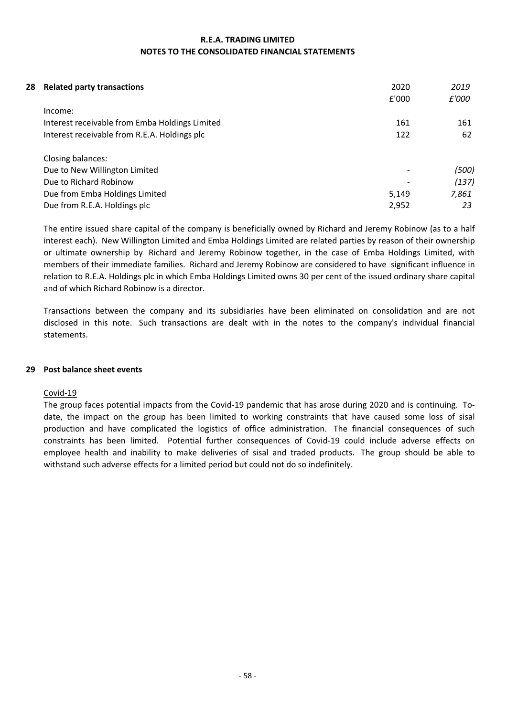| 28 - | <b>Related party transactions</b>              | 2020  | 2019  |
|------|------------------------------------------------|-------|-------|
|      |                                                | £'000 | £'000 |
|      | Income:                                        |       |       |
|      | Interest receivable from Emba Holdings Limited | 161   | 161   |
|      | Interest receivable from R.E.A. Holdings plc   | 122   | 62    |
|      | Closing balances:                              |       |       |
|      | Due to New Willington Limited                  |       | (500) |
|      | Due to Richard Robinow                         |       | (137) |
|      | Due from Emba Holdings Limited                 | 5,149 | 7,861 |
|      | Due from R.E.A. Holdings plc                   | 2,952 | 23    |

The entire issued share capital of the company is beneficially owned by Richard and Jeremy Robinow (as to a half interest each). New Willington Limited and Emba Holdings Limited are related parties by reason of their ownership or ultimate ownership by Richard and Jeremy Robinow together, in the case of Emba Holdings Limited, with members of their immediate families. Richard and Jeremy Robinow are considered to have significant influence in relation to R.E.A. Holdings plc in which Emba Holdings Limited owns 30 per cent of the issued ordinary share capital and of which Richard Robinow is a director.

Transactions between the company and its subsidiaries have been eliminated on consolidation and are not disclosed in this note. Such transactions are dealt with in the notes to the company's individual financial statements.

#### **29 Post balance sheet events**

## Covid-19

The group faces potential impacts from the Covid-19 pandemic that has arose during 2020 and is continuing. Todate, the impact on the group has been limited to working constraints that have caused some loss of sisal production and have complicated the logistics of office administration. The financial consequences of such constraints has been limited. Potential further consequences of Covid-19 could include adverse effects on employee health and inability to make deliveries of sisal and traded products. The group should be able to withstand such adverse effects for a limited period but could not do so indefinitely.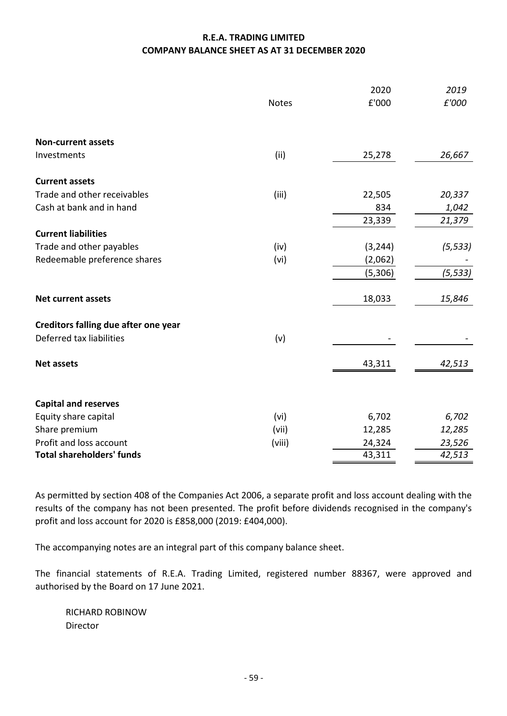## **R.E.A. TRADING LIMITED COMPANY BALANCE SHEET AS AT 31 DECEMBER 2020**

|                                      | <b>Notes</b> | 2020<br>£'000 | 2019<br>£'000 |
|--------------------------------------|--------------|---------------|---------------|
| <b>Non-current assets</b>            |              |               |               |
| Investments                          | (ii)         | 25,278        | 26,667        |
| <b>Current assets</b>                |              |               |               |
| Trade and other receivables          | (iii)        | 22,505        | 20,337        |
| Cash at bank and in hand             |              | 834           | 1,042         |
|                                      |              | 23,339        | 21,379        |
| <b>Current liabilities</b>           |              |               |               |
| Trade and other payables             | (iv)         | (3, 244)      | (5, 533)      |
| Redeemable preference shares         | (vi)         | (2,062)       |               |
|                                      |              | (5,306)       | (5, 533)      |
| <b>Net current assets</b>            |              | 18,033        | 15,846        |
| Creditors falling due after one year |              |               |               |
| Deferred tax liabilities             | (v)          |               |               |
| <b>Net assets</b>                    |              | 43,311        | 42,513        |
| <b>Capital and reserves</b>          |              |               |               |
| Equity share capital                 | (vi)         | 6,702         | 6,702         |
| Share premium                        | (vii)        | 12,285        | 12,285        |
| Profit and loss account              | (viii)       | 24,324        | 23,526        |
| <b>Total shareholders' funds</b>     |              | 43,311        | 42,513        |

As permitted by section 408 of the Companies Act 2006, a separate profit and loss account dealing with the results of the company has not been presented. The profit before dividends recognised in the company's profit and loss account for 2020 is £858,000 (2019: £404,000).

The accompanying notes are an integral part of this company balance sheet.

The financial statements of R.E.A. Trading Limited, registered number 88367, were approved and authorised by the Board on 17 June 2021.

RICHARD ROBINOW Director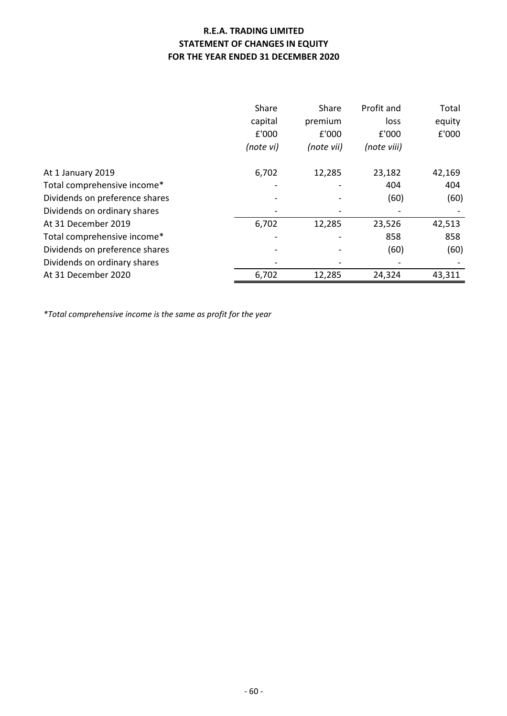## **R.E.A. TRADING LIMITED STATEMENT OF CHANGES IN EQUITY FOR THE YEAR ENDED 31 DECEMBER 2020**

|                                | Share<br>capital<br>£'000<br>(note vi) | Share<br>premium<br>£'000<br>(note vii) | Profit and<br>loss<br>£'000<br>(note viii) | Total<br>equity<br>£'000 |
|--------------------------------|----------------------------------------|-----------------------------------------|--------------------------------------------|--------------------------|
| At 1 January 2019              | 6,702                                  | 12,285                                  | 23,182                                     | 42,169                   |
| Total comprehensive income*    |                                        |                                         | 404                                        | 404                      |
| Dividends on preference shares |                                        |                                         | (60)                                       | (60)                     |
| Dividends on ordinary shares   |                                        |                                         |                                            |                          |
| At 31 December 2019            | 6,702                                  | 12,285                                  | 23,526                                     | 42,513                   |
| Total comprehensive income*    |                                        |                                         | 858                                        | 858                      |
| Dividends on preference shares |                                        |                                         | (60)                                       | (60)                     |
| Dividends on ordinary shares   |                                        |                                         |                                            |                          |
| At 31 December 2020            | 6,702                                  | 12,285                                  | 24,324                                     | 43,311                   |

*\*Total comprehensive income is the same as profit for the year*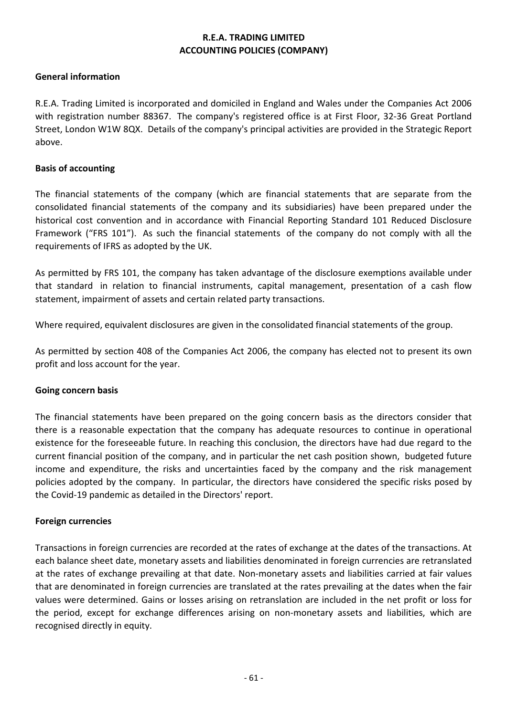## **General information**

R.E.A. Trading Limited is incorporated and domiciled in England and Wales under the Companies Act 2006 with registration number 88367. The company's registered office is at First Floor, 32-36 Great Portland Street, London W1W 8QX. Details of the company's principal activities are provided in the Strategic Report above.

## **Basis of accounting**

The financial statements of the company (which are financial statements that are separate from the consolidated financial statements of the company and its subsidiaries) have been prepared under the historical cost convention and in accordance with Financial Reporting Standard 101 Reduced Disclosure Framework ("FRS 101"). As such the financial statements of the company do not comply with all the requirements of IFRS as adopted by the UK.

As permitted by FRS 101, the company has taken advantage of the disclosure exemptions available under that standard in relation to financial instruments, capital management, presentation of a cash flow statement, impairment of assets and certain related party transactions.

Where required, equivalent disclosures are given in the consolidated financial statements of the group.

As permitted by section 408 of the Companies Act 2006, the company has elected not to present its own profit and loss account for the year.

## **Going concern basis**

The financial statements have been prepared on the going concern basis as the directors consider that there is a reasonable expectation that the company has adequate resources to continue in operational existence for the foreseeable future. In reaching this conclusion, the directors have had due regard to the current financial position of the company, and in particular the net cash position shown, budgeted future income and expenditure, the risks and uncertainties faced by the company and the risk management policies adopted by the company. In particular, the directors have considered the specific risks posed by the Covid-19 pandemic as detailed in the Directors' report.

## **Foreign currencies**

Transactions in foreign currencies are recorded at the rates of exchange at the dates of the transactions. At each balance sheet date, monetary assets and liabilities denominated in foreign currencies are retranslated at the rates of exchange prevailing at that date. Non-monetary assets and liabilities carried at fair values that are denominated in foreign currencies are translated at the rates prevailing at the dates when the fair values were determined. Gains or losses arising on retranslation are included in the net profit or loss for the period, except for exchange differences arising on non-monetary assets and liabilities, which are recognised directly in equity.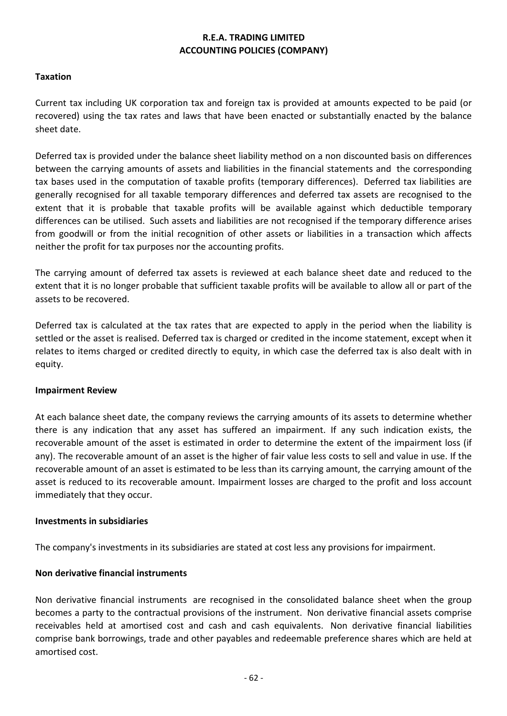## **Taxation**

Current tax including UK corporation tax and foreign tax is provided at amounts expected to be paid (or recovered) using the tax rates and laws that have been enacted or substantially enacted by the balance sheet date.

Deferred tax is provided under the balance sheet liability method on a non discounted basis on differences between the carrying amounts of assets and liabilities in the financial statements and the corresponding tax bases used in the computation of taxable profits (temporary differences). Deferred tax liabilities are generally recognised for all taxable temporary differences and deferred tax assets are recognised to the extent that it is probable that taxable profits will be available against which deductible temporary differences can be utilised. Such assets and liabilities are not recognised if the temporary difference arises from goodwill or from the initial recognition of other assets or liabilities in a transaction which affects neither the profit for tax purposes nor the accounting profits.

The carrying amount of deferred tax assets is reviewed at each balance sheet date and reduced to the extent that it is no longer probable that sufficient taxable profits will be available to allow all or part of the assets to be recovered.

Deferred tax is calculated at the tax rates that are expected to apply in the period when the liability is settled or the asset is realised. Deferred tax is charged or credited in the income statement, except when it relates to items charged or credited directly to equity, in which case the deferred tax is also dealt with in equity.

## **Impairment Review**

At each balance sheet date, the company reviews the carrying amounts of its assets to determine whether there is any indication that any asset has suffered an impairment. If any such indication exists, the recoverable amount of the asset is estimated in order to determine the extent of the impairment loss (if any). The recoverable amount of an asset is the higher of fair value less costs to sell and value in use. If the recoverable amount of an asset is estimated to be less than its carrying amount, the carrying amount of the asset is reduced to its recoverable amount. Impairment losses are charged to the profit and loss account immediately that they occur.

## **Investments in subsidiaries**

The company's investments in its subsidiaries are stated at cost less any provisions for impairment.

## **Non derivative financial instruments**

Non derivative financial instruments are recognised in the consolidated balance sheet when the group becomes a party to the contractual provisions of the instrument. Non derivative financial assets comprise receivables held at amortised cost and cash and cash equivalents. Non derivative financial liabilities comprise bank borrowings, trade and other payables and redeemable preference shares which are held at amortised cost.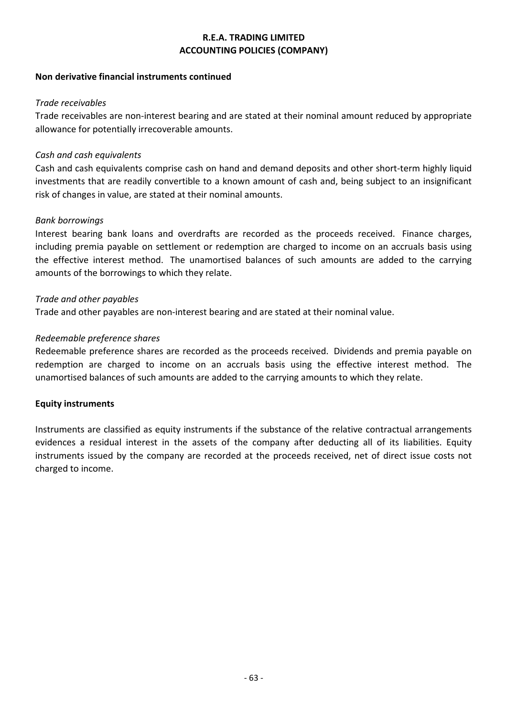## **Non derivative financial instruments continued**

## *Trade receivables*

Trade receivables are non-interest bearing and are stated at their nominal amount reduced by appropriate allowance for potentially irrecoverable amounts.

## *Cash and cash equivalents*

Cash and cash equivalents comprise cash on hand and demand deposits and other short-term highly liquid investments that are readily convertible to a known amount of cash and, being subject to an insignificant risk of changes in value, are stated at their nominal amounts.

## *Bank borrowings*

Interest bearing bank loans and overdrafts are recorded as the proceeds received. Finance charges, including premia payable on settlement or redemption are charged to income on an accruals basis using the effective interest method. The unamortised balances of such amounts are added to the carrying amounts of the borrowings to which they relate.

## *Trade and other payables*

Trade and other payables are non-interest bearing and are stated at their nominal value.

## *Redeemable preference shares*

Redeemable preference shares are recorded as the proceeds received. Dividends and premia payable on redemption are charged to income on an accruals basis using the effective interest method. The unamortised balances of such amounts are added to the carrying amounts to which they relate.

## **Equity instruments**

Instruments are classified as equity instruments if the substance of the relative contractual arrangements evidences a residual interest in the assets of the company after deducting all of its liabilities. Equity instruments issued by the company are recorded at the proceeds received, net of direct issue costs not charged to income.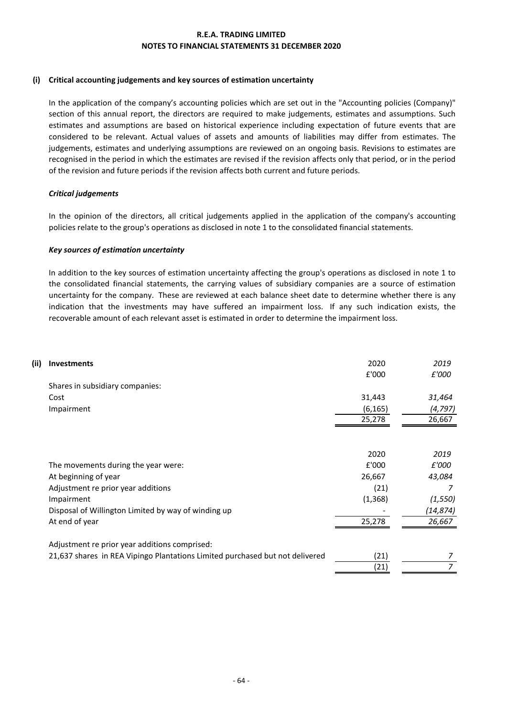#### **(i) Critical accounting judgements and key sources of estimation uncertainty**

In the application of the company's accounting policies which are set out in the "Accounting policies (Company)" section of this annual report, the directors are required to make judgements, estimates and assumptions. Such estimates and assumptions are based on historical experience including expectation of future events that are considered to be relevant. Actual values of assets and amounts of liabilities may differ from estimates. The judgements, estimates and underlying assumptions are reviewed on an ongoing basis. Revisions to estimates are recognised in the period in which the estimates are revised if the revision affects only that period, or in the period of the revision and future periods if the revision affects both current and future periods.

#### *Critical judgements*

In the opinion of the directors, all critical judgements applied in the application of the company's accounting policies relate to the group's operations as disclosed in note 1 to the consolidated financial statements.

#### *Key sources of estimation uncertainty*

In addition to the key sources of estimation uncertainty affecting the group's operations as disclosed in note 1 to the consolidated financial statements, the carrying values of subsidiary companies are a source of estimation uncertainty for the company. These are reviewed at each balance sheet date to determine whether there is any indication that the investments may have suffered an impairment loss. If any such indication exists, the recoverable amount of each relevant asset is estimated in order to determine the impairment loss.

| (ii) | <b>Investments</b>                                                           | 2020     | 2019      |
|------|------------------------------------------------------------------------------|----------|-----------|
|      |                                                                              | £'000    | £'000     |
|      | Shares in subsidiary companies:                                              |          |           |
|      | Cost                                                                         | 31,443   | 31,464    |
|      | Impairment                                                                   | (6, 165) | (4, 797)  |
|      |                                                                              | 25,278   | 26,667    |
|      |                                                                              |          |           |
|      |                                                                              | 2020     | 2019      |
|      | The movements during the year were:                                          | E'000    | £'000     |
|      | At beginning of year                                                         | 26,667   | 43,084    |
|      | Adjustment re prior year additions                                           | (21)     | 7         |
|      | Impairment                                                                   | (1, 368) | (1, 550)  |
|      | Disposal of Willington Limited by way of winding up                          |          | (14, 874) |
|      | At end of year                                                               | 25,278   | 26,667    |
|      | Adjustment re prior year additions comprised:                                |          |           |
|      | 21,637 shares in REA Vipingo Plantations Limited purchased but not delivered | (21)     |           |
|      |                                                                              | (21)     | 7         |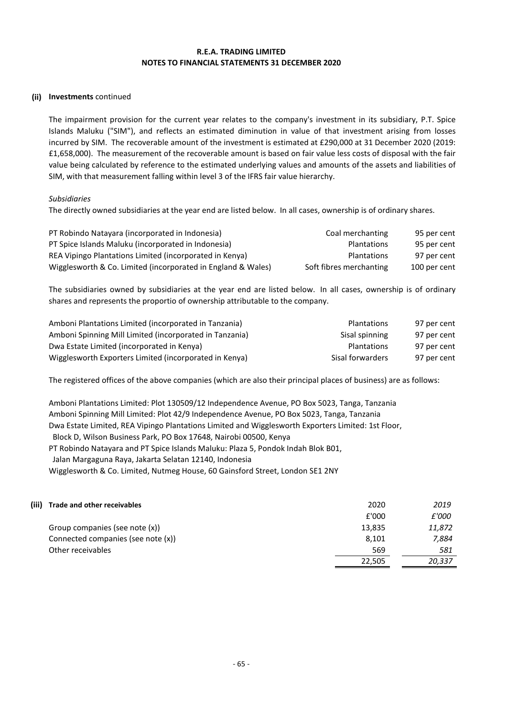#### **(ii) Investments** continued

The impairment provision for the current year relates to the company's investment in its subsidiary, P.T. Spice Islands Maluku ("SIM"), and reflects an estimated diminution in value of that investment arising from losses incurred by SIM. The recoverable amount of the investment is estimated at £290,000 at 31 December 2020 (2019: £1,658,000). The measurement of the recoverable amount is based on fair value less costs of disposal with the fair value being calculated by reference to the estimated underlying values and amounts of the assets and liabilities of SIM, with that measurement falling within level 3 of the IFRS fair value hierarchy.

#### *Subsidiaries*

The directly owned subsidiaries at the year end are listed below. In all cases, ownership is of ordinary shares.

| PT Robindo Natayara (incorporated in Indonesia)              | Coal merchanting        | 95 per cent  |
|--------------------------------------------------------------|-------------------------|--------------|
| PT Spice Islands Maluku (incorporated in Indonesia)          | Plantations             | 95 per cent  |
| REA Vipingo Plantations Limited (incorporated in Kenya)      | Plantations             | 97 per cent  |
| Wigglesworth & Co. Limited (incorporated in England & Wales) | Soft fibres merchanting | 100 per cent |

The subsidiaries owned by subsidiaries at the year end are listed below. In all cases, ownership is of ordinary shares and represents the proportio of ownership attributable to the company.

| Amboni Plantations Limited (incorporated in Tanzania)   | <b>Plantations</b> | 97 per cent |
|---------------------------------------------------------|--------------------|-------------|
| Amboni Spinning Mill Limited (incorporated in Tanzania) | Sisal spinning     | 97 per cent |
| Dwa Estate Limited (incorporated in Kenya)              | Plantations        | 97 per cent |
| Wigglesworth Exporters Limited (incorporated in Kenya)  | Sisal forwarders   | 97 per cent |

The registered offices of the above companies (which are also their principal places of business) are as follows:

Amboni Plantations Limited: Plot 130509/12 Independence Avenue, PO Box 5023, Tanga, Tanzania Amboni Spinning Mill Limited: Plot 42/9 Independence Avenue, PO Box 5023, Tanga, Tanzania Dwa Estate Limited, REA Vipingo Plantations Limited and Wigglesworth Exporters Limited: 1st Floor, Block D, Wilson Business Park, PO Box 17648, Nairobi 00500, Kenya

PT Robindo Natayara and PT Spice Islands Maluku: Plaza 5, Pondok Indah Blok B01,

Jalan Margaguna Raya, Jakarta Selatan 12140, Indonesia

Wigglesworth & Co. Limited, Nutmeg House, 60 Gainsford Street, London SE1 2NY

| (iii) | Trade and other receivables        | 2020   | 2019   |
|-------|------------------------------------|--------|--------|
|       |                                    | £'000  | £'000  |
|       | Group companies (see note (x))     | 13,835 | 11,872 |
|       | Connected companies (see note (x)) | 8.101  | 7,884  |
|       | Other receivables                  | 569    | 581    |
|       |                                    | 22,505 | 20,337 |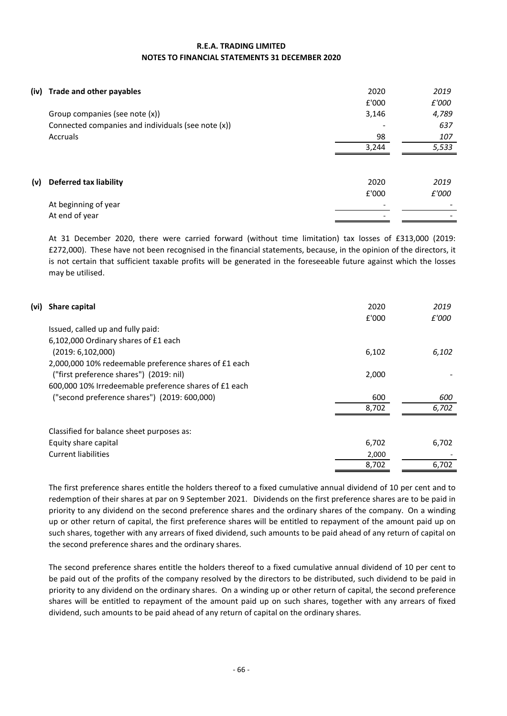| (iv) | Trade and other payables                           | 2020<br>£'000 | 2019<br>£'000 |
|------|----------------------------------------------------|---------------|---------------|
|      | Group companies (see note (x))                     | 3,146         | 4,789         |
|      | Connected companies and individuals (see note (x)) |               | 637           |
|      | Accruals                                           | 98            | 107           |
|      |                                                    | 3,244         | 5,533         |
|      |                                                    |               |               |
|      |                                                    |               |               |
| (v)  | <b>Deferred tax liability</b>                      | 2020          | 2019          |
|      |                                                    | £'000         | £'000         |
|      | At beginning of year<br>At end of year             |               |               |

At 31 December 2020, there were carried forward (without time limitation) tax losses of £313,000 (2019: £272,000). These have not been recognised in the financial statements, because, in the opinion of the directors, it is not certain that sufficient taxable profits will be generated in the foreseeable future against which the losses may be utilised.

| (vi) | Share capital                                         | 2020  | 2019  |
|------|-------------------------------------------------------|-------|-------|
|      |                                                       | £'000 | £'000 |
|      | Issued, called up and fully paid:                     |       |       |
|      | 6,102,000 Ordinary shares of £1 each                  |       |       |
|      | (2019: 6, 102, 000)                                   | 6,102 | 6,102 |
|      | 2,000,000 10% redeemable preference shares of £1 each |       |       |
|      | ("first preference shares") (2019: nil)               | 2,000 |       |
|      | 600,000 10% Irredeemable preference shares of £1 each |       |       |
|      | ("second preference shares") (2019: 600,000)          | 600   | 600   |
|      |                                                       | 8,702 | 6,702 |
|      |                                                       |       |       |
|      | Classified for balance sheet purposes as:             |       |       |
|      | Equity share capital                                  | 6,702 | 6.702 |
|      | <b>Current liabilities</b>                            | 2,000 |       |
|      |                                                       | 8,702 | 6,702 |

The first preference shares entitle the holders thereof to a fixed cumulative annual dividend of 10 per cent and to redemption of their shares at par on 9 September 2021. Dividends on the first preference shares are to be paid in priority to any dividend on the second preference shares and the ordinary shares of the company. On a winding up or other return of capital, the first preference shares will be entitled to repayment of the amount paid up on such shares, together with any arrears of fixed dividend, such amounts to be paid ahead of any return of capital on the second preference shares and the ordinary shares.

The second preference shares entitle the holders thereof to a fixed cumulative annual dividend of 10 per cent to be paid out of the profits of the company resolved by the directors to be distributed, such dividend to be paid in priority to any dividend on the ordinary shares. On a winding up or other return of capital, the second preference shares will be entitled to repayment of the amount paid up on such shares, together with any arrears of fixed dividend, such amounts to be paid ahead of any return of capital on the ordinary shares.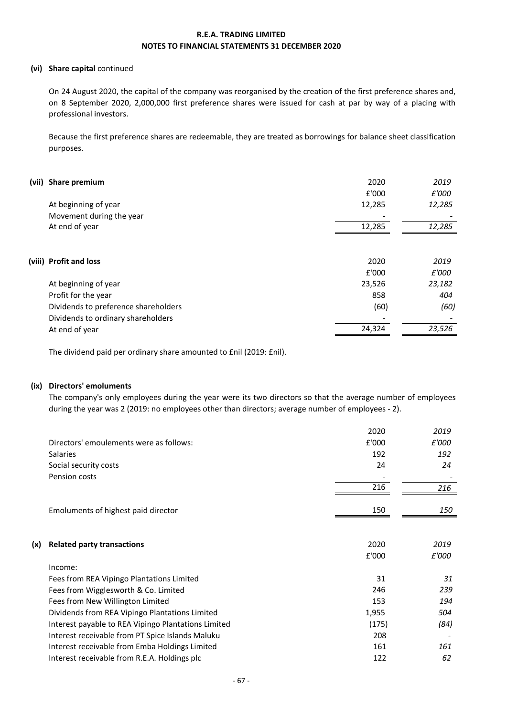#### **(vi) Share capital** continued

On 24 August 2020, the capital of the company was reorganised by the creation of the first preference shares and, on 8 September 2020, 2,000,000 first preference shares were issued for cash at par by way of a placing with professional investors.

Because the first preference shares are redeemable, they are treated as borrowings for balance sheet classification purposes.

| (vii) Share premium                              | 2020<br>f'000   | 2019<br>£'000   |
|--------------------------------------------------|-----------------|-----------------|
| At beginning of year<br>Movement during the year | 12,285          | 12,285          |
| At end of year                                   | 12,285          | 12,285          |
| (viii) Profit and loss                           | 2020            | 2019            |
| At beginning of year                             | £'000<br>23,526 | £'000<br>23,182 |
| Profit for the year                              | 858             | 404             |
| Dividends to preference shareholders             | (60)            | (60)            |
| Dividends to ordinary shareholders               |                 |                 |
| At end of year                                   | 24,324          | 23,526          |

The dividend paid per ordinary share amounted to £nil (2019: £nil).

#### **(ix) Directors' emoluments**

The company's only employees during the year were its two directors so that the average number of employees during the year was 2 (2019: no employees other than directors; average number of employees - 2).

|     |                                                     | 2020  | 2019  |
|-----|-----------------------------------------------------|-------|-------|
|     | Directors' emoulements were as follows:             | £'000 | £'000 |
|     | <b>Salaries</b>                                     | 192   | 192   |
|     | Social security costs                               | 24    | 24    |
|     | Pension costs                                       |       |       |
|     |                                                     | 216   | 216   |
|     | Emoluments of highest paid director                 | 150   | 150   |
|     |                                                     |       |       |
| (x) | <b>Related party transactions</b>                   | 2020  | 2019  |
|     |                                                     | £'000 | £'000 |
|     | Income:                                             |       |       |
|     | Fees from REA Vipingo Plantations Limited           | 31    | 31    |
|     | Fees from Wigglesworth & Co. Limited                | 246   | 239   |
|     | Fees from New Willington Limited                    | 153   | 194   |
|     | Dividends from REA Vipingo Plantations Limited      | 1,955 | 504   |
|     | Interest payable to REA Vipingo Plantations Limited | (175) | (84)  |
|     | Interest receivable from PT Spice Islands Maluku    | 208   |       |
|     | Interest receivable from Emba Holdings Limited      | 161   | 161   |
|     | Interest receivable from R.E.A. Holdings plc        | 122   | 62    |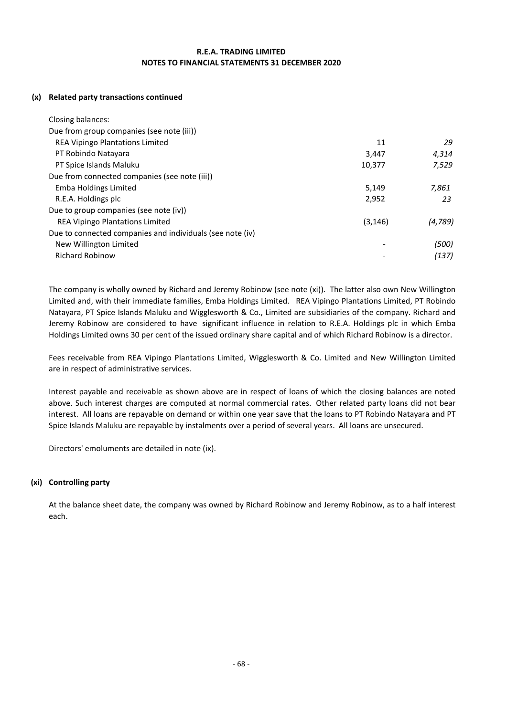#### **(x) Related party transactions continued**

| Closing balances:                                         |          |         |
|-----------------------------------------------------------|----------|---------|
| Due from group companies (see note (iii))                 |          |         |
| <b>REA Vipingo Plantations Limited</b>                    | 11       | 29      |
| PT Robindo Natayara                                       | 3,447    | 4.314   |
| PT Spice Islands Maluku                                   | 10,377   | 7,529   |
| Due from connected companies (see note (iii))             |          |         |
| Emba Holdings Limited                                     | 5,149    | 7,861   |
| R.E.A. Holdings plc                                       | 2,952    | 23      |
| Due to group companies (see note (iv))                    |          |         |
| <b>REA Vipingo Plantations Limited</b>                    | (3, 146) | (4,789) |
| Due to connected companies and individuals (see note (iv) |          |         |
| New Willington Limited                                    |          | (500)   |
| <b>Richard Robinow</b>                                    |          | (137)   |
|                                                           |          |         |

The company is wholly owned by Richard and Jeremy Robinow (see note (xi)). The latter also own New Willington Limited and, with their immediate families, Emba Holdings Limited. REA Vipingo Plantations Limited, PT Robindo Natayara, PT Spice Islands Maluku and Wigglesworth & Co., Limited are subsidiaries of the company. Richard and Jeremy Robinow are considered to have significant influence in relation to R.E.A. Holdings plc in which Emba Holdings Limited owns 30 per cent of the issued ordinary share capital and of which Richard Robinow is a director.

Fees receivable from REA Vipingo Plantations Limited, Wigglesworth & Co. Limited and New Willington Limited are in respect of administrative services.

Interest payable and receivable as shown above are in respect of loans of which the closing balances are noted above. Such interest charges are computed at normal commercial rates. Other related party loans did not bear interest. All loans are repayable on demand or within one year save that the loans to PT Robindo Natayara and PT Spice Islands Maluku are repayable by instalments over a period of several years. All loans are unsecured.

Directors' emoluments are detailed in note (ix).

#### **(xi) Controlling party**

At the balance sheet date, the company was owned by Richard Robinow and Jeremy Robinow, as to a half interest each.